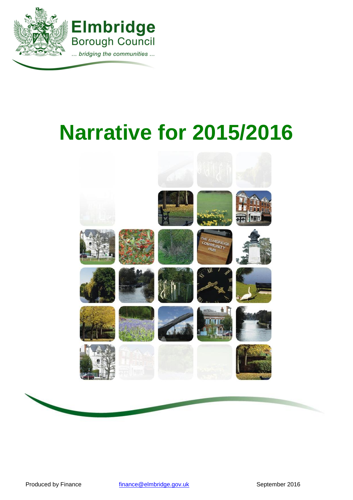

# **Narrative for 2015/2016**



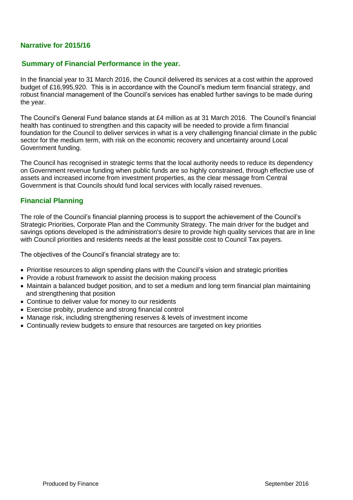# **Narrative for 2015/16**

#### **Summary of Financial Performance in the year.**

In the financial year to 31 March 2016, the Council delivered its services at a cost within the approved budget of £16,995,920. This is in accordance with the Council's medium term financial strategy, and robust financial management of the Council's services has enabled further savings to be made during the year.

The Council's General Fund balance stands at £4 million as at 31 March 2016. The Council's financial health has continued to strengthen and this capacity will be needed to provide a firm financial foundation for the Council to deliver services in what is a very challenging financial climate in the public sector for the medium term, with risk on the economic recovery and uncertainty around Local Government funding.

The Council has recognised in strategic terms that the local authority needs to reduce its dependency on Government revenue funding when public funds are so highly constrained, through effective use of assets and increased income from investment properties, as the clear message from Central Government is that Councils should fund local services with locally raised revenues.

#### **Financial Planning**

The role of the Council's financial planning process is to support the achievement of the Council's Strategic Priorities, Corporate Plan and the Community Strategy. The main driver for the budget and savings options developed is the administration's desire to provide high quality services that are in line with Council priorities and residents needs at the least possible cost to Council Tax payers.

The objectives of the Council's financial strategy are to:

- Prioritise resources to align spending plans with the Council's vision and strategic priorities
- Provide a robust framework to assist the decision making process
- Maintain a balanced budget position, and to set a medium and long term financial plan maintaining and strengthening that position
- Continue to deliver value for money to our residents
- Exercise probity, prudence and strong financial control
- Manage risk, including strengthening reserves & levels of investment income
- Continually review budgets to ensure that resources are targeted on key priorities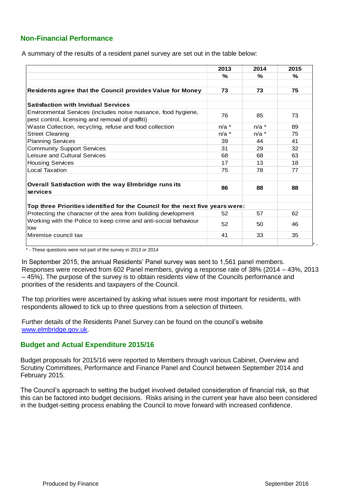# **Non-Financial Performance**

A summary of the results of a resident panel survey are set out in the table below:

|                                                                                                                    | 2013    | 2014    | 2015 |
|--------------------------------------------------------------------------------------------------------------------|---------|---------|------|
|                                                                                                                    | %       | %       | ℅    |
|                                                                                                                    |         |         |      |
| Residents agree that the Council provides Value for Money                                                          | 73      | 73      | 75   |
| <b>Satisfaction with Invidual Services</b>                                                                         |         |         |      |
| Environmental Services (includes noise nuisance, food hygiene,<br>pest control, licensing and removal of graffiti) | 76      | 85      | 73   |
| Waste Collection, recycling, refuse and food collection                                                            | $n/a$ * | $n/a$ * | 89   |
| <b>Street Cleaning</b>                                                                                             | $n/a$ * | $n/a$ * | 75   |
| <b>Planning Services</b>                                                                                           | 39      | 44      | 41   |
| <b>Community Support Services</b>                                                                                  | 31      | 29      | 32   |
| Leisure and Cultural Services                                                                                      | 68      | 68      | 63   |
| <b>Housing Services</b>                                                                                            | 17      | 13      | 18   |
| <b>Local Taxation</b>                                                                                              | 75      | 78      | 77   |
| Overall Satisfaction with the way Elmbridge runs its<br>services                                                   | 86      | 88      | 88   |
| Top three Priorities identified for the Council for the next five years were:                                      |         |         |      |
| Protecting the character of the area from building development                                                     | 52      | 57      | 62   |
| Working with the Police to keep crime and anti-social behaviour<br>low                                             | 52      | 50      | 46   |
| Minimise council tax                                                                                               | 41      | 33      | 35   |

\* - These questions were not part of the survey in 2013 or 2014

In September 2015, the annual Residents' Panel survey was sent to 1,561 panel members. Responses were received from 602 Panel members, giving a response rate of 38% (2014 – 43%, 2013 – 45%). The purpose of the survey is to obtain residents view of the Councils performance and priorities of the residents and taxpayers of the Council.

The top priorities were ascertained by asking what issues were most important for residents, with respondents allowed to tick up to three questions from a selection of thirteen.

Further details of the Residents Panel Survey can be found on the council's website [www.elmbridge.gov.uk.](http://www.elmbridge.gov.uk/)

#### **Budget and Actual Expenditure 2015/16**

Budget proposals for 2015/16 were reported to Members through various Cabinet, Overview and Scrutiny Committees, Performance and Finance Panel and Council between September 2014 and February 2015.

The Council's approach to setting the budget involved detailed consideration of financial risk, so that this can be factored into budget decisions. Risks arising in the current year have also been considered in the budget-setting process enabling the Council to move forward with increased confidence.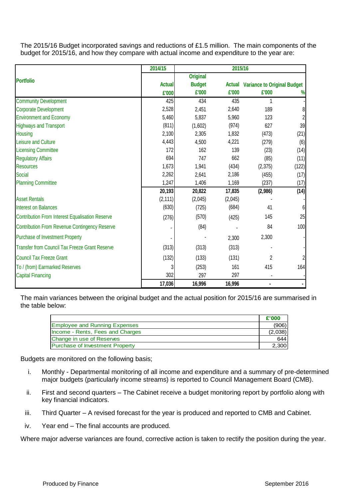The 2015/16 Budget incorporated savings and reductions of £1.5 million. The main components of the budget for 2015/16, and how they compare with actual income and expenditure to the year are:

|                                                        | 2014/15       | 2015/16         |         |                                           |       |  |
|--------------------------------------------------------|---------------|-----------------|---------|-------------------------------------------|-------|--|
|                                                        |               | <b>Original</b> |         |                                           |       |  |
| <b>Portfolio</b>                                       | <b>Actual</b> | <b>Budget</b>   |         | <b>Actual Variance to Original Budget</b> |       |  |
|                                                        | £'000         | £'000           | £'000   | £'000                                     | %     |  |
| <b>Community Development</b>                           | 425           | 434             | 435     | 1                                         |       |  |
| <b>Corporate Development</b>                           | 2,528         | 2,451           | 2,640   | 189                                       | 8     |  |
| <b>Environment and Economy</b>                         | 5,460         | 5,837           | 5,960   | 123                                       |       |  |
| <b>Highways and Transport</b>                          | (811)         | (1,602)         | (974)   | 627                                       | 39    |  |
| <b>Housing</b>                                         | 2,100         | 2,305           | 1,832   | (473)                                     | (21)  |  |
| Leisure and Culture                                    | 4,443         | 4,500           | 4,221   | (279)                                     | (6)   |  |
| <b>Licensing Committee</b>                             | 172           | 162             | 139     | (23)                                      | (14)  |  |
| <b>Regulatory Affairs</b>                              | 694           | 747             | 662     | (85)                                      | (11)  |  |
| <b>Resources</b>                                       | 1,673         | 1,941           | (434)   | (2,375)                                   | (122) |  |
| Social                                                 | 2,262         | 2,641           | 2,186   | (455)                                     | (17)  |  |
| <b>Planning Committee</b>                              | 1,247         | 1,406           | 1,169   | (237)                                     | (17)  |  |
|                                                        | 20,193        | 20,822          | 17,835  | (2,986)                                   | (14)  |  |
| <b>Asset Rentals</b>                                   | (2, 111)      | (2,045)         | (2,045) |                                           |       |  |
| <b>Interest on Balances</b>                            | (630)         | (725)           | (684)   | 41                                        | 6     |  |
| <b>Contribution From Interest Equalisation Reserve</b> | (276)         | (570)           | (425)   | 145                                       | 25    |  |
| <b>Contribution From Revenue Contingency Reserve</b>   |               | (84)            |         | 84                                        | 100   |  |
| <b>Purchase of Investment Property</b>                 |               |                 | 2,300   | 2,300                                     |       |  |
| <b>Transfer from Council Tax Freeze Grant Reserve</b>  | (313)         | (313)           | (313)   |                                           |       |  |
| <b>Council Tax Freeze Grant</b>                        | (132)         | (133)           | (131)   | $\overline{2}$                            |       |  |
| To / (from) Earmarked Reserves                         | 3             | (253)           | 161     | 415                                       | 164   |  |
| <b>Capital Financing</b>                               | 302           | 297             | 297     |                                           |       |  |
|                                                        | 17,036        | 16,996          | 16,996  | $\blacksquare$                            |       |  |

The main variances between the original budget and the actual position for 2015/16 are summarised in the table below:

|                                        | £'000   |
|----------------------------------------|---------|
| <b>Employee and Running Expenses</b>   | (906)   |
| Income - Rents, Fees and Charges       | (2,038) |
| Change in use of Reserves              | 644     |
| <b>Purchase of Investment Property</b> | 2.300   |

Budgets are monitored on the following basis;

- i. Monthly Departmental monitoring of all income and expenditure and a summary of pre-determined major budgets (particularly income streams) is reported to Council Management Board (CMB).
- ii. First and second quarters The Cabinet receive a budget monitoring report by portfolio along with key financial indicators.
- iii. Third Quarter A revised forecast for the year is produced and reported to CMB and Cabinet.
- iv. Year end The final accounts are produced.

Where major adverse variances are found, corrective action is taken to rectify the position during the year.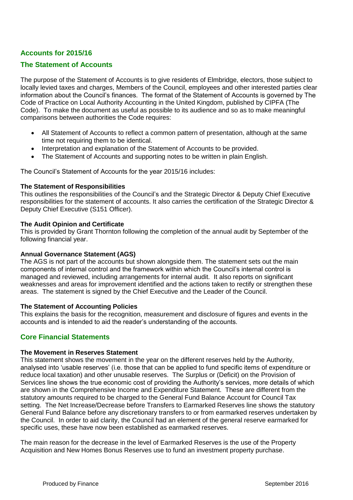# **Accounts for 2015/16**

#### **The Statement of Accounts**

The purpose of the Statement of Accounts is to give residents of Elmbridge, electors, those subject to locally levied taxes and charges, Members of the Council, employees and other interested parties clear information about the Council's finances. The format of the Statement of Accounts is governed by The Code of Practice on Local Authority Accounting in the United Kingdom, published by CIPFA (The Code). To make the document as useful as possible to its audience and so as to make meaningful comparisons between authorities the Code requires:

- All Statement of Accounts to reflect a common pattern of presentation, although at the same time not requiring them to be identical.
- Interpretation and explanation of the Statement of Accounts to be provided.
- The Statement of Accounts and supporting notes to be written in plain English.

The Council's Statement of Accounts for the year 2015/16 includes:

#### **The Statement of Responsibilities**

This outlines the responsibilities of the Council's and the Strategic Director & Deputy Chief Executive responsibilities for the statement of accounts. It also carries the certification of the Strategic Director & Deputy Chief Executive (S151 Officer).

#### **The Audit Opinion and Certificate**

This is provided by Grant Thornton following the completion of the annual audit by September of the following financial year.

#### **Annual Governance Statement (AGS)**

The AGS is not part of the accounts but shown alongside them. The statement sets out the main components of internal control and the framework within which the Council's internal control is managed and reviewed, including arrangements for internal audit. It also reports on significant weaknesses and areas for improvement identified and the actions taken to rectify or strengthen these areas. The statement is signed by the Chief Executive and the Leader of the Council.

#### **The Statement of Accounting Policies**

This explains the basis for the recognition, measurement and disclosure of figures and events in the accounts and is intended to aid the reader's understanding of the accounts.

#### **Core Financial Statements**

#### **The Movement in Reserves Statement**

This statement shows the movement in the year on the different reserves held by the Authority, analysed into 'usable reserves' (i.e. those that can be applied to fund specific items of expenditure or reduce local taxation) and other unusable reserves. The Surplus or (Deficit) on the Provision of Services line shows the true economic cost of providing the Authority's services, more details of which are shown in the Comprehensive Income and Expenditure Statement. These are different from the statutory amounts required to be charged to the General Fund Balance Account for Council Tax setting. The Net Increase/Decrease before Transfers to Earmarked Reserves line shows the statutory General Fund Balance before any discretionary transfers to or from earmarked reserves undertaken by the Council. In order to aid clarity, the Council had an element of the general reserve earmarked for specific uses, these have now been established as earmarked reserves.

The main reason for the decrease in the level of Earmarked Reserves is the use of the Property Acquisition and New Homes Bonus Reserves use to fund an investment property purchase.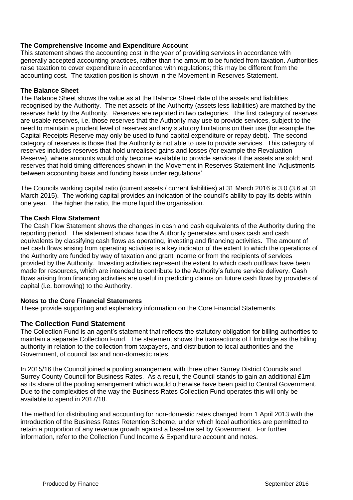#### **The Comprehensive Income and Expenditure Account**

This statement shows the accounting cost in the year of providing services in accordance with generally accepted accounting practices, rather than the amount to be funded from taxation. Authorities raise taxation to cover expenditure in accordance with regulations; this may be different from the accounting cost. The taxation position is shown in the Movement in Reserves Statement.

#### **The Balance Sheet**

The Balance Sheet shows the value as at the Balance Sheet date of the assets and liabilities recognised by the Authority. The net assets of the Authority (assets less liabilities) are matched by the reserves held by the Authority. Reserves are reported in two categories. The first category of reserves are usable reserves, i.e. those reserves that the Authority may use to provide services, subject to the need to maintain a prudent level of reserves and any statutory limitations on their use (for example the Capital Receipts Reserve may only be used to fund capital expenditure or repay debt). The second category of reserves is those that the Authority is not able to use to provide services. This category of reserves includes reserves that hold unrealised gains and losses (for example the Revaluation Reserve), where amounts would only become available to provide services if the assets are sold; and reserves that hold timing differences shown in the Movement in Reserves Statement line 'Adjustments between accounting basis and funding basis under regulations'.

The Councils working capital ratio (current assets / current liabilities) at 31 March 2016 is 3.0 (3.6 at 31 March 2015). The working capital provides an indication of the council's ability to pay its debts within one year. The higher the ratio, the more liquid the organisation.

#### **The Cash Flow Statement**

The Cash Flow Statement shows the changes in cash and cash equivalents of the Authority during the reporting period. The statement shows how the Authority generates and uses cash and cash equivalents by classifying cash flows as operating, investing and financing activities. The amount of net cash flows arising from operating activities is a key indicator of the extent to which the operations of the Authority are funded by way of taxation and grant income or from the recipients of services provided by the Authority. Investing activities represent the extent to which cash outflows have been made for resources, which are intended to contribute to the Authority's future service delivery. Cash flows arising from financing activities are useful in predicting claims on future cash flows by providers of capital (i.e. borrowing) to the Authority.

#### **Notes to the Core Financial Statements**

These provide supporting and explanatory information on the Core Financial Statements.

#### **The Collection Fund Statement**

The Collection Fund is an agent's statement that reflects the statutory obligation for billing authorities to maintain a separate Collection Fund. The statement shows the transactions of Elmbridge as the billing authority in relation to the collection from taxpayers, and distribution to local authorities and the Government, of council tax and non-domestic rates.

In 2015/16 the Council joined a pooling arrangement with three other Surrey District Councils and Surrey County Council for Business Rates. As a result, the Council stands to gain an additional £1m as its share of the pooling arrangement which would otherwise have been paid to Central Government. Due to the complexities of the way the Business Rates Collection Fund operates this will only be available to spend in 2017/18.

The method for distributing and accounting for non-domestic rates changed from 1 April 2013 with the introduction of the Business Rates Retention Scheme, under which local authorities are permitted to retain a proportion of any revenue growth against a baseline set by Government. For further information, refer to the Collection Fund Income & Expenditure account and notes.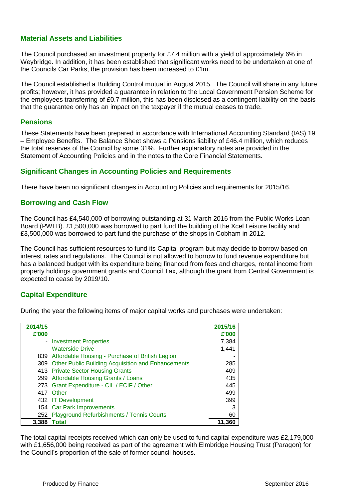# **Material Assets and Liabilities**

The Council purchased an investment property for £7.4 million with a yield of approximately 6% in Weybridge. In addition, it has been established that significant works need to be undertaken at one of the Councils Car Parks, the provision has been increased to £1m.

The Council established a Building Control mutual in August 2015. The Council will share in any future profits; however, it has provided a guarantee in relation to the Local Government Pension Scheme for the employees transferring of £0.7 million, this has been disclosed as a contingent liability on the basis that the guarantee only has an impact on the taxpayer if the mutual ceases to trade.

#### **Pensions**

These Statements have been prepared in accordance with International Accounting Standard (IAS) 19 – Employee Benefits. The Balance Sheet shows a Pensions liability of £46.4 million, which reduces the total reserves of the Council by some 31%. Further explanatory notes are provided in the Statement of Accounting Policies and in the notes to the Core Financial Statements.

## **Significant Changes in Accounting Policies and Requirements**

There have been no significant changes in Accounting Policies and requirements for 2015/16.

#### **Borrowing and Cash Flow**

The Council has £4,540,000 of borrowing outstanding at 31 March 2016 from the Public Works Loan Board (PWLB). £1,500,000 was borrowed to part fund the building of the Xcel Leisure facility and £3,500,000 was borrowed to part fund the purchase of the shops in Cobham in 2012.

The Council has sufficient resources to fund its Capital program but may decide to borrow based on interest rates and regulations. The Council is not allowed to borrow to fund revenue expenditure but has a balanced budget with its expenditure being financed from fees and charges, rental income from property holdings government grants and Council Tax, although the grant from Central Government is expected to cease by 2019/10.

## **Capital Expenditure**

During the year the following items of major capital works and purchases were undertaken:

| 2014/15 |                                                        | 2015/16 |
|---------|--------------------------------------------------------|---------|
| £'000   |                                                        | £'000   |
|         | - Investment Properties                                | 7,384   |
|         | - Waterside Drive                                      | 1,441   |
|         | 839 Affordable Housing - Purchase of British Legion    |         |
|         | 309 Other Public Building Acquisition and Enhancements | 285     |
|         | 413 Private Sector Housing Grants                      | 409     |
|         | 299 Affordable Housing Grants / Loans                  | 435     |
|         | 273 Grant Expenditure - CIL / ECIF / Other             | 445     |
|         | 417 Other                                              | 499     |
|         | 432 IT Development                                     | 399     |
|         | 154 Car Park Improvements                              | 3       |
|         | 252 Playground Refurbishments / Tennis Courts          | 60      |
| 3,388   | Total                                                  | 11,360  |

The total capital receipts received which can only be used to fund capital expenditure was £2,179,000 with £1,656,000 being received as part of the agreement with Elmbridge Housing Trust (Paragon) for the Council's proportion of the sale of former council houses.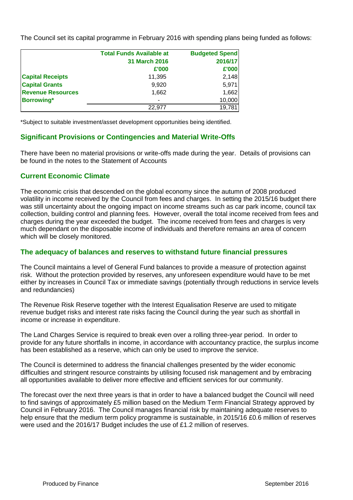The Council set its capital programme in February 2016 with spending plans being funded as follows:

|                          | <b>Total Funds Available at</b> | <b>Budgeted Spend</b> |
|--------------------------|---------------------------------|-----------------------|
|                          | <b>31 March 2016</b>            | 2016/17               |
|                          | £'000                           | £'000                 |
| <b>Capital Receipts</b>  | 11,395                          | 2,148                 |
| <b>Capital Grants</b>    | 9,920                           | 5,971                 |
| <b>Revenue Resources</b> | 1.662                           | 1,662                 |
| <b>Borrowing*</b>        | ٠                               | 10,000                |
|                          | 22.977                          | 19,781                |

\*Subject to suitable investment/asset development opportunities being identified.

## **Significant Provisions or Contingencies and Material Write-Offs**

There have been no material provisions or write-offs made during the year. Details of provisions can be found in the notes to the Statement of Accounts

#### **Current Economic Climate**

The economic crisis that descended on the global economy since the autumn of 2008 produced volatility in income received by the Council from fees and charges. In setting the 2015/16 budget there was still uncertainty about the ongoing impact on income streams such as car park income, council tax collection, building control and planning fees. However, overall the total income received from fees and charges during the year exceeded the budget. The income received from fees and charges is very much dependant on the disposable income of individuals and therefore remains an area of concern which will be closely monitored.

#### **The adequacy of balances and reserves to withstand future financial pressures**

The Council maintains a level of General Fund balances to provide a measure of protection against risk. Without the protection provided by reserves, any unforeseen expenditure would have to be met either by increases in Council Tax or immediate savings (potentially through reductions in service levels and redundancies)

The Revenue Risk Reserve together with the Interest Equalisation Reserve are used to mitigate revenue budget risks and interest rate risks facing the Council during the year such as shortfall in income or increase in expenditure.

The Land Charges Service is required to break even over a rolling three-year period. In order to provide for any future shortfalls in income, in accordance with accountancy practice, the surplus income has been established as a reserve, which can only be used to improve the service.

The Council is determined to address the financial challenges presented by the wider economic difficulties and stringent resource constraints by utilising focused risk management and by embracing all opportunities available to deliver more effective and efficient services for our community.

The forecast over the next three years is that in order to have a balanced budget the Council will need to find savings of approximately £5 million based on the Medium Term Financial Strategy approved by Council in February 2016. The Council manages financial risk by maintaining adequate reserves to help ensure that the medium term policy programme is sustainable, in 2015/16 £0.6 million of reserves were used and the 2016/17 Budget includes the use of £1.2 million of reserves.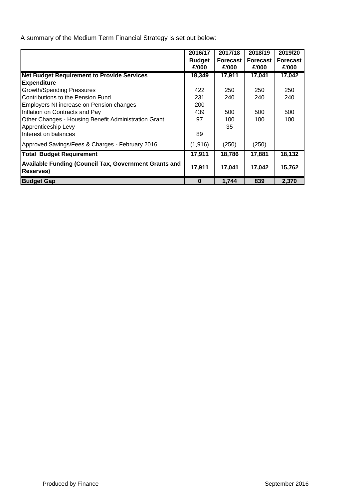A summary of the Medium Term Financial Strategy is set out below:

|                                                                                   | 2016/17       | 2017/18         | 2018/19         | 2019/20         |
|-----------------------------------------------------------------------------------|---------------|-----------------|-----------------|-----------------|
|                                                                                   | <b>Budget</b> | <b>Forecast</b> | <b>Forecast</b> | <b>Forecast</b> |
|                                                                                   | £'000         | £'000           | £'000           | £'000           |
| <b>Net Budget Requirement to Provide Services</b>                                 | 18,349        | 17,911          | 17,041          | 17,042          |
| <b>Expenditure</b>                                                                |               |                 |                 |                 |
| <b>Growth/Spending Pressures</b>                                                  | 422           | 250             | 250             | 250             |
| Contributions to the Pension Fund                                                 | 231           | 240             | 240             | 240             |
| Employers NI increase on Pension changes                                          | 200           |                 |                 |                 |
| Inflation on Contracts and Pay                                                    | 439           | 500             | 500             | 500             |
| Other Changes - Housing Benefit Administration Grant                              | 97            | 100             | 100             | 100             |
| Apprenticeship Levy                                                               |               | 35              |                 |                 |
| Interest on balances                                                              | 89            |                 |                 |                 |
| Approved Savings/Fees & Charges - February 2016                                   | (1,916)       | (250)           | (250)           |                 |
| <b>Total Budget Requirement</b>                                                   | 17,911        | 18,786          | 17,881          | 18,132          |
| <b>Available Funding (Council Tax, Government Grants and</b><br><b>Reserves</b> ) | 17,911        | 17,041          | 17,042          | 15,762          |
| <b>Budget Gap</b>                                                                 | 0             | 1,744           | 839             | 2,370           |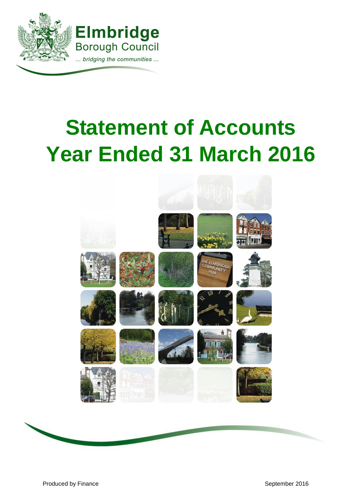

# **Statement of Accounts Year Ended 31 March 2016**



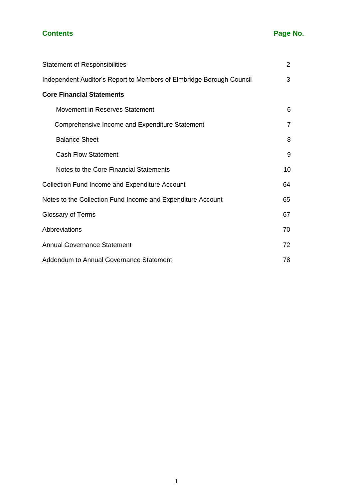# **Contents Page No.**

| <b>Statement of Responsibilities</b>                                 | 2              |
|----------------------------------------------------------------------|----------------|
| Independent Auditor's Report to Members of Elmbridge Borough Council | 3              |
| <b>Core Financial Statements</b>                                     |                |
| Movement in Reserves Statement                                       | 6              |
| Comprehensive Income and Expenditure Statement                       | $\overline{7}$ |
| <b>Balance Sheet</b>                                                 | 8              |
| <b>Cash Flow Statement</b>                                           | 9              |
| Notes to the Core Financial Statements                               | 10             |
| <b>Collection Fund Income and Expenditure Account</b>                | 64             |
| Notes to the Collection Fund Income and Expenditure Account          | 65             |
| <b>Glossary of Terms</b>                                             | 67             |
| Abbreviations                                                        | 70             |
| <b>Annual Governance Statement</b>                                   | 72             |
| Addendum to Annual Governance Statement                              | 78             |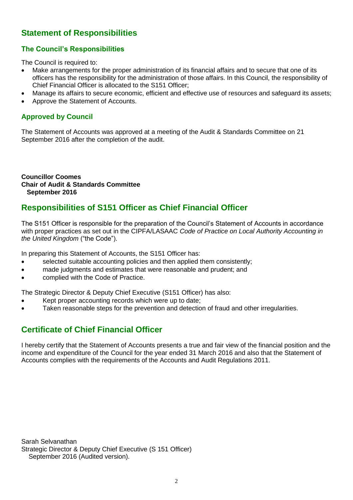# **Statement of Responsibilities**

# **The Council's Responsibilities**

The Council is required to:

- Make arrangements for the proper administration of its financial affairs and to secure that one of its officers has the responsibility for the administration of those affairs. In this Council, the responsibility of Chief Financial Officer is allocated to the S151 Officer;
- Manage its affairs to secure economic, efficient and effective use of resources and safeguard its assets;
- Approve the Statement of Accounts.

# **Approved by Council**

The Statement of Accounts was approved at a meeting of the Audit & Standards Committee on 21 September 2016 after the completion of the audit.

**Councillor Coomes Chair of Audit & Standards Committee September 2016**

# **Responsibilities of S151 Officer as Chief Financial Officer**

The S151 Officer is responsible for the preparation of the Council's Statement of Accounts in accordance with proper practices as set out in the CIPFA/LASAAC *Code of Practice on Local Authority Accounting in the United Kingdom* ("the Code").

In preparing this Statement of Accounts, the S151 Officer has:

- selected suitable accounting policies and then applied them consistently;
- made judgments and estimates that were reasonable and prudent; and
- complied with the Code of Practice.

The Strategic Director & Deputy Chief Executive (S151 Officer) has also:

- Kept proper accounting records which were up to date;
- Taken reasonable steps for the prevention and detection of fraud and other irregularities.

# **Certificate of Chief Financial Officer**

I hereby certify that the Statement of Accounts presents a true and fair view of the financial position and the income and expenditure of the Council for the year ended 31 March 2016 and also that the Statement of Accounts complies with the requirements of the Accounts and Audit Regulations 2011.

Sarah Selvanathan Strategic Director & Deputy Chief Executive (S 151 Officer) September 2016 (Audited version).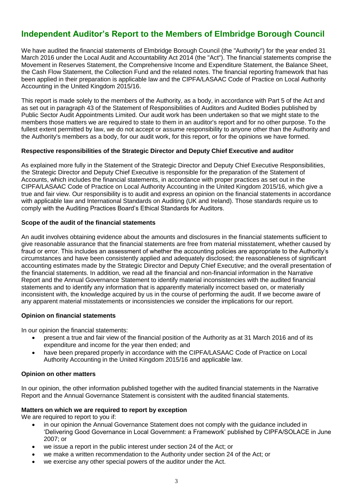# **Independent Auditor's Report to the Members of Elmbridge Borough Council**

We have audited the financial statements of Elmbridge Borough Council (the "Authority") for the year ended 31 March 2016 under the Local Audit and Accountability Act 2014 (the "Act"). The financial statements comprise the Movement in Reserves Statement, the Comprehensive Income and Expenditure Statement, the Balance Sheet, the Cash Flow Statement, the Collection Fund and the related notes. The financial reporting framework that has been applied in their preparation is applicable law and the CIPFA/LASAAC Code of Practice on Local Authority Accounting in the United Kingdom 2015/16.

This report is made solely to the members of the Authority, as a body, in accordance with Part 5 of the Act and as set out in paragraph 43 of the Statement of Responsibilities of Auditors and Audited Bodies published by Public Sector Audit Appointments Limited. Our audit work has been undertaken so that we might state to the members those matters we are required to state to them in an auditor's report and for no other purpose. To the fullest extent permitted by law, we do not accept or assume responsibility to anyone other than the Authority and the Authority's members as a body, for our audit work, for this report, or for the opinions we have formed.

#### **Respective responsibilities of the Strategic Director and Deputy Chief Executive and auditor**

As explained more fully in the Statement of the Strategic Director and Deputy Chief Executive Responsibilities, the Strategic Director and Deputy Chief Executive is responsible for the preparation of the Statement of Accounts, which includes the financial statements, in accordance with proper practices as set out in the CIPFA/LASAAC Code of Practice on Local Authority Accounting in the United Kingdom 2015/16, which give a true and fair view. Our responsibility is to audit and express an opinion on the financial statements in accordance with applicable law and International Standards on Auditing (UK and Ireland). Those standards require us to comply with the Auditing Practices Board's Ethical Standards for Auditors.

#### **Scope of the audit of the financial statements**

An audit involves obtaining evidence about the amounts and disclosures in the financial statements sufficient to give reasonable assurance that the financial statements are free from material misstatement, whether caused by fraud or error. This includes an assessment of whether the accounting policies are appropriate to the Authority's circumstances and have been consistently applied and adequately disclosed; the reasonableness of significant accounting estimates made by the Strategic Director and Deputy Chief Executive; and the overall presentation of the financial statements. In addition, we read all the financial and non-financial information in the Narrative Report and the Annual Governance Statement to identify material inconsistencies with the audited financial statements and to identify any information that is apparently materially incorrect based on, or materially inconsistent with, the knowledge acquired by us in the course of performing the audit. If we become aware of any apparent material misstatements or inconsistencies we consider the implications for our report.

#### **Opinion on financial statements**

In our opinion the financial statements:

- present a true and fair view of the financial position of the Authority as at 31 March 2016 and of its expenditure and income for the year then ended; and
- have been prepared properly in accordance with the CIPFA/LASAAC Code of Practice on Local Authority Accounting in the United Kingdom 2015/16 and applicable law.

#### **Opinion on other matters**

In our opinion, the other information published together with the audited financial statements in the Narrative Report and the Annual Governance Statement is consistent with the audited financial statements.

#### **Matters on which we are required to report by exception**

We are required to report to you if:

- in our opinion the Annual Governance Statement does not comply with the guidance included in 'Delivering Good Governance in Local Government: a Framework' published by CIPFA/SOLACE in June 2007; or
- we issue a report in the public interest under section 24 of the Act; or
- we make a written recommendation to the Authority under section 24 of the Act; or
- we exercise any other special powers of the auditor under the Act.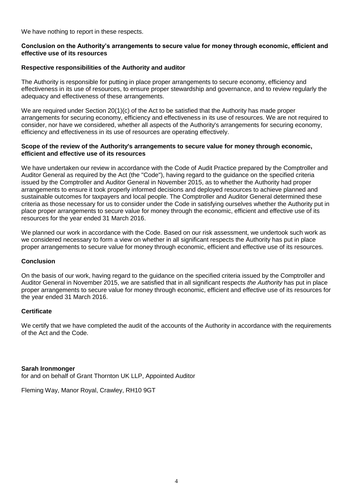We have nothing to report in these respects.

#### **Conclusion on the Authority's arrangements to secure value for money through economic, efficient and effective use of its resources**

#### **Respective responsibilities of the Authority and auditor**

The Authority is responsible for putting in place proper arrangements to secure economy, efficiency and effectiveness in its use of resources, to ensure proper stewardship and governance, and to review regularly the adequacy and effectiveness of these arrangements.

We are required under Section 20(1)(c) of the Act to be satisfied that the Authority has made proper arrangements for securing economy, efficiency and effectiveness in its use of resources. We are not required to consider, nor have we considered, whether all aspects of the Authority's arrangements for securing economy, efficiency and effectiveness in its use of resources are operating effectively.

#### **Scope of the review of the Authority's arrangements to secure value for money through economic, efficient and effective use of its resources**

We have undertaken our review in accordance with the Code of Audit Practice prepared by the Comptroller and Auditor General as required by the Act (the "Code"), having regard to the guidance on the specified criteria issued by the Comptroller and Auditor General in November 2015, as to whether the Authority had proper arrangements to ensure it took properly informed decisions and deployed resources to achieve planned and sustainable outcomes for taxpayers and local people. The Comptroller and Auditor General determined these criteria as those necessary for us to consider under the Code in satisfying ourselves whether the Authority put in place proper arrangements to secure value for money through the economic, efficient and effective use of its resources for the year ended 31 March 2016.

We planned our work in accordance with the Code. Based on our risk assessment, we undertook such work as we considered necessary to form a view on whether in all significant respects the Authority has put in place proper arrangements to secure value for money through economic, efficient and effective use of its resources.

#### **Conclusion**

On the basis of our work, having regard to the guidance on the specified criteria issued by the Comptroller and Auditor General in November 2015, we are satisfied that in all significant respects *the Authority* has put in place proper arrangements to secure value for money through economic, efficient and effective use of its resources for the year ended 31 March 2016.

#### **Certificate**

We certify that we have completed the audit of the accounts of the Authority in accordance with the requirements of the Act and the Code.

#### **Sarah Ironmonger**

for and on behalf of Grant Thornton UK LLP, Appointed Auditor

Fleming Way, Manor Royal, Crawley, RH10 9GT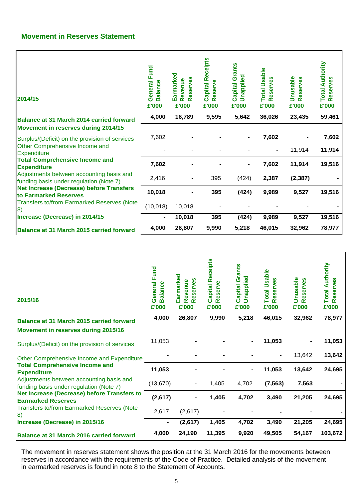# **Movement in Reserves Statement**

г

| 2014/15                                                                                                                                                                                                                                                                                                                                                                                              | Fund<br>ပ္ပ<br>General<br>alano<br>ന്<br>£'000 | Earmarked<br>eserves<br>evenue<br>$\alpha$<br>$\alpha$<br>£'000 | <b>Capital Receipts</b><br>Reserve<br>£'000 | <b>Capital Grants</b><br>Unapplied<br>£'000 | <b>Total Usable</b><br>eserves<br>$\alpha$<br>£'000 | <b>Unusable</b><br>Reserves<br>£'000 | <b>Total Authority</b><br>eserves<br>$\alpha$<br>£'000 |
|------------------------------------------------------------------------------------------------------------------------------------------------------------------------------------------------------------------------------------------------------------------------------------------------------------------------------------------------------------------------------------------------------|------------------------------------------------|-----------------------------------------------------------------|---------------------------------------------|---------------------------------------------|-----------------------------------------------------|--------------------------------------|--------------------------------------------------------|
| <b>Balance at 31 March 2014 carried forward</b>                                                                                                                                                                                                                                                                                                                                                      | 4,000                                          | 16,789                                                          | 9,595                                       | 5,642                                       | 36,026                                              | 23,435                               | 59,461                                                 |
| Movement in reserves during 2014/15                                                                                                                                                                                                                                                                                                                                                                  |                                                |                                                                 |                                             |                                             |                                                     |                                      |                                                        |
| Surplus/(Deficit) on the provision of services<br>Other Comprehensive Income and<br><b>Expenditure</b><br><b>Total Comprehensive Income and</b><br><b>Expenditure</b><br>Adjustments between accounting basis and<br>funding basis under regulation (Note 7)<br><b>Net Increase (Decrease) before Transfers</b><br>to Earmarked Reserves<br><b>Transfers to/from Earmarked Reserves (Note</b><br> 8) | 7,602                                          |                                                                 |                                             |                                             | 7,602                                               |                                      | 7,602                                                  |
|                                                                                                                                                                                                                                                                                                                                                                                                      |                                                |                                                                 |                                             |                                             |                                                     | 11,914                               | 11,914                                                 |
|                                                                                                                                                                                                                                                                                                                                                                                                      | 7,602                                          |                                                                 |                                             | -                                           | 7,602                                               | 11,914                               | 19,516                                                 |
|                                                                                                                                                                                                                                                                                                                                                                                                      | 2,416                                          | $\overline{\phantom{a}}$                                        | 395                                         | (424)                                       | 2,387                                               | (2, 387)                             |                                                        |
|                                                                                                                                                                                                                                                                                                                                                                                                      | 10,018                                         |                                                                 | 395                                         | (424)                                       | 9,989                                               | 9,527                                | 19,516                                                 |
|                                                                                                                                                                                                                                                                                                                                                                                                      | (10, 018)                                      | 10,018                                                          |                                             |                                             |                                                     |                                      |                                                        |
| Increase (Decrease) in 2014/15                                                                                                                                                                                                                                                                                                                                                                       |                                                | 10,018                                                          | 395                                         | (424)                                       | 9,989                                               | 9,527                                | 19,516                                                 |
| Balance at 31 March 2015 carried forward                                                                                                                                                                                                                                                                                                                                                             | 4,000                                          | 26,807                                                          | 9,990                                       | 5,218                                       | 46,015                                              | 32,962                               | 78,977                                                 |

| 2015/16                                                                                                                                                                                                                                                                                                                                  | Fund<br>General<br><b>Balance</b><br>£'000 | Earmarked<br>89<br>evenue<br>eserv<br>$\alpha$<br>$\alpha$<br>£'000 | <b>Capital Receipts</b><br>٤<br>eser<br>$\alpha$<br>£'000 | <b>Capital Grants</b><br>Unapplied<br>£'000 | <b>Total Usable</b><br>ဖိ<br>eserve<br>$\alpha$<br>£'000 | <b>Unusable</b><br>eserves<br>$\alpha$<br>£'000 | <b>Total Authority</b><br>Reserves<br>£'000 |
|------------------------------------------------------------------------------------------------------------------------------------------------------------------------------------------------------------------------------------------------------------------------------------------------------------------------------------------|--------------------------------------------|---------------------------------------------------------------------|-----------------------------------------------------------|---------------------------------------------|----------------------------------------------------------|-------------------------------------------------|---------------------------------------------|
| Balance at 31 March 2015 carried forward                                                                                                                                                                                                                                                                                                 | 4,000                                      | 26,807                                                              | 9,990                                                     | 5,218                                       | 46,015                                                   | 32,962                                          | 78,977                                      |
| Movement in reserves during 2015/16                                                                                                                                                                                                                                                                                                      |                                            |                                                                     |                                                           |                                             |                                                          |                                                 |                                             |
| Surplus/(Deficit) on the provision of services                                                                                                                                                                                                                                                                                           | 11,053                                     |                                                                     |                                                           |                                             | 11,053                                                   |                                                 | 11,053                                      |
| Other Comprehensive Income and Expenditure<br><b>Total Comprehensive Income and</b><br><b>Expenditure</b><br>Adjustments between accounting basis and<br>funding basis under regulation (Note 7)<br>Net Increase (Decrease) before Transfers to<br><b>Earmarked Reserves</b><br><b>Transfers to/from Earmarked Reserves (Note</b><br> 8) |                                            |                                                                     |                                                           |                                             |                                                          | 13,642                                          | 13,642                                      |
|                                                                                                                                                                                                                                                                                                                                          | 11,053                                     |                                                                     |                                                           |                                             | 11,053                                                   | 13,642                                          | 24,695                                      |
|                                                                                                                                                                                                                                                                                                                                          | (13, 670)                                  |                                                                     | 1,405                                                     | 4,702                                       | (7, 563)                                                 | 7,563                                           |                                             |
|                                                                                                                                                                                                                                                                                                                                          | (2,617)                                    |                                                                     | 1,405                                                     | 4,702                                       | 3,490                                                    | 21,205                                          | 24,695                                      |
|                                                                                                                                                                                                                                                                                                                                          | 2,617                                      | (2,617)                                                             |                                                           |                                             |                                                          |                                                 |                                             |
| Increase (Decrease) in 2015/16                                                                                                                                                                                                                                                                                                           | $\blacksquare$                             | (2,617)                                                             | 1,405                                                     | 4,702                                       | 3,490                                                    | 21,205                                          | 24,695                                      |
| Balance at 31 March 2016 carried forward                                                                                                                                                                                                                                                                                                 | 4,000                                      | 24,190                                                              | 11,395                                                    | 9,920                                       | 49,505                                                   | 54,167                                          | 103,672                                     |

The movement in reserves statement shows the position at the 31 March 2016 for the movements between reserves in accordance with the requirements of the Code of Practice. Detailed analysis of the movement in earmarked reserves is found in note 8 to the Statement of Accounts.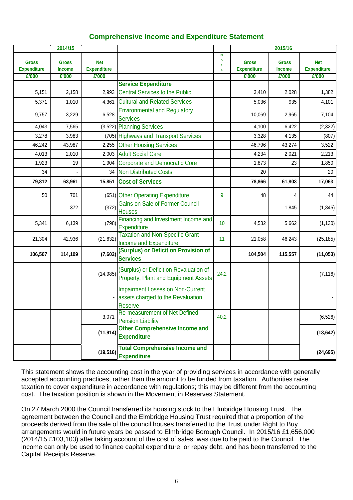# **Comprehensive Income and Expenditure Statement**

|                                    | 2014/15                       |                                  |                                                                                                |                                                  |                                    | 2015/16                       |                                  |
|------------------------------------|-------------------------------|----------------------------------|------------------------------------------------------------------------------------------------|--------------------------------------------------|------------------------------------|-------------------------------|----------------------------------|
| <b>Gross</b><br><b>Expenditure</b> | <b>Gross</b><br><b>Income</b> | <b>Net</b><br><b>Expenditure</b> |                                                                                                | N<br>$\mathbf{o}$<br>$\mathbf{t}$<br>$\mathbf e$ | <b>Gross</b><br><b>Expenditure</b> | <b>Gross</b><br><b>Income</b> | <b>Net</b><br><b>Expenditure</b> |
| E'000                              | E'000                         | £'000                            |                                                                                                |                                                  | E'000                              | E'000                         | E'000                            |
|                                    |                               |                                  | <b>Service Expenditure</b>                                                                     |                                                  |                                    |                               |                                  |
| 5,151                              | 2,158                         | 2,993                            | <b>Central Services to the Public</b>                                                          |                                                  | 3,410                              | 2,028                         | 1,382                            |
| 5,371                              | 1,010                         | 4,361                            | <b>Cultural and Related Services</b>                                                           |                                                  | 5,036                              | 935                           | 4,101                            |
| 9,757                              | 3,229                         | 6,528                            | <b>Environmental and Regulatory</b><br><b>Services</b>                                         |                                                  | 10,069                             | 2,965                         | 7,104                            |
| 4,043                              | 7,565                         |                                  | $(3,522)$ Planning Services                                                                    |                                                  | 4,100                              | 6,422                         | (2, 322)                         |
| 3,278                              | 3,983                         |                                  | (705) Highways and Transport Services                                                          |                                                  | 3,328                              | 4,135                         | (807)                            |
| 46,242                             | 43,987                        | 2,255                            | <b>Other Housing Services</b>                                                                  |                                                  | 46,796                             | 43,274                        | 3,522                            |
| 4,013                              | 2,010                         | 2,003                            | <b>Adult Social Care</b>                                                                       |                                                  | 4,234                              | 2,021                         | 2,213                            |
| 1,923                              | 19                            | 1,904                            | <b>Corporate and Democratic Core</b>                                                           |                                                  | 1,873                              | 23                            | 1,850                            |
| 34                                 |                               | 34                               | Non Distributed Costs                                                                          |                                                  | 20                                 |                               | 20                               |
| 79,812                             | 63,961                        | 15,851                           | <b>Cost of Services</b>                                                                        |                                                  | 78,866                             | 61,803                        | 17,063                           |
| 50                                 | 701                           |                                  | (651) Other Operating Expenditure                                                              | 9                                                | 48                                 | 4                             | 44                               |
|                                    | 372                           | (372)                            | Gains on Sale of Former Council<br><b>Houses</b>                                               |                                                  |                                    | 1,845                         | (1, 845)                         |
| 5,341                              | 6,139                         | (798)                            | Financing and Investment Income and<br>Expenditure                                             | 10                                               | 4,532                              | 5,662                         | (1, 130)                         |
| 21,304                             | 42,936                        | (21, 632)                        | <b>Taxation and Non-Specific Grant</b><br>Income and Expenditure                               | 11                                               | 21,058                             | 46,243                        | (25, 185)                        |
| 106,507                            | 114,109                       | (7,602)                          | (Surplus) or Deficit on Provision of<br><b>Services</b>                                        |                                                  | 104,504                            | 115,557                       | (11, 053)                        |
|                                    |                               | (14, 985)                        | (Surplus) or Deficit on Revaluation of<br>Property, Plant and Equipment Assets                 | 24.2                                             |                                    |                               | (7, 116)                         |
|                                    |                               |                                  | <b>Impairment Losses on Non-Current</b><br>assets charged to the Revaluation<br><b>Reserve</b> |                                                  |                                    |                               |                                  |
|                                    |                               | 3,071                            | Re-measurement of Net Defined<br><b>Pension Liability</b>                                      | 40.2                                             |                                    |                               | (6, 526)                         |
|                                    |                               | (11, 914)                        | <b>Other Comprehensive Income and</b><br><b>Expenditure</b>                                    |                                                  |                                    |                               | (13, 642)                        |
|                                    |                               | (19, 516)                        | <b>Total Comprehensive Income and</b><br><b>Expenditure</b>                                    |                                                  |                                    |                               | (24, 695)                        |

This statement shows the accounting cost in the year of providing services in accordance with generally accepted accounting practices, rather than the amount to be funded from taxation. Authorities raise taxation to cover expenditure in accordance with regulations; this may be different from the accounting cost. The taxation position is shown in the Movement in Reserves Statement.

On 27 March 2000 the Council transferred its housing stock to the Elmbridge Housing Trust. The agreement between the Council and the Elmbridge Housing Trust required that a proportion of the proceeds derived from the sale of the council houses transferred to the Trust under Right to Buy arrangements would in future years be passed to Elmbridge Borough Council. In 2015/16 £1,656,000 (2014/15 £103,103) after taking account of the cost of sales, was due to be paid to the Council. The income can only be used to finance capital expenditure, or repay debt, and has been transferred to the Capital Receipts Reserve.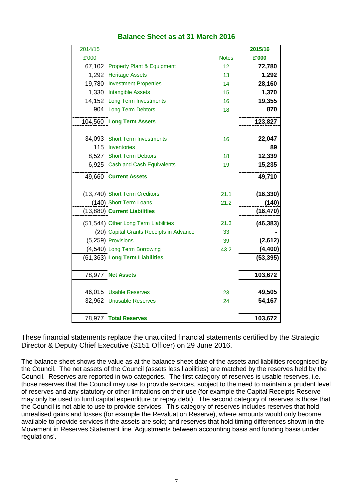| 2014/15 |                                         |              | 2015/16   |
|---------|-----------------------------------------|--------------|-----------|
| £'000   |                                         | <b>Notes</b> | £'000     |
|         | 67,102 Property Plant & Equipment       | 12           | 72,780    |
|         | 1,292 Heritage Assets                   | 13           | 1,292     |
|         | 19,780 Investment Properties            | 14           | 28,160    |
|         | 1,330 Intangible Assets                 | 15           | 1,370     |
|         | 14,152 Long Term Investments            | 16           | 19,355    |
|         | 904 Long Term Debtors                   | 18           | 870       |
|         | 104,560 Long Term Assets                |              | 123,827   |
|         |                                         |              |           |
|         | 34,093 Short Term Investments           | 16           | 22,047    |
|         | 115 Inventories                         |              | 89        |
|         | 8,527 Short Term Debtors                | 18           | 12,339    |
|         | 6,925 Cash and Cash Equivalents         | 19           | 15,235    |
|         | 49,660 Current Assets                   |              | 49,710    |
|         | (13,740) Short Term Creditors           | 21.1         | (16, 330) |
|         | (140) Short Term Loans                  | 21.2         | (140)     |
|         | (13,880) Current Liabilities            |              | (16, 470) |
|         | (51,544) Other Long Term Liabilities    | 21.3         | (46, 383) |
|         | (20) Capital Grants Receipts in Advance | 33           |           |
|         | (5,259) Provisions                      | 39           | (2,612)   |
|         | (4,540) Long Term Borrowing             | 43.2         | (4, 400)  |
|         | (61,363) Long Term Liabilities          |              | (53, 395) |
|         |                                         |              |           |
|         | 78,977 Net Assets                       |              | 103,672   |
|         |                                         |              |           |
|         | 46,015 Usable Reserves                  | 23           | 49,505    |
|         | 32,962 Unusable Reserves                | 24           | 54,167    |
|         | 78,977 Total Reserves                   |              | 103,672   |

# **Balance Sheet as at 31 March 2016**

These financial statements replace the unaudited financial statements certified by the Strategic Director & Deputy Chief Executive (S151 Officer) on 29 June 2016.

The balance sheet shows the value as at the balance sheet date of the assets and liabilities recognised by the Council. The net assets of the Council (assets less liabilities) are matched by the reserves held by the Council. Reserves are reported in two categories. The first category of reserves is usable reserves, i.e. those reserves that the Council may use to provide services, subject to the need to maintain a prudent level of reserves and any statutory or other limitations on their use (for example the Capital Receipts Reserve may only be used to fund capital expenditure or repay debt). The second category of reserves is those that the Council is not able to use to provide services. This category of reserves includes reserves that hold unrealised gains and losses (for example the Revaluation Reserve), where amounts would only become available to provide services if the assets are sold; and reserves that hold timing differences shown in the Movement in Reserves Statement line 'Adjustments between accounting basis and funding basis under regulations'.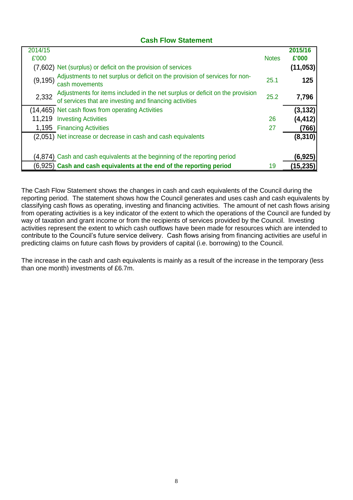# **Cash Flow Statement**

| 2014/15<br>£'000 |                                                                                                                                          | <b>Notes</b> | 2015/16<br>£'000 |
|------------------|------------------------------------------------------------------------------------------------------------------------------------------|--------------|------------------|
|                  | (7,602) Net (surplus) or deficit on the provision of services                                                                            |              | (11, 053)        |
| (9, 195)         | Adjustments to net surplus or deficit on the provision of services for non-<br>cash movements                                            | 25.1         | 125              |
| 2,332            | Adjustments for items included in the net surplus or deficit on the provision<br>of services that are investing and financing activities | 25.2         | 7,796            |
|                  | (14,465) Net cash flows from operating Activities                                                                                        |              | (3, 132)         |
|                  | 11,219 Investing Activities                                                                                                              | 26           | (4,412)          |
|                  | 1,195 Financing Activities                                                                                                               | 27           | (766)            |
|                  | (2,051) Net increase or decrease in cash and cash equivalents                                                                            |              | (8, 310)         |
|                  | (4,874) Cash and cash equivalents at the beginning of the reporting period                                                               |              | (6,925)          |
|                  | (6,925) Cash and cash equivalents at the end of the reporting period                                                                     | 19           | (15, 235)        |

The Cash Flow Statement shows the changes in cash and cash equivalents of the Council during the reporting period. The statement shows how the Council generates and uses cash and cash equivalents by classifying cash flows as operating, investing and financing activities. The amount of net cash flows arising from operating activities is a key indicator of the extent to which the operations of the Council are funded by way of taxation and grant income or from the recipients of services provided by the Council. Investing activities represent the extent to which cash outflows have been made for resources which are intended to contribute to the Council's future service delivery. Cash flows arising from financing activities are useful in predicting claims on future cash flows by providers of capital (i.e. borrowing) to the Council.

The increase in the cash and cash equivalents is mainly as a result of the increase in the temporary (less than one month) investments of £6.7m.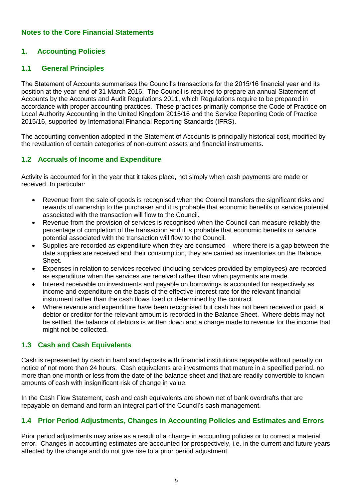# **Notes to the Core Financial Statements**

# **1. Accounting Policies**

# **1.1 General Principles**

The Statement of Accounts summarises the Council's transactions for the 2015/16 financial year and its position at the year-end of 31 March 2016. The Council is required to prepare an annual Statement of Accounts by the Accounts and Audit Regulations 2011, which Regulations require to be prepared in accordance with proper accounting practices. These practices primarily comprise the Code of Practice on Local Authority Accounting in the United Kingdom 2015/16 and the Service Reporting Code of Practice 2015/16, supported by International Financial Reporting Standards (IFRS).

The accounting convention adopted in the Statement of Accounts is principally historical cost, modified by the revaluation of certain categories of non-current assets and financial instruments.

## **1.2 Accruals of Income and Expenditure**

Activity is accounted for in the year that it takes place, not simply when cash payments are made or received. In particular:

- Revenue from the sale of goods is recognised when the Council transfers the significant risks and rewards of ownership to the purchaser and it is probable that economic benefits or service potential associated with the transaction will flow to the Council.
- Revenue from the provision of services is recognised when the Council can measure reliably the percentage of completion of the transaction and it is probable that economic benefits or service potential associated with the transaction will flow to the Council.
- Supplies are recorded as expenditure when they are consumed where there is a gap between the date supplies are received and their consumption, they are carried as inventories on the Balance Sheet.
- Expenses in relation to services received (including services provided by employees) are recorded as expenditure when the services are received rather than when payments are made.
- Interest receivable on investments and payable on borrowings is accounted for respectively as income and expenditure on the basis of the effective interest rate for the relevant financial instrument rather than the cash flows fixed or determined by the contract.
- Where revenue and expenditure have been recognised but cash has not been received or paid, a debtor or creditor for the relevant amount is recorded in the Balance Sheet. Where debts may not be settled, the balance of debtors is written down and a charge made to revenue for the income that might not be collected.

## **1.3 Cash and Cash Equivalents**

Cash is represented by cash in hand and deposits with financial institutions repayable without penalty on notice of not more than 24 hours. Cash equivalents are investments that mature in a specified period, no more than one month or less from the date of the balance sheet and that are readily convertible to known amounts of cash with insignificant risk of change in value.

In the Cash Flow Statement, cash and cash equivalents are shown net of bank overdrafts that are repayable on demand and form an integral part of the Council's cash management.

## **1.4 Prior Period Adjustments, Changes in Accounting Policies and Estimates and Errors**

Prior period adjustments may arise as a result of a change in accounting policies or to correct a material error. Changes in accounting estimates are accounted for prospectively, i.e. in the current and future years affected by the change and do not give rise to a prior period adjustment.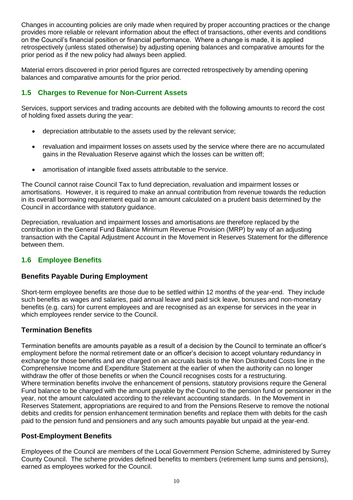Changes in accounting policies are only made when required by proper accounting practices or the change provides more reliable or relevant information about the effect of transactions, other events and conditions on the Council's financial position or financial performance. Where a change is made, it is applied retrospectively (unless stated otherwise) by adjusting opening balances and comparative amounts for the prior period as if the new policy had always been applied.

Material errors discovered in prior period figures are corrected retrospectively by amending opening balances and comparative amounts for the prior period.

# **1.5 Charges to Revenue for Non-Current Assets**

Services, support services and trading accounts are debited with the following amounts to record the cost of holding fixed assets during the year:

- depreciation attributable to the assets used by the relevant service;
- revaluation and impairment losses on assets used by the service where there are no accumulated gains in the Revaluation Reserve against which the losses can be written off;
- amortisation of intangible fixed assets attributable to the service.

The Council cannot raise Council Tax to fund depreciation, revaluation and impairment losses or amortisations. However, it is required to make an annual contribution from revenue towards the reduction in its overall borrowing requirement equal to an amount calculated on a prudent basis determined by the Council in accordance with statutory guidance.

Depreciation, revaluation and impairment losses and amortisations are therefore replaced by the contribution in the General Fund Balance Minimum Revenue Provision (MRP) by way of an adjusting transaction with the Capital Adjustment Account in the Movement in Reserves Statement for the difference between them.

# **1.6 Employee Benefits**

# **Benefits Payable During Employment**

Short-term employee benefits are those due to be settled within 12 months of the year-end. They include such benefits as wages and salaries, paid annual leave and paid sick leave, bonuses and non-monetary benefits (e.g. cars) for current employees and are recognised as an expense for services in the year in which employees render service to the Council.

# **Termination Benefits**

Termination benefits are amounts payable as a result of a decision by the Council to terminate an officer's employment before the normal retirement date or an officer's decision to accept voluntary redundancy in exchange for those benefits and are charged on an accruals basis to the Non Distributed Costs line in the Comprehensive Income and Expenditure Statement at the earlier of when the authority can no longer withdraw the offer of those benefits or when the Council recognises costs for a restructuring. Where termination benefits involve the enhancement of pensions, statutory provisions require the General Fund balance to be charged with the amount payable by the Council to the pension fund or pensioner in the year, not the amount calculated according to the relevant accounting standards. In the Movement in Reserves Statement, appropriations are required to and from the Pensions Reserve to remove the notional debits and credits for pension enhancement termination benefits and replace them with debits for the cash paid to the pension fund and pensioners and any such amounts payable but unpaid at the year-end.

# **Post-Employment Benefits**

Employees of the Council are members of the Local Government Pension Scheme, administered by Surrey County Council. The scheme provides defined benefits to members (retirement lump sums and pensions), earned as employees worked for the Council.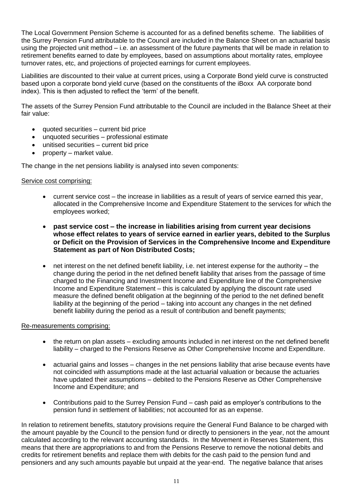The Local Government Pension Scheme is accounted for as a defined benefits scheme. The liabilities of the Surrey Pension Fund attributable to the Council are included in the Balance Sheet on an actuarial basis using the projected unit method – i.e. an assessment of the future payments that will be made in relation to retirement benefits earned to date by employees, based on assumptions about mortality rates, employee turnover rates, etc, and projections of projected earnings for current employees.

Liabilities are discounted to their value at current prices, using a Corporate Bond yield curve is constructed based upon a corporate bond yield curve (based on the constituents of the iBoxx AA corporate bond index). This is then adjusted to reflect the 'term' of the benefit.

The assets of the Surrey Pension Fund attributable to the Council are included in the Balance Sheet at their fair value:

- quoted securities current bid price
- unquoted securities professional estimate
- unitised securities current bid price
- property market value.

The change in the net pensions liability is analysed into seven components:

#### Service cost comprising:

- current service cost the increase in liabilities as a result of years of service earned this year, allocated in the Comprehensive Income and Expenditure Statement to the services for which the employees worked;
- **past service cost – the increase in liabilities arising from current year decisions whose effect relates to years of service earned in earlier years, debited to the Surplus or Deficit on the Provision of Services in the Comprehensive Income and Expenditure Statement as part of Non Distributed Costs;**
- net interest on the net defined benefit liability, i.e. net interest expense for the authority the change during the period in the net defined benefit liability that arises from the passage of time charged to the Financing and Investment Income and Expenditure line of the Comprehensive Income and Expenditure Statement – this is calculated by applying the discount rate used measure the defined benefit obligation at the beginning of the period to the net defined benefit liability at the beginning of the period – taking into account any changes in the net defined benefit liability during the period as a result of contribution and benefit payments;

#### Re-measurements comprising:

- the return on plan assets excluding amounts included in net interest on the net defined benefit liability – charged to the Pensions Reserve as Other Comprehensive Income and Expenditure.
- actuarial gains and losses changes in the net pensions liability that arise because events have not coincided with assumptions made at the last actuarial valuation or because the actuaries have updated their assumptions – debited to the Pensions Reserve as Other Comprehensive Income and Expenditure; and
- Contributions paid to the Surrey Pension Fund cash paid as employer's contributions to the pension fund in settlement of liabilities; not accounted for as an expense.

In relation to retirement benefits, statutory provisions require the General Fund Balance to be charged with the amount payable by the Council to the pension fund or directly to pensioners in the year, not the amount calculated according to the relevant accounting standards. In the Movement in Reserves Statement, this means that there are appropriations to and from the Pensions Reserve to remove the notional debits and credits for retirement benefits and replace them with debits for the cash paid to the pension fund and pensioners and any such amounts payable but unpaid at the year-end. The negative balance that arises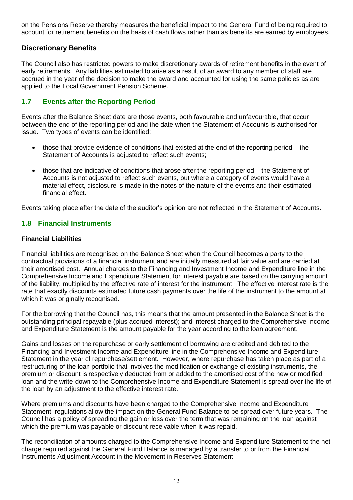on the Pensions Reserve thereby measures the beneficial impact to the General Fund of being required to account for retirement benefits on the basis of cash flows rather than as benefits are earned by employees.

# **Discretionary Benefits**

The Council also has restricted powers to make discretionary awards of retirement benefits in the event of early retirements. Any liabilities estimated to arise as a result of an award to any member of staff are accrued in the year of the decision to make the award and accounted for using the same policies as are applied to the Local Government Pension Scheme.

# **1.7 Events after the Reporting Period**

Events after the Balance Sheet date are those events, both favourable and unfavourable, that occur between the end of the reporting period and the date when the Statement of Accounts is authorised for issue. Two types of events can be identified:

- those that provide evidence of conditions that existed at the end of the reporting period the Statement of Accounts is adjusted to reflect such events;
- those that are indicative of conditions that arose after the reporting period the Statement of Accounts is not adjusted to reflect such events, but where a category of events would have a material effect, disclosure is made in the notes of the nature of the events and their estimated financial effect.

Events taking place after the date of the auditor's opinion are not reflected in the Statement of Accounts.

# **1.8 Financial Instruments**

#### **Financial Liabilities**

Financial liabilities are recognised on the Balance Sheet when the Council becomes a party to the contractual provisions of a financial instrument and are initially measured at fair value and are carried at their amortised cost. Annual charges to the Financing and Investment Income and Expenditure line in the Comprehensive Income and Expenditure Statement for interest payable are based on the carrying amount of the liability, multiplied by the effective rate of interest for the instrument. The effective interest rate is the rate that exactly discounts estimated future cash payments over the life of the instrument to the amount at which it was originally recognised.

For the borrowing that the Council has, this means that the amount presented in the Balance Sheet is the outstanding principal repayable (plus accrued interest); and interest charged to the Comprehensive Income and Expenditure Statement is the amount payable for the year according to the loan agreement.

Gains and losses on the repurchase or early settlement of borrowing are credited and debited to the Financing and Investment Income and Expenditure line in the Comprehensive Income and Expenditure Statement in the year of repurchase/settlement. However, where repurchase has taken place as part of a restructuring of the loan portfolio that involves the modification or exchange of existing instruments, the premium or discount is respectively deducted from or added to the amortised cost of the new or modified loan and the write-down to the Comprehensive Income and Expenditure Statement is spread over the life of the loan by an adjustment to the effective interest rate.

Where premiums and discounts have been charged to the Comprehensive Income and Expenditure Statement, regulations allow the impact on the General Fund Balance to be spread over future years. The Council has a policy of spreading the gain or loss over the term that was remaining on the loan against which the premium was payable or discount receivable when it was repaid.

The reconciliation of amounts charged to the Comprehensive Income and Expenditure Statement to the net charge required against the General Fund Balance is managed by a transfer to or from the Financial Instruments Adjustment Account in the Movement in Reserves Statement.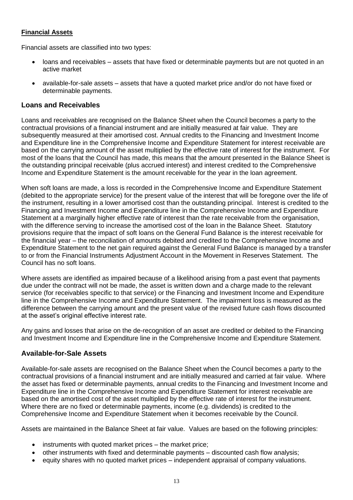#### **Financial Assets**

Financial assets are classified into two types:

- loans and receivables assets that have fixed or determinable payments but are not quoted in an active market
- available-for-sale assets assets that have a quoted market price and/or do not have fixed or determinable payments.

#### **Loans and Receivables**

Loans and receivables are recognised on the Balance Sheet when the Council becomes a party to the contractual provisions of a financial instrument and are initially measured at fair value. They are subsequently measured at their amortised cost. Annual credits to the Financing and Investment Income and Expenditure line in the Comprehensive Income and Expenditure Statement for interest receivable are based on the carrying amount of the asset multiplied by the effective rate of interest for the instrument. For most of the loans that the Council has made, this means that the amount presented in the Balance Sheet is the outstanding principal receivable (plus accrued interest) and interest credited to the Comprehensive Income and Expenditure Statement is the amount receivable for the year in the loan agreement.

When soft loans are made, a loss is recorded in the Comprehensive Income and Expenditure Statement (debited to the appropriate service) for the present value of the interest that will be foregone over the life of the instrument, resulting in a lower amortised cost than the outstanding principal. Interest is credited to the Financing and Investment Income and Expenditure line in the Comprehensive Income and Expenditure Statement at a marginally higher effective rate of interest than the rate receivable from the organisation, with the difference serving to increase the amortised cost of the loan in the Balance Sheet. Statutory provisions require that the impact of soft loans on the General Fund Balance is the interest receivable for the financial year – the reconciliation of amounts debited and credited to the Comprehensive Income and Expenditure Statement to the net gain required against the General Fund Balance is managed by a transfer to or from the Financial Instruments Adjustment Account in the Movement in Reserves Statement. The Council has no soft loans.

Where assets are identified as impaired because of a likelihood arising from a past event that payments due under the contract will not be made, the asset is written down and a charge made to the relevant service (for receivables specific to that service) or the Financing and Investment Income and Expenditure line in the Comprehensive Income and Expenditure Statement. The impairment loss is measured as the difference between the carrying amount and the present value of the revised future cash flows discounted at the asset's original effective interest rate.

Any gains and losses that arise on the de-recognition of an asset are credited or debited to the Financing and Investment Income and Expenditure line in the Comprehensive Income and Expenditure Statement.

## **Available-for-Sale Assets**

Available-for-sale assets are recognised on the Balance Sheet when the Council becomes a party to the contractual provisions of a financial instrument and are initially measured and carried at fair value. Where the asset has fixed or determinable payments, annual credits to the Financing and Investment Income and Expenditure line in the Comprehensive Income and Expenditure Statement for interest receivable are based on the amortised cost of the asset multiplied by the effective rate of interest for the instrument. Where there are no fixed or determinable payments, income (e.g. dividends) is credited to the Comprehensive Income and Expenditure Statement when it becomes receivable by the Council.

Assets are maintained in the Balance Sheet at fair value. Values are based on the following principles:

- instruments with quoted market prices the market price;
- other instruments with fixed and determinable payments discounted cash flow analysis;
- equity shares with no quoted market prices independent appraisal of company valuations.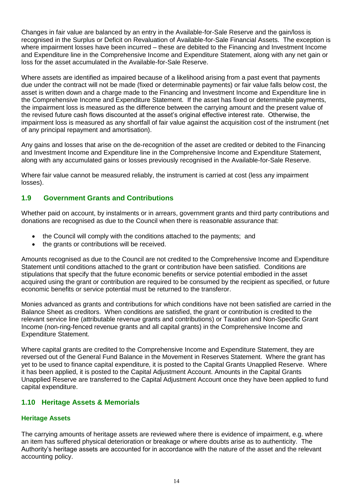Changes in fair value are balanced by an entry in the Available-for-Sale Reserve and the gain/loss is recognised in the Surplus or Deficit on Revaluation of Available-for-Sale Financial Assets. The exception is where impairment losses have been incurred – these are debited to the Financing and Investment Income and Expenditure line in the Comprehensive Income and Expenditure Statement, along with any net gain or loss for the asset accumulated in the Available-for-Sale Reserve.

Where assets are identified as impaired because of a likelihood arising from a past event that payments due under the contract will not be made (fixed or determinable payments) or fair value falls below cost, the asset is written down and a charge made to the Financing and Investment Income and Expenditure line in the Comprehensive Income and Expenditure Statement. If the asset has fixed or determinable payments, the impairment loss is measured as the difference between the carrying amount and the present value of the revised future cash flows discounted at the asset's original effective interest rate. Otherwise, the impairment loss is measured as any shortfall of fair value against the acquisition cost of the instrument (net of any principal repayment and amortisation).

Any gains and losses that arise on the de-recognition of the asset are credited or debited to the Financing and Investment Income and Expenditure line in the Comprehensive Income and Expenditure Statement, along with any accumulated gains or losses previously recognised in the Available-for-Sale Reserve.

Where fair value cannot be measured reliably, the instrument is carried at cost (less any impairment losses).

# **1.9 Government Grants and Contributions**

Whether paid on account, by instalments or in arrears, government grants and third party contributions and donations are recognised as due to the Council when there is reasonable assurance that:

- the Council will comply with the conditions attached to the payments; and
- the grants or contributions will be received.

Amounts recognised as due to the Council are not credited to the Comprehensive Income and Expenditure Statement until conditions attached to the grant or contribution have been satisfied. Conditions are stipulations that specify that the future economic benefits or service potential embodied in the asset acquired using the grant or contribution are required to be consumed by the recipient as specified, or future economic benefits or service potential must be returned to the transferor.

Monies advanced as grants and contributions for which conditions have not been satisfied are carried in the Balance Sheet as creditors. When conditions are satisfied, the grant or contribution is credited to the relevant service line (attributable revenue grants and contributions) or Taxation and Non-Specific Grant Income (non-ring-fenced revenue grants and all capital grants) in the Comprehensive Income and Expenditure Statement.

Where capital grants are credited to the Comprehensive Income and Expenditure Statement, they are reversed out of the General Fund Balance in the Movement in Reserves Statement. Where the grant has yet to be used to finance capital expenditure, it is posted to the Capital Grants Unapplied Reserve. Where it has been applied, it is posted to the Capital Adjustment Account. Amounts in the Capital Grants Unapplied Reserve are transferred to the Capital Adjustment Account once they have been applied to fund capital expenditure.

## **1.10 Heritage Assets & Memorials**

#### **Heritage Assets**

The carrying amounts of heritage assets are reviewed where there is evidence of impairment, e.g. where an item has suffered physical deterioration or breakage or where doubts arise as to authenticity. The Authority's heritage assets are accounted for in accordance with the nature of the asset and the relevant accounting policy.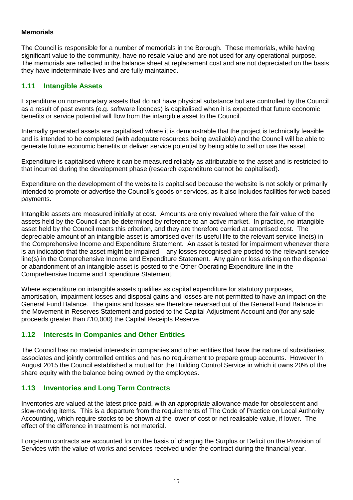#### **Memorials**

The Council is responsible for a number of memorials in the Borough. These memorials, while having significant value to the community, have no resale value and are not used for any operational purpose. The memorials are reflected in the balance sheet at replacement cost and are not depreciated on the basis they have indeterminate lives and are fully maintained.

# **1.11 Intangible Assets**

Expenditure on non-monetary assets that do not have physical substance but are controlled by the Council as a result of past events (e.g. software licences) is capitalised when it is expected that future economic benefits or service potential will flow from the intangible asset to the Council.

Internally generated assets are capitalised where it is demonstrable that the project is technically feasible and is intended to be completed (with adequate resources being available) and the Council will be able to generate future economic benefits or deliver service potential by being able to sell or use the asset.

Expenditure is capitalised where it can be measured reliably as attributable to the asset and is restricted to that incurred during the development phase (research expenditure cannot be capitalised).

Expenditure on the development of the website is capitalised because the website is not solely or primarily intended to promote or advertise the Council's goods or services, as it also includes facilities for web based payments.

Intangible assets are measured initially at cost. Amounts are only revalued where the fair value of the assets held by the Council can be determined by reference to an active market. In practice, no intangible asset held by the Council meets this criterion, and they are therefore carried at amortised cost. The depreciable amount of an intangible asset is amortised over its useful life to the relevant service line(s) in the Comprehensive Income and Expenditure Statement. An asset is tested for impairment whenever there is an indication that the asset might be impaired – any losses recognised are posted to the relevant service line(s) in the Comprehensive Income and Expenditure Statement. Any gain or loss arising on the disposal or abandonment of an intangible asset is posted to the Other Operating Expenditure line in the Comprehensive Income and Expenditure Statement.

Where expenditure on intangible assets qualifies as capital expenditure for statutory purposes, amortisation, impairment losses and disposal gains and losses are not permitted to have an impact on the General Fund Balance. The gains and losses are therefore reversed out of the General Fund Balance in the Movement in Reserves Statement and posted to the Capital Adjustment Account and (for any sale proceeds greater than £10,000) the Capital Receipts Reserve.

## **1.12 Interests in Companies and Other Entities**

The Council has no material interests in companies and other entities that have the nature of subsidiaries, associates and jointly controlled entities and has no requirement to prepare group accounts. However In August 2015 the Council established a mutual for the Building Control Service in which it owns 20% of the share equity with the balance being owned by the employees.

## **1.13 Inventories and Long Term Contracts**

Inventories are valued at the latest price paid, with an appropriate allowance made for obsolescent and slow-moving items. This is a departure from the requirements of The Code of Practice on Local Authority Accounting, which require stocks to be shown at the lower of cost or net realisable value, if lower. The effect of the difference in treatment is not material.

Long-term contracts are accounted for on the basis of charging the Surplus or Deficit on the Provision of Services with the value of works and services received under the contract during the financial year.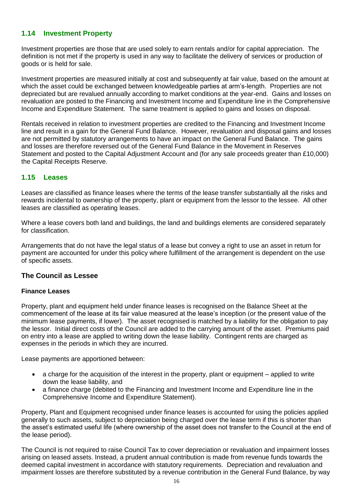# **1.14 Investment Property**

Investment properties are those that are used solely to earn rentals and/or for capital appreciation. The definition is not met if the property is used in any way to facilitate the delivery of services or production of goods or is held for sale.

Investment properties are measured initially at cost and subsequently at fair value, based on the amount at which the asset could be exchanged between knowledgeable parties at arm's-length. Properties are not depreciated but are revalued annually according to market conditions at the year-end. Gains and losses on revaluation are posted to the Financing and Investment Income and Expenditure line in the Comprehensive Income and Expenditure Statement. The same treatment is applied to gains and losses on disposal.

Rentals received in relation to investment properties are credited to the Financing and Investment Income line and result in a gain for the General Fund Balance. However, revaluation and disposal gains and losses are not permitted by statutory arrangements to have an impact on the General Fund Balance. The gains and losses are therefore reversed out of the General Fund Balance in the Movement in Reserves Statement and posted to the Capital Adjustment Account and (for any sale proceeds greater than £10,000) the Capital Receipts Reserve.

# **1.15 Leases**

Leases are classified as finance leases where the terms of the lease transfer substantially all the risks and rewards incidental to ownership of the property, plant or equipment from the lessor to the lessee. All other leases are classified as operating leases.

Where a lease covers both land and buildings, the land and buildings elements are considered separately for classification.

Arrangements that do not have the legal status of a lease but convey a right to use an asset in return for payment are accounted for under this policy where fulfillment of the arrangement is dependent on the use of specific assets.

## **The Council as Lessee**

## **Finance Leases**

Property, plant and equipment held under finance leases is recognised on the Balance Sheet at the commencement of the lease at its fair value measured at the lease's inception (or the present value of the minimum lease payments, if lower). The asset recognised is matched by a liability for the obligation to pay the lessor. Initial direct costs of the Council are added to the carrying amount of the asset. Premiums paid on entry into a lease are applied to writing down the lease liability. Contingent rents are charged as expenses in the periods in which they are incurred.

Lease payments are apportioned between:

- a charge for the acquisition of the interest in the property, plant or equipment applied to write down the lease liability, and
- a finance charge (debited to the Financing and Investment Income and Expenditure line in the Comprehensive Income and Expenditure Statement).

Property, Plant and Equipment recognised under finance leases is accounted for using the policies applied generally to such assets, subject to depreciation being charged over the lease term if this is shorter than the asset's estimated useful life (where ownership of the asset does not transfer to the Council at the end of the lease period).

The Council is not required to raise Council Tax to cover depreciation or revaluation and impairment losses arising on leased assets. Instead, a prudent annual contribution is made from revenue funds towards the deemed capital investment in accordance with statutory requirements. Depreciation and revaluation and impairment losses are therefore substituted by a revenue contribution in the General Fund Balance, by way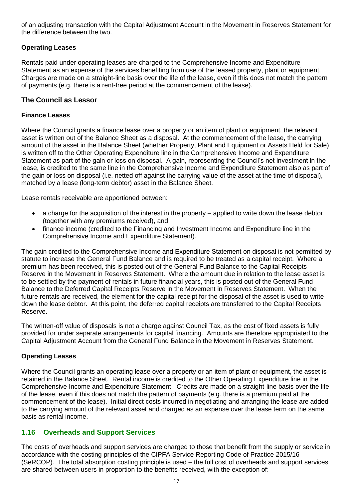of an adjusting transaction with the Capital Adjustment Account in the Movement in Reserves Statement for the difference between the two.

# **Operating Leases**

Rentals paid under operating leases are charged to the Comprehensive Income and Expenditure Statement as an expense of the services benefiting from use of the leased property, plant or equipment. Charges are made on a straight-line basis over the life of the lease, even if this does not match the pattern of payments (e.g. there is a rent-free period at the commencement of the lease).

# **The Council as Lessor**

#### **Finance Leases**

Where the Council grants a finance lease over a property or an item of plant or equipment, the relevant asset is written out of the Balance Sheet as a disposal. At the commencement of the lease, the carrying amount of the asset in the Balance Sheet (whether Property, Plant and Equipment or Assets Held for Sale) is written off to the Other Operating Expenditure line in the Comprehensive Income and Expenditure Statement as part of the gain or loss on disposal. A gain, representing the Council's net investment in the lease, is credited to the same line in the Comprehensive Income and Expenditure Statement also as part of the gain or loss on disposal (i.e. netted off against the carrying value of the asset at the time of disposal), matched by a lease (long-term debtor) asset in the Balance Sheet.

Lease rentals receivable are apportioned between:

- a charge for the acquisition of the interest in the property applied to write down the lease debtor (together with any premiums received), and
- finance income (credited to the Financing and Investment Income and Expenditure line in the Comprehensive Income and Expenditure Statement).

The gain credited to the Comprehensive Income and Expenditure Statement on disposal is not permitted by statute to increase the General Fund Balance and is required to be treated as a capital receipt. Where a premium has been received, this is posted out of the General Fund Balance to the Capital Receipts Reserve in the Movement in Reserves Statement. Where the amount due in relation to the lease asset is to be settled by the payment of rentals in future financial years, this is posted out of the General Fund Balance to the Deferred Capital Receipts Reserve in the Movement in Reserves Statement. When the future rentals are received, the element for the capital receipt for the disposal of the asset is used to write down the lease debtor. At this point, the deferred capital receipts are transferred to the Capital Receipts Reserve.

The written-off value of disposals is not a charge against Council Tax, as the cost of fixed assets is fully provided for under separate arrangements for capital financing. Amounts are therefore appropriated to the Capital Adjustment Account from the General Fund Balance in the Movement in Reserves Statement.

## **Operating Leases**

Where the Council grants an operating lease over a property or an item of plant or equipment, the asset is retained in the Balance Sheet. Rental income is credited to the Other Operating Expenditure line in the Comprehensive Income and Expenditure Statement. Credits are made on a straight-line basis over the life of the lease, even if this does not match the pattern of payments (e.g. there is a premium paid at the commencement of the lease). Initial direct costs incurred in negotiating and arranging the lease are added to the carrying amount of the relevant asset and charged as an expense over the lease term on the same basis as rental income.

## **1.16 Overheads and Support Services**

The costs of overheads and support services are charged to those that benefit from the supply or service in accordance with the costing principles of the CIPFA Service Reporting Code of Practice 2015/16 (SeRCOP). The total absorption costing principle is used – the full cost of overheads and support services are shared between users in proportion to the benefits received, with the exception of: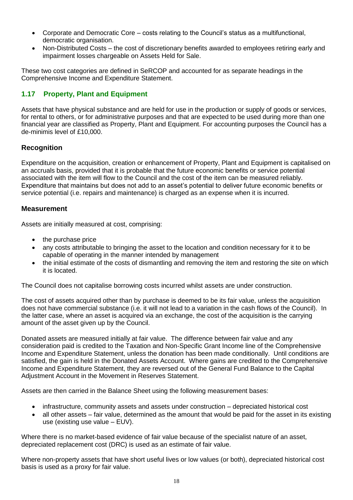- Corporate and Democratic Core costs relating to the Council's status as a multifunctional, democratic organisation.
- Non-Distributed Costs the cost of discretionary benefits awarded to employees retiring early and impairment losses chargeable on Assets Held for Sale.

These two cost categories are defined in SeRCOP and accounted for as separate headings in the Comprehensive Income and Expenditure Statement.

# **1.17 Property, Plant and Equipment**

Assets that have physical substance and are held for use in the production or supply of goods or services, for rental to others, or for administrative purposes and that are expected to be used during more than one financial year are classified as Property, Plant and Equipment. For accounting purposes the Council has a de-minimis level of £10,000.

# **Recognition**

Expenditure on the acquisition, creation or enhancement of Property, Plant and Equipment is capitalised on an accruals basis, provided that it is probable that the future economic benefits or service potential associated with the item will flow to the Council and the cost of the item can be measured reliably. Expenditure that maintains but does not add to an asset's potential to deliver future economic benefits or service potential (i.e. repairs and maintenance) is charged as an expense when it is incurred.

#### **Measurement**

Assets are initially measured at cost, comprising:

- the purchase price
- any costs attributable to bringing the asset to the location and condition necessary for it to be capable of operating in the manner intended by management
- the initial estimate of the costs of dismantling and removing the item and restoring the site on which it is located.

The Council does not capitalise borrowing costs incurred whilst assets are under construction.

The cost of assets acquired other than by purchase is deemed to be its fair value, unless the acquisition does not have commercial substance (i.e. it will not lead to a variation in the cash flows of the Council). In the latter case, where an asset is acquired via an exchange, the cost of the acquisition is the carrying amount of the asset given up by the Council.

Donated assets are measured initially at fair value. The difference between fair value and any consideration paid is credited to the Taxation and Non-Specific Grant Income line of the Comprehensive Income and Expenditure Statement, unless the donation has been made conditionally. Until conditions are satisfied, the gain is held in the Donated Assets Account. Where gains are credited to the Comprehensive Income and Expenditure Statement, they are reversed out of the General Fund Balance to the Capital Adjustment Account in the Movement in Reserves Statement.

Assets are then carried in the Balance Sheet using the following measurement bases:

- infrastructure, community assets and assets under construction depreciated historical cost
- all other assets fair value, determined as the amount that would be paid for the asset in its existing use (existing use value – EUV).

Where there is no market-based evidence of fair value because of the specialist nature of an asset, depreciated replacement cost (DRC) is used as an estimate of fair value.

Where non-property assets that have short useful lives or low values (or both), depreciated historical cost basis is used as a proxy for fair value.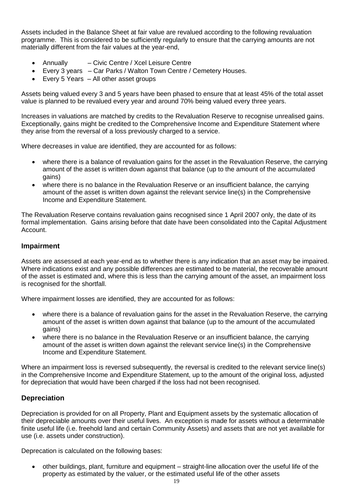Assets included in the Balance Sheet at fair value are revalued according to the following revaluation programme. This is considered to be sufficiently regularly to ensure that the carrying amounts are not materially different from the fair values at the year-end,

- Annually Civic Centre / Xcel Leisure Centre
- Every 3 years Car Parks / Walton Town Centre / Cemetery Houses.
- Every 5 Years All other asset groups

Assets being valued every 3 and 5 years have been phased to ensure that at least 45% of the total asset value is planned to be revalued every year and around 70% being valued every three years.

Increases in valuations are matched by credits to the Revaluation Reserve to recognise unrealised gains. Exceptionally, gains might be credited to the Comprehensive Income and Expenditure Statement where they arise from the reversal of a loss previously charged to a service.

Where decreases in value are identified, they are accounted for as follows:

- where there is a balance of revaluation gains for the asset in the Revaluation Reserve, the carrying amount of the asset is written down against that balance (up to the amount of the accumulated gains)
- where there is no balance in the Revaluation Reserve or an insufficient balance, the carrying amount of the asset is written down against the relevant service line(s) in the Comprehensive Income and Expenditure Statement.

The Revaluation Reserve contains revaluation gains recognised since 1 April 2007 only, the date of its formal implementation. Gains arising before that date have been consolidated into the Capital Adjustment Account.

# **Impairment**

Assets are assessed at each year-end as to whether there is any indication that an asset may be impaired. Where indications exist and any possible differences are estimated to be material, the recoverable amount of the asset is estimated and, where this is less than the carrying amount of the asset, an impairment loss is recognised for the shortfall.

Where impairment losses are identified, they are accounted for as follows:

- where there is a balance of revaluation gains for the asset in the Revaluation Reserve, the carrying amount of the asset is written down against that balance (up to the amount of the accumulated gains)
- where there is no balance in the Revaluation Reserve or an insufficient balance, the carrying amount of the asset is written down against the relevant service line(s) in the Comprehensive Income and Expenditure Statement.

Where an impairment loss is reversed subsequently, the reversal is credited to the relevant service line(s) in the Comprehensive Income and Expenditure Statement, up to the amount of the original loss, adjusted for depreciation that would have been charged if the loss had not been recognised.

## **Depreciation**

Depreciation is provided for on all Property, Plant and Equipment assets by the systematic allocation of their depreciable amounts over their useful lives. An exception is made for assets without a determinable finite useful life (i.e. freehold land and certain Community Assets) and assets that are not yet available for use (i.e. assets under construction).

Deprecation is calculated on the following bases:

 other buildings, plant, furniture and equipment – straight-line allocation over the useful life of the property as estimated by the valuer, or the estimated useful life of the other assets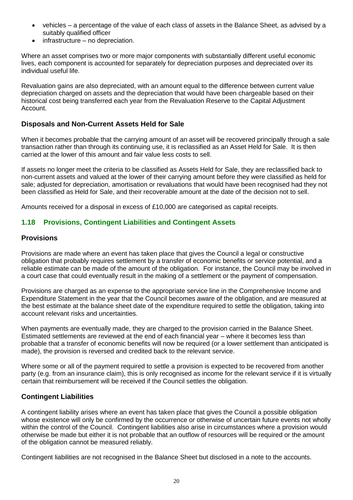- vehicles a percentage of the value of each class of assets in the Balance Sheet, as advised by a suitably qualified officer
- infrastructure no depreciation.

Where an asset comprises two or more major components with substantially different useful economic lives, each component is accounted for separately for depreciation purposes and depreciated over its individual useful life.

Revaluation gains are also depreciated, with an amount equal to the difference between current value depreciation charged on assets and the depreciation that would have been chargeable based on their historical cost being transferred each year from the Revaluation Reserve to the Capital Adjustment Account.

## **Disposals and Non-Current Assets Held for Sale**

When it becomes probable that the carrying amount of an asset will be recovered principally through a sale transaction rather than through its continuing use, it is reclassified as an Asset Held for Sale. It is then carried at the lower of this amount and fair value less costs to sell.

If assets no longer meet the criteria to be classified as Assets Held for Sale, they are reclassified back to non-current assets and valued at the lower of their carrying amount before they were classified as held for sale; adjusted for depreciation, amortisation or revaluations that would have been recognised had they not been classified as Held for Sale, and their recoverable amount at the date of the decision not to sell.

Amounts received for a disposal in excess of £10,000 are categorised as capital receipts.

# **1.18 Provisions, Contingent Liabilities and Contingent Assets**

#### **Provisions**

Provisions are made where an event has taken place that gives the Council a legal or constructive obligation that probably requires settlement by a transfer of economic benefits or service potential, and a reliable estimate can be made of the amount of the obligation. For instance, the Council may be involved in a court case that could eventually result in the making of a settlement or the payment of compensation.

Provisions are charged as an expense to the appropriate service line in the Comprehensive Income and Expenditure Statement in the year that the Council becomes aware of the obligation, and are measured at the best estimate at the balance sheet date of the expenditure required to settle the obligation, taking into account relevant risks and uncertainties.

When payments are eventually made, they are charged to the provision carried in the Balance Sheet. Estimated settlements are reviewed at the end of each financial year – where it becomes less than probable that a transfer of economic benefits will now be required (or a lower settlement than anticipated is made), the provision is reversed and credited back to the relevant service.

Where some or all of the payment required to settle a provision is expected to be recovered from another party (e.g. from an insurance claim), this is only recognised as income for the relevant service if it is virtually certain that reimbursement will be received if the Council settles the obligation.

## **Contingent Liabilities**

A contingent liability arises where an event has taken place that gives the Council a possible obligation whose existence will only be confirmed by the occurrence or otherwise of uncertain future events not wholly within the control of the Council. Contingent liabilities also arise in circumstances where a provision would otherwise be made but either it is not probable that an outflow of resources will be required or the amount of the obligation cannot be measured reliably.

Contingent liabilities are not recognised in the Balance Sheet but disclosed in a note to the accounts.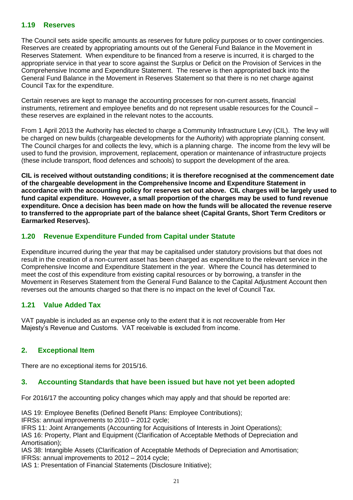#### **1.19 Reserves**

The Council sets aside specific amounts as reserves for future policy purposes or to cover contingencies. Reserves are created by appropriating amounts out of the General Fund Balance in the Movement in Reserves Statement. When expenditure to be financed from a reserve is incurred, it is charged to the appropriate service in that year to score against the Surplus or Deficit on the Provision of Services in the Comprehensive Income and Expenditure Statement. The reserve is then appropriated back into the General Fund Balance in the Movement in Reserves Statement so that there is no net charge against Council Tax for the expenditure.

Certain reserves are kept to manage the accounting processes for non-current assets, financial instruments, retirement and employee benefits and do not represent usable resources for the Council – these reserves are explained in the relevant notes to the accounts.

From 1 April 2013 the Authority has elected to charge a Community Infrastructure Levy (CIL). The levy will be charged on new builds (chargeable developments for the Authority) with appropriate planning consent. The Council charges for and collects the levy, which is a planning charge. The income from the levy will be used to fund the provision, improvement, replacement, operation or maintenance of infrastructure projects (these include transport, flood defences and schools) to support the development of the area.

**CIL is received without outstanding conditions; it is therefore recognised at the commencement date of the chargeable development in the Comprehensive Income and Expenditure Statement in accordance with the accounting policy for reserves set out above. CIL charges will be largely used to fund capital expenditure. However, a small proportion of the charges may be used to fund revenue expenditure. Once a decision has been made on how the funds will be allocated the revenue reserve to transferred to the appropriate part of the balance sheet (Capital Grants, Short Term Creditors or Earmarked Reserves).**

# **1.20 Revenue Expenditure Funded from Capital under Statute**

Expenditure incurred during the year that may be capitalised under statutory provisions but that does not result in the creation of a non-current asset has been charged as expenditure to the relevant service in the Comprehensive Income and Expenditure Statement in the year. Where the Council has determined to meet the cost of this expenditure from existing capital resources or by borrowing, a transfer in the Movement in Reserves Statement from the General Fund Balance to the Capital Adjustment Account then reverses out the amounts charged so that there is no impact on the level of Council Tax.

## **1.21 Value Added Tax**

VAT payable is included as an expense only to the extent that it is not recoverable from Her Majesty's Revenue and Customs. VAT receivable is excluded from income.

## **2. Exceptional Item**

There are no exceptional items for 2015/16.

#### **3. Accounting Standards that have been issued but have not yet been adopted**

For 2016/17 the accounting policy changes which may apply and that should be reported are:

IAS 19: Employee Benefits (Defined Benefit Plans: Employee Contributions);

IFRSs: annual improvements to 2010 – 2012 cycle;

IFRS 11: Joint Arrangements (Accounting for Acquisitions of Interests in Joint Operations); IAS 16: Property, Plant and Equipment (Clarification of Acceptable Methods of Depreciation and Amortisation);

IAS 38: Intangible Assets (Clarification of Acceptable Methods of Depreciation and Amortisation; IFRSs: annual improvements to 2012 – 2014 cycle;

IAS 1: Presentation of Financial Statements (Disclosure Initiative);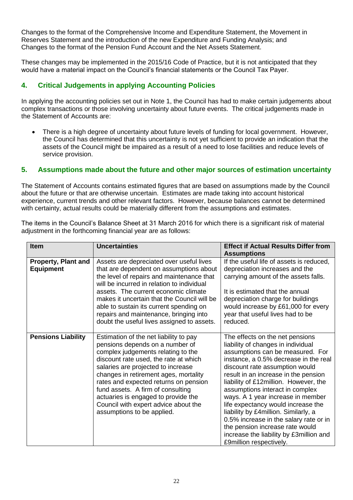Changes to the format of the Comprehensive Income and Expenditure Statement, the Movement in Reserves Statement and the introduction of the new Expenditure and Funding Analysis; and Changes to the format of the Pension Fund Account and the Net Assets Statement.

These changes may be implemented in the 2015/16 Code of Practice, but it is not anticipated that they would have a material impact on the Council's financial statements or the Council Tax Payer.

# **4. Critical Judgements in applying Accounting Policies**

In applying the accounting policies set out in Note 1, the Council has had to make certain judgements about complex transactions or those involving uncertainty about future events. The critical judgements made in the Statement of Accounts are:

 There is a high degree of uncertainty about future levels of funding for local government. However, the Council has determined that this uncertainty is not yet sufficient to provide an indication that the assets of the Council might be impaired as a result of a need to lose facilities and reduce levels of service provision.

# **5. Assumptions made about the future and other major sources of estimation uncertainty**

The Statement of Accounts contains estimated figures that are based on assumptions made by the Council about the future or that are otherwise uncertain. Estimates are made taking into account historical experience, current trends and other relevant factors. However, because balances cannot be determined with certainty, actual results could be materially different from the assumptions and estimates.

The items in the Council's Balance Sheet at 31 March 2016 for which there is a significant risk of material adjustment in the forthcoming financial year are as follows:

| <b>Item</b>                                    | <b>Uncertainties</b>                                                                                                                                                                                                                                                                                                                                                                                                               | <b>Effect if Actual Results Differ from</b><br><b>Assumptions</b>                                                                                                                                                                                                                                                                                                                                                                                                                                                                                                              |
|------------------------------------------------|------------------------------------------------------------------------------------------------------------------------------------------------------------------------------------------------------------------------------------------------------------------------------------------------------------------------------------------------------------------------------------------------------------------------------------|--------------------------------------------------------------------------------------------------------------------------------------------------------------------------------------------------------------------------------------------------------------------------------------------------------------------------------------------------------------------------------------------------------------------------------------------------------------------------------------------------------------------------------------------------------------------------------|
| <b>Property, Plant and</b><br><b>Equipment</b> | Assets are depreciated over useful lives<br>that are dependent on assumptions about<br>the level of repairs and maintenance that<br>will be incurred in relation to individual<br>assets. The current economic climate<br>makes it uncertain that the Council will be<br>able to sustain its current spending on<br>repairs and maintenance, bringing into<br>doubt the useful lives assigned to assets.                           | If the useful life of assets is reduced,<br>depreciation increases and the<br>carrying amount of the assets falls.<br>It is estimated that the annual<br>depreciation charge for buildings<br>would increase by £61,000 for every<br>year that useful lives had to be<br>reduced.                                                                                                                                                                                                                                                                                              |
| <b>Pensions Liability</b>                      | Estimation of the net liability to pay<br>pensions depends on a number of<br>complex judgements relating to the<br>discount rate used, the rate at which<br>salaries are projected to increase<br>changes in retirement ages, mortality<br>rates and expected returns on pension<br>fund assets. A firm of consulting<br>actuaries is engaged to provide the<br>Council with expert advice about the<br>assumptions to be applied. | The effects on the net pensions<br>liability of changes in individual<br>assumptions can be measured. For<br>instance, a 0.5% decrease in the real<br>discount rate assumption would<br>result in an increase in the pension<br>liability of £12million. However, the<br>assumptions interact in complex<br>ways. A 1 year increase in member<br>life expectancy would increase the<br>liability by £4million. Similarly, a<br>0.5% increase in the salary rate or in<br>the pension increase rate would<br>increase the liability by £3million and<br>£9million respectively. |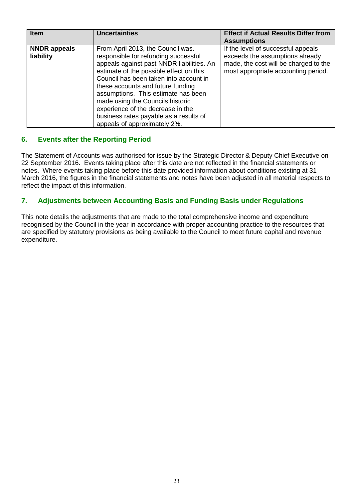| <b>Item</b>                      | <b>Uncertainties</b>                                                                                                                                                                                                                                                                                                                                                                                                                       | <b>Effect if Actual Results Differ from</b><br><b>Assumptions</b>                                                                                     |
|----------------------------------|--------------------------------------------------------------------------------------------------------------------------------------------------------------------------------------------------------------------------------------------------------------------------------------------------------------------------------------------------------------------------------------------------------------------------------------------|-------------------------------------------------------------------------------------------------------------------------------------------------------|
| <b>NNDR</b> appeals<br>liability | From April 2013, the Council was.<br>responsible for refunding successful<br>appeals against past NNDR liabilities. An<br>estimate of the possible effect on this<br>Council has been taken into account in<br>these accounts and future funding<br>assumptions. This estimate has been<br>made using the Councils historic<br>experience of the decrease in the<br>business rates payable as a results of<br>appeals of approximately 2%. | If the level of successful appeals<br>exceeds the assumptions already<br>made, the cost will be charged to the<br>most appropriate accounting period. |

# **6. Events after the Reporting Period**

The Statement of Accounts was authorised for issue by the Strategic Director & Deputy Chief Executive on 22 September 2016. Events taking place after this date are not reflected in the financial statements or notes. Where events taking place before this date provided information about conditions existing at 31 March 2016, the figures in the financial statements and notes have been adjusted in all material respects to reflect the impact of this information.

# **7. Adjustments between Accounting Basis and Funding Basis under Regulations**

This note details the adjustments that are made to the total comprehensive income and expenditure recognised by the Council in the year in accordance with proper accounting practice to the resources that are specified by statutory provisions as being available to the Council to meet future capital and revenue expenditure.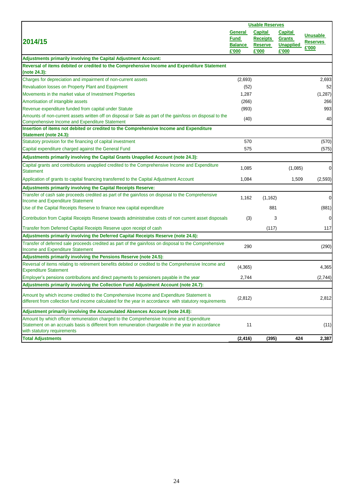|                                                                                                                                                                                                                               | <b>Usable Reserves</b>                     |                                                       |                                                              |                                             |
|-------------------------------------------------------------------------------------------------------------------------------------------------------------------------------------------------------------------------------|--------------------------------------------|-------------------------------------------------------|--------------------------------------------------------------|---------------------------------------------|
| 2014/15                                                                                                                                                                                                                       | General<br>Fund<br><b>Balance</b><br>£'000 | <b>Capital</b><br><b>Receipts</b><br>Reserve<br>£'000 | <b>Capital</b><br><b>Grants</b><br><b>Unapplied</b><br>£'000 | <b>Unusable</b><br><b>Reserves</b><br>£'000 |
| Adjustments primarily involving the Capital Adjustment Account:                                                                                                                                                               |                                            |                                                       |                                                              |                                             |
| Reversal of items debited or credited to the Comprehensive Income and Expenditure Statement<br>(note 24.3):                                                                                                                   |                                            |                                                       |                                                              |                                             |
| Charges for depreciation and impairment of non-current assets                                                                                                                                                                 | (2,693)                                    |                                                       |                                                              | 2,693                                       |
| Revaluation losses on Property Plant and Equipment                                                                                                                                                                            | (52)                                       |                                                       |                                                              | 52                                          |
| Movements in the market value of Investment Properties                                                                                                                                                                        | 1,287                                      |                                                       |                                                              | (1, 287)                                    |
| Amortisation of intangible assets                                                                                                                                                                                             | (266)                                      |                                                       |                                                              | 266                                         |
| Revenue expenditure funded from capital under Statute                                                                                                                                                                         | (993)                                      |                                                       |                                                              | 993                                         |
| Amounts of non-current assets written off on disposal or Sale as part of the gain/loss on disposal to the<br>Comprehensive Income and Expenditure Statement                                                                   | (40)                                       |                                                       |                                                              | 40                                          |
| Insertion of items not debited or credited to the Comprehensive Income and Expenditure<br><b>Statement (note 24.3):</b>                                                                                                       |                                            |                                                       |                                                              |                                             |
| Statutory provision for the financing of capital investment                                                                                                                                                                   | 570                                        |                                                       |                                                              | (570)                                       |
| Capital expenditure charged against the General Fund                                                                                                                                                                          | 575                                        |                                                       |                                                              | (575)                                       |
| Adjustments primarily involving the Capital Grants Unapplied Account (note 24.3):                                                                                                                                             |                                            |                                                       |                                                              |                                             |
| Capital grants and contributions unapplied credited to the Comprehensive Income and Expenditure<br><b>Statement</b>                                                                                                           | 1,085                                      |                                                       | (1,085)                                                      | $\overline{0}$                              |
| Application of grants to capital financing transferred to the Capital Adjustment Account                                                                                                                                      | 1,084                                      |                                                       | 1,509                                                        | (2,593)                                     |
| Adjustments primarily involving the Capital Receipts Reserve:                                                                                                                                                                 |                                            |                                                       |                                                              |                                             |
| Transfer of cash sale proceeds credited as part of the gain/loss on disposal to the Comprehensive                                                                                                                             | 1,162                                      | (1, 162)                                              |                                                              | $\overline{0}$                              |
| Income and Expenditure Statement                                                                                                                                                                                              |                                            |                                                       |                                                              |                                             |
| Use of the Capital Receipts Reserve to finance new capital expenditure                                                                                                                                                        |                                            | 881                                                   |                                                              | (881)                                       |
| Contribution from Capital Receipts Reserve towards administrative costs of non current asset disposals                                                                                                                        | (3)                                        | 3                                                     |                                                              | $\overline{0}$                              |
| Transfer from Deferred Capital Receipts Reserve upon receipt of cash                                                                                                                                                          |                                            | (117)                                                 |                                                              | 117                                         |
| Adjustments primarily involving the Deferred Capital Receipts Reserve (note 24.6):                                                                                                                                            |                                            |                                                       |                                                              |                                             |
| Transfer of deferred sale proceeds credited as part of the gain/loss on disposal to the Comprehensive<br><b>Income and Expenditure Statement</b>                                                                              | 290                                        |                                                       |                                                              | (290)                                       |
| Adjustments primarily involving the Pensions Reserve (note 24.5):                                                                                                                                                             |                                            |                                                       |                                                              |                                             |
| Reversal of items relating to retirement benefits debited or credited to the Comprehensive Income and<br><b>Expenditure Statement</b>                                                                                         | (4, 365)                                   |                                                       |                                                              | 4,365                                       |
| Employer's pensions contributions and direct payments to pensioners payable in the year                                                                                                                                       | 2,744                                      |                                                       |                                                              | (2,744)                                     |
| Adjustments primarily involving the Collection Fund Adjustment Account (note 24.7):                                                                                                                                           |                                            |                                                       |                                                              |                                             |
| Amount by which income credited to the Comprehensive Income and Expenditure Statement is<br>different from collection fund income calculated for the year in accordance with statutory requirements                           | (2, 812)                                   |                                                       |                                                              | 2,812                                       |
| Adjustment primarily involving the Accumulated Absences Account (note 24.8):                                                                                                                                                  |                                            |                                                       |                                                              |                                             |
| Amount by which officer remuneration charged to the Comprehensive Income and Expenditure<br>Statement on an accruals basis is different from remuneration chargeable in the year in accordance<br>with statutory requirements | 11                                         |                                                       |                                                              | (11)                                        |
| <b>Total Adjustments</b>                                                                                                                                                                                                      | (2, 416)                                   | (395)                                                 | 424                                                          | 2,387                                       |
|                                                                                                                                                                                                                               |                                            |                                                       |                                                              |                                             |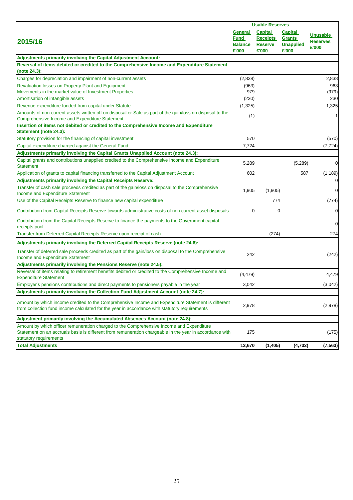|                                                                                                                                                                                                                               | <b>Usable Reserves</b>                            |                                                              |                                                              |                                             |
|-------------------------------------------------------------------------------------------------------------------------------------------------------------------------------------------------------------------------------|---------------------------------------------------|--------------------------------------------------------------|--------------------------------------------------------------|---------------------------------------------|
| 2015/16                                                                                                                                                                                                                       | General<br><u>Fund</u><br><b>Balance</b><br>£'000 | <b>Capital</b><br><b>Receipts</b><br><b>Reserve</b><br>£'000 | <b>Capital</b><br><b>Grants</b><br><b>Unapplied</b><br>£'000 | <b>Unusable</b><br><b>Reserves</b><br>£'000 |
| <b>Adjustments primarily involving the Capital Adjustment Account:</b>                                                                                                                                                        |                                                   |                                                              |                                                              |                                             |
| Reversal of items debited or credited to the Comprehensive Income and Expenditure Statement<br>(note 24.3):                                                                                                                   |                                                   |                                                              |                                                              |                                             |
| Charges for depreciation and impairment of non-current assets                                                                                                                                                                 | (2,838)                                           |                                                              |                                                              | 2,838                                       |
| Revaluation losses on Property Plant and Equipment                                                                                                                                                                            | (963)                                             |                                                              |                                                              | 963                                         |
| Movements in the market value of Investment Properties                                                                                                                                                                        | 979                                               |                                                              |                                                              | (979)                                       |
| Amortisation of intangible assets                                                                                                                                                                                             | (230)                                             |                                                              |                                                              | 230                                         |
| Revenue expenditure funded from capital under Statute                                                                                                                                                                         | (1, 325)                                          |                                                              |                                                              | 1,325                                       |
| Amounts of non-current assets written off on disposal or Sale as part of the gain/loss on disposal to the<br>Comprehensive Income and Expenditure Statement                                                                   | (1)                                               |                                                              |                                                              | $\mathbf{1}$                                |
| Insertion of items not debited or credited to the Comprehensive Income and Expenditure                                                                                                                                        |                                                   |                                                              |                                                              |                                             |
| Statement (note 24.3):                                                                                                                                                                                                        |                                                   |                                                              |                                                              |                                             |
| Statutory provision for the financing of capital investment                                                                                                                                                                   | 570                                               |                                                              |                                                              | (570)                                       |
| Capital expenditure charged against the General Fund                                                                                                                                                                          | 7,724                                             |                                                              |                                                              | (7, 724)                                    |
| Adjustments primarily involving the Capital Grants Unapplied Account (note 24.3):                                                                                                                                             |                                                   |                                                              |                                                              |                                             |
| Capital grants and contributions unapplied credited to the Comprehensive Income and Expenditure<br><b>Statement</b>                                                                                                           | 5,289                                             |                                                              | (5,289)                                                      | $\mathbf 0$                                 |
| Application of grants to capital financing transferred to the Capital Adjustment Account                                                                                                                                      | 602                                               |                                                              | 587                                                          | (1, 189)                                    |
| Adjustments primarily involving the Capital Receipts Reserve:                                                                                                                                                                 |                                                   |                                                              |                                                              | $\mathbf 0$                                 |
| Transfer of cash sale proceeds credited as part of the gain/loss on disposal to the Comprehensive<br><b>Income and Expenditure Statement</b>                                                                                  | 1,905                                             | (1,905)                                                      |                                                              | $\mathbf 0$                                 |
| Use of the Capital Receipts Reserve to finance new capital expenditure                                                                                                                                                        |                                                   | 774                                                          |                                                              | (774)                                       |
| Contribution from Capital Receipts Reserve towards administrative costs of non current asset disposals                                                                                                                        | 0                                                 | 0                                                            |                                                              | $\mathbf 0$                                 |
| Contribution from the Capital Receipts Reserve to finance the payments to the Government capital<br>receipts pool.                                                                                                            |                                                   |                                                              |                                                              | $\mathbf 0$                                 |
| Transfer from Deferred Capital Receipts Reserve upon receipt of cash                                                                                                                                                          |                                                   | (274)                                                        |                                                              | 274                                         |
| Adjustments primarily involving the Deferred Capital Receipts Reserve (note 24.6):                                                                                                                                            |                                                   |                                                              |                                                              |                                             |
| Transfer of deferred sale proceeds credited as part of the gain/loss on disposal to the Comprehensive<br>Income and Expenditure Statement                                                                                     | 242                                               |                                                              |                                                              | (242)                                       |
| Adjustments primarily involving the Pensions Reserve (note 24.5):                                                                                                                                                             |                                                   |                                                              |                                                              |                                             |
| Reversal of items relating to retirement benefits debited or credited to the Comprehensive Income and<br><b>Expenditure Statement</b>                                                                                         | (4, 479)                                          |                                                              |                                                              | 4,479                                       |
| Employer's pensions contributions and direct payments to pensioners payable in the year                                                                                                                                       | 3,042                                             |                                                              |                                                              | (3,042)                                     |
| Adjustments primarily involving the Collection Fund Adjustment Account (note 24.7):                                                                                                                                           |                                                   |                                                              |                                                              |                                             |
| Amount by which income credited to the Comprehensive Income and Expenditure Statement is different<br>from collection fund income calculated for the year in accordance with statutory requirements                           | 2,978                                             |                                                              |                                                              | (2,978)                                     |
| Adjustment primarily involving the Accumulated Absences Account (note 24.8):                                                                                                                                                  |                                                   |                                                              |                                                              |                                             |
| Amount by which officer remuneration charged to the Comprehensive Income and Expenditure<br>Statement on an accruals basis is different from remuneration chargeable in the year in accordance with<br>statutory requirements | 175                                               |                                                              |                                                              | (175)                                       |
| <b>Total Adjustments</b>                                                                                                                                                                                                      | 13,670                                            | (1,405)                                                      | (4, 702)                                                     | (7, 563)                                    |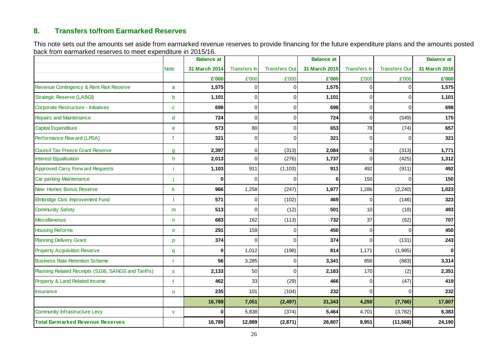# **8. Transfers to/from Earmarked Reserves**

This note sets out the amounts set aside from earmarked revenue reserves to provide financing for the future expenditure plans and the amounts posted back from earmarked reserves to meet expenditure in 2015/16.

|                                                     |              | <b>Balance</b> at |                |                      | <b>Balance at</b> |              |                      | <b>Balance at</b> |
|-----------------------------------------------------|--------------|-------------------|----------------|----------------------|-------------------|--------------|----------------------|-------------------|
|                                                     | <b>Note</b>  | 31 March 2014     | Transfers In   | <b>Transfers Out</b> | 31 March 2015     | Transfers In | <b>Transfers Out</b> | 31 March 2016     |
|                                                     |              | £'000             | £'000          | £'000                | £'000             | £'000        | £'000                | £'000             |
| Revenue Contingency & Rent Risk Reserve             | a            | 1,575             | $\Omega$       | O                    | 1,575             | $\Omega$     | 0                    | 1,575             |
| <b>Strategic Reserve (LABGI)</b>                    | $\mathbf b$  | 1,101             | $\Omega$       | $\Omega$             | 1,101             | $\Omega$     | $\Omega$             | 1,101             |
| Corporate Restructure - Initiatives                 | $\mathbf{C}$ | 698               | $\Omega$       | $\Omega$             | 698               | $\Omega$     | $\Omega$             | 698               |
| <b>Repairs and Maintenance</b>                      | d            | 724               | $\Omega$       | $\Omega$             | 724               | $\Omega$     | (549)                | 175               |
| <b>Capital Expenditure</b>                          | e            | 573               | 80             | $\overline{0}$       | 653               | 78           | (74)                 | 657               |
| Performance Rew ard (LPSA)                          | f            | 321               | $\overline{0}$ | $\Omega$             | 321               | $\mathbf 0$  | $\mathbf 0$          | 321               |
| <b>Council Tax Freeze Grant Reserve</b>             | $\mathbf{q}$ | 2,397             | $\overline{0}$ | (313)                | 2,084             | $\mathbf 0$  | (313)                | 1,771             |
| <b>Interest Equalisation</b>                        | h            | 2,013             | $\Omega$       | (276)                | 1,737             | $\Omega$     | (425)                | 1,312             |
| <b>Approved Carry Forw ard Requests</b>             |              | 1,103             | 911            | (1, 103)             | 911               | 492          | (911)                | 492               |
| Car parking Maintenance                             |              | $\mathbf 0$       | $\Omega$       | $\Omega$             | $\bf{0}$          | 150          | $\Omega$             | 150               |
| New Homes Bonus Reserve                             | $\mathsf{k}$ | 966               | 1,258          | (247)                | 1,977             | 1,286        | (2, 240)             | 1,023             |
| Elmbridge Civic Improvement Fund                    |              | 571               | $\Omega$       | (102)                | 469               | $\Omega$     | (146)                | 323               |
| <b>Community Safety</b>                             | m            | 513               | $\Omega$       | (12)                 | 501               | 10           | (18)                 | 493               |
| <b>Miscellaneous</b>                                | n.           | 683               | 162            | (113)                | 732               | 37           | (62)                 | 707               |
| <b>Housing Reforms</b>                              | $\mathbf{o}$ | 291               | 159            | $\Omega$             | 450               | $\Omega$     | $\Omega$             | 450               |
| <b>Planning Delivery Grant</b>                      | p            | 374               | $\Omega$       | $\Omega$             | 374               | $\Omega$     | (131)                | 243               |
| <b>Property Acquisition Reserve</b>                 | q            | $\bf{0}$          | 1,012          | (198)                | 814               | 1,171        | (1,985)              | $\bf{0}$          |
| <b>Business Rate Retention Scheme</b>               | r            | 56                | 3,285          | 0                    | 3,341             | 856          | (883)                | 3,314             |
| Planning Related Receipts (S106, SANGS and Tariffs) | $\mathbf{s}$ | 2,133             | 50             | $\Omega$             | 2,183             | 170          | (2)                  | 2,351             |
| Property & Land Related Income                      | $\mathbf t$  | 462               | 33             | (29)                 | 466               | $\mathbf 0$  | (47)                 | 419               |
| <b>Insurance</b>                                    | ū            | 235               | 101            | (104)                | 232               | $\Omega$     | $\Omega$             | 232               |
|                                                     |              | 16,789            | 7,051          | (2, 497)             | 21,343            | 4,250        | (7,786)              | 17,807            |
| <b>Community Infrastructure Levy</b>                | $\mathbf{V}$ | 0                 | 5,838          | (374)                | 5,464             | 4,701        | (3,782)              | 6,383             |
| <b>Total Earmarked Revenue Reserves</b>             |              | 16,789            | 12,889         | (2,871)              | 26,807            | 8,951        | (11, 568)            | 24,190            |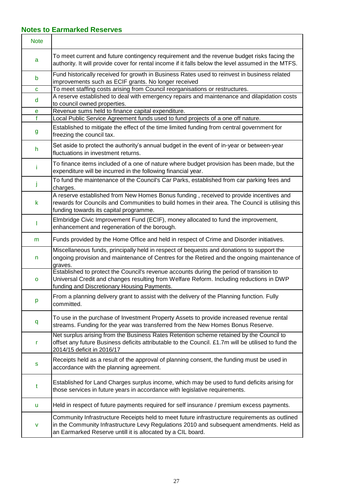## **Notes to Earmarked Reserves**

| <b>Note</b> |                                                                                                                                                                                                                                                          |
|-------------|----------------------------------------------------------------------------------------------------------------------------------------------------------------------------------------------------------------------------------------------------------|
| a           | To meet current and future contingency requirement and the revenue budget risks facing the<br>authority. It will provide cover for rental income if it falls below the level assumed in the MTFS.                                                        |
| b           | Fund historically received for growth in Business Rates used to reinvest in business related<br>improvements such as ECIF grants. No longer received                                                                                                     |
| $\mathbf c$ | To meet staffing costs arising from Council reorganisations or restructures.                                                                                                                                                                             |
| d           | A reserve established to deal with emergency repairs and maintenance and dilapidation costs<br>to council owned properties.                                                                                                                              |
| e<br>f      | Revenue sums held to finance capital expenditure.<br>Local Public Service Agreement funds used to fund projects of a one off nature.                                                                                                                     |
| g           | Established to mitigate the effect of the time limited funding from central government for<br>freezing the council tax.                                                                                                                                  |
| h.          | Set aside to protect the authority's annual budget in the event of in-year or between-year<br>fluctuations in investment returns.                                                                                                                        |
| Ť           | To finance items included of a one of nature where budget provision has been made, but the<br>expenditure will be incurred in the following financial year.                                                                                              |
| I           | To fund the maintenance of the Council's Car Parks, established from car parking fees and<br>charges.                                                                                                                                                    |
| k           | A reserve established from New Homes Bonus funding, received to provide incentives and<br>rewards for Councils and Communities to build homes in their area. The Council is utilising this<br>funding towards its capital programme.                     |
|             | Elmbridge Civic Improvement Fund (ECIF), money allocated to fund the improvement,<br>enhancement and regeneration of the borough.                                                                                                                        |
| m           | Funds provided by the Home Office and held in respect of Crime and Disorder initiatives.                                                                                                                                                                 |
| n           | Miscellaneous funds, principally held in respect of bequests and donations to support the<br>ongoing provision and maintenance of Centres for the Retired and the ongoing maintenance of<br>graves.                                                      |
| o           | Established to protect the Council's revenue accounts during the period of transition to<br>Universal Credit and changes resulting from Welfare Reform. Including reductions in DWP<br>funding and Discretionary Housing Payments.                       |
| p           | From a planning delivery grant to assist with the delivery of the Planning function. Fully<br>committed.                                                                                                                                                 |
| q           | To use in the purchase of Investment Property Assets to provide increased revenue rental<br>streams. Funding for the year was transferred from the New Homes Bonus Reserve.                                                                              |
| r           | Net surplus arising from the Business Rates Retention scheme retained by the Council to<br>offset any future Business deficits attributable to the Council. £1.7m will be utilised to fund the<br>2014/15 deficit in 2016/17                             |
| s           | Receipts held as a result of the approval of planning consent, the funding must be used in<br>accordance with the planning agreement.                                                                                                                    |
| t           | Established for Land Charges surplus income, which may be used to fund deficits arising for<br>those services in future years in accordance with legislative requirements.                                                                               |
| u           | Held in respect of future payments required for self insurance / premium excess payments.                                                                                                                                                                |
| v           | Community Infrastructure Receipts held to meet future infrastructure requirements as outlined<br>in the Community Infrastructure Levy Regulations 2010 and subsequent amendments. Held as<br>an Earmarked Reserve untill it is allocated by a CIL board. |

٦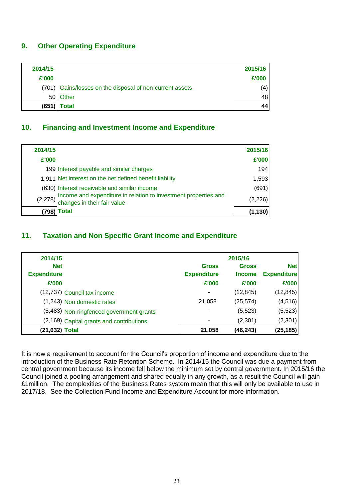#### **9. Other Operating Expenditure**

| 2014/15 |                                                          | 2015/16 |
|---------|----------------------------------------------------------|---------|
| £'000   |                                                          | £'000   |
|         | (701) Gains/losses on the disposal of non-current assets | (4)     |
|         | 50 Other                                                 | 48      |
| (651)   | Total                                                    | 44      |

#### **10. Financing and Investment Income and Expenditure**

| 2014/15  |                                                                                                | 2015/16  |
|----------|------------------------------------------------------------------------------------------------|----------|
| £'000    |                                                                                                | £'000    |
|          | 199 Interest payable and similar charges                                                       | 194      |
|          | 1,911 Net interest on the net defined benefit liability                                        | 1,593    |
|          | (630) Interest receivable and similar income                                                   | (691)    |
| (2, 278) | Income and expenditure in relation to investment properties and<br>changes in their fair value | (2, 226) |
| 798)     | <b>Total</b>                                                                                   | (1, 130) |

## **11. Taxation and Non Specific Grant Income and Expenditure**

| 2014/15            |                                          |                    | 2015/16       |                    |
|--------------------|------------------------------------------|--------------------|---------------|--------------------|
| <b>Net</b>         |                                          | <b>Gross</b>       | <b>Gross</b>  | <b>Net</b>         |
| <b>Expenditure</b> |                                          | <b>Expenditure</b> | <b>Income</b> | <b>Expenditure</b> |
| £'000              |                                          | £'000              | £'000         | £'000              |
|                    | (12,737) Council tax income              | ٠                  | (12, 845)     | (12, 845)          |
|                    | (1,243) Non domestic rates               | 21,058             | (25, 574)     | (4, 516)           |
|                    | (5,483) Non-ringfenced government grants | ٠                  | (5, 523)      | (5, 523)           |
|                    | (2,169) Capital grants and contributions |                    | (2,301)       | (2, 301)           |
| (21,632) Total     |                                          | 21,058             | (46, 243)     | (25, 185)          |

It is now a requirement to account for the Council's proportion of income and expenditure due to the introduction of the Business Rate Retention Scheme. In 2014/15 the Council was due a payment from central government because its income fell below the minimum set by central government. In 2015/16 the Council joined a pooling arrangement and shared equally in any growth, as a result the Council will gain £1million. The complexities of the Business Rates system mean that this will only be available to use in 2017/18. See the Collection Fund Income and Expenditure Account for more information.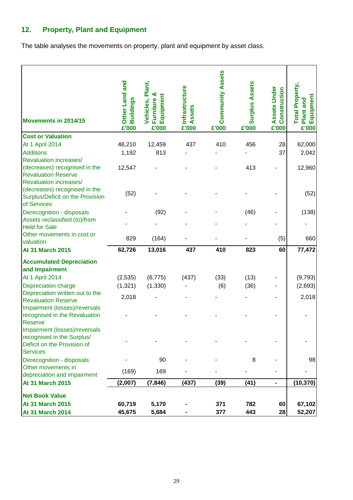# **12. Property, Plant and Equipment**

The table analyses the movements on property, plant and equipment by asset class.

| Movements in 2014/15                                                                                                          | Other Land and<br><b>Buildings</b><br>£'000 | Plant,<br>య<br>Furniture &<br>Equipment<br>Vehicles,<br>£'000 | Infrastructure<br>Assets<br>£'000 | <b>Community Assets</b><br>£'000 | <b>Surplus Assets</b><br>£'000 | Assets Under<br>Construction<br>£'000 | <b>Total Property,</b><br>Plant and<br>Equipment<br>£'000 |
|-------------------------------------------------------------------------------------------------------------------------------|---------------------------------------------|---------------------------------------------------------------|-----------------------------------|----------------------------------|--------------------------------|---------------------------------------|-----------------------------------------------------------|
| <b>Cost or Valuation</b>                                                                                                      |                                             |                                                               |                                   |                                  |                                |                                       |                                                           |
| At 1 April 2014                                                                                                               | 48,210                                      | 12,459                                                        | 437                               | 410                              | 456                            | 28                                    | 62,000                                                    |
| <b>Additions</b>                                                                                                              | 1,192                                       | 813                                                           |                                   |                                  |                                | 37                                    | 2,042                                                     |
| <b>Revaluation increases/</b><br>(decreases) recognised in the<br><b>Revaluation Reserve</b><br><b>Revaluation increases/</b> | 12,547                                      |                                                               |                                   |                                  | 413                            |                                       | 12,960                                                    |
| (decreases) recognised in the<br>Surplus/Deficit on the Provision<br>of Services                                              | (52)                                        |                                                               |                                   |                                  |                                |                                       | (52)                                                      |
| Derecognition - disposals                                                                                                     |                                             | (92)                                                          |                                   |                                  | (46)                           |                                       | (138)                                                     |
| Assets reclassified (to)/from<br><b>Held for Sale</b>                                                                         |                                             |                                                               |                                   |                                  |                                |                                       |                                                           |
| Other movements in cost or<br>valuation                                                                                       | 829                                         | (164)                                                         |                                   |                                  |                                | (5)                                   | 660                                                       |
| <b>At 31 March 2015</b>                                                                                                       | 62,726                                      | 13,016                                                        | 437                               | 410                              | 823                            | 60                                    | 77,472                                                    |
| <b>Accumulated Depreciation</b><br>and Impairment                                                                             |                                             |                                                               |                                   |                                  |                                |                                       |                                                           |
| <b>At 1 April 2014</b>                                                                                                        | (2, 535)                                    | (6, 775)                                                      | (437)                             | (33)                             | (13)                           |                                       | (9,793)                                                   |
| <b>Depreciation charge</b>                                                                                                    | (1, 321)                                    | (1, 330)                                                      |                                   | (6)                              | (36)                           |                                       | (2,693)                                                   |
| Depreciation written out to the<br><b>Revaluation Reserve</b><br>Impairment (losses)/reversals                                | 2,018                                       |                                                               |                                   |                                  |                                |                                       | 2,018                                                     |
| recognised in the Revaluation<br>Reserve                                                                                      |                                             |                                                               |                                   |                                  |                                |                                       |                                                           |
| Impairment (losses)/reversals<br>recognised in the Surplus/<br>Deficit on the Provision of<br><b>Services</b>                 |                                             |                                                               |                                   |                                  |                                |                                       |                                                           |
| Derecognition - disposals                                                                                                     |                                             | 90                                                            |                                   |                                  | 8                              |                                       | 98                                                        |
| Other movements in<br>depreciation and impairment                                                                             | (169)                                       | 169                                                           |                                   |                                  |                                |                                       |                                                           |
| <b>At 31 March 2015</b>                                                                                                       | (2,007)                                     | (7, 846)                                                      | (437)                             | (39)                             | (41)                           | ۰                                     | (10, 370)                                                 |
| <b>Net Book Value</b>                                                                                                         |                                             |                                                               |                                   |                                  |                                |                                       |                                                           |
| <b>At 31 March 2015</b>                                                                                                       | 60,719                                      | 5,170                                                         |                                   | 371                              | 782                            | 60                                    | 67,102                                                    |
| <b>At 31 March 2014</b>                                                                                                       | 45,675                                      | 5,684                                                         |                                   | 377                              | 443                            | 28                                    | 52,207                                                    |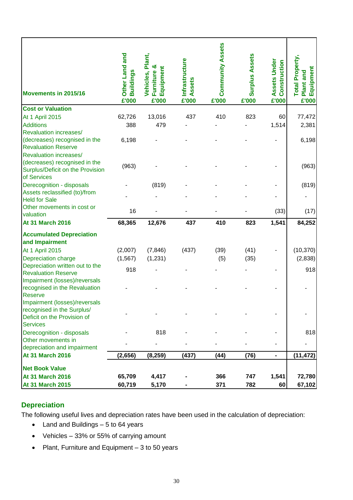| Movements in 2015/16                                          | Other Land and<br><b>Buildings</b><br>£'000 | Vehicles, Plant,<br>ఱ<br>Equipment<br>Furniture<br>£'000 | <b>Infrastructure</b><br>Assets<br>£'000 | <b>Community Assets</b><br>£'000 | <b>Surplus Assets</b><br>£'000 | <b>Assets Under</b><br>Construction<br>£'000 | <b>Total Property,</b><br>Equipment<br>Plant and<br>£'000 |
|---------------------------------------------------------------|---------------------------------------------|----------------------------------------------------------|------------------------------------------|----------------------------------|--------------------------------|----------------------------------------------|-----------------------------------------------------------|
| <b>Cost or Valuation</b><br><b>At 1 April 2015</b>            | 62,726                                      | 13,016                                                   | 437                                      | 410                              | 823                            | 60                                           | 77,472                                                    |
| <b>Additions</b>                                              | 388                                         | 479                                                      |                                          |                                  |                                | 1,514                                        | 2,381                                                     |
| <b>Revaluation increases/</b>                                 |                                             |                                                          |                                          |                                  |                                |                                              |                                                           |
| (decreases) recognised in the                                 | 6,198                                       |                                                          |                                          |                                  |                                |                                              | 6,198                                                     |
| <b>Revaluation Reserve</b>                                    |                                             |                                                          |                                          |                                  |                                |                                              |                                                           |
| Revaluation increases/<br>(decreases) recognised in the       |                                             |                                                          |                                          |                                  |                                |                                              |                                                           |
| Surplus/Deficit on the Provision                              | (963)                                       |                                                          |                                          |                                  |                                |                                              | (963)                                                     |
| of Services                                                   |                                             |                                                          |                                          |                                  |                                |                                              |                                                           |
| Derecognition - disposals                                     |                                             | (819)                                                    |                                          |                                  |                                |                                              | (819)                                                     |
| Assets reclassified (to)/from                                 |                                             |                                                          |                                          |                                  |                                |                                              |                                                           |
| <b>Held for Sale</b><br>Other movements in cost or            |                                             |                                                          |                                          |                                  |                                |                                              |                                                           |
| valuation                                                     | 16                                          |                                                          |                                          |                                  |                                | (33)                                         | (17)                                                      |
| <b>At 31 March 2016</b>                                       | 68,365                                      | 12,676                                                   | 437                                      | 410                              | 823                            | 1,541                                        | 84,252                                                    |
| <b>Accumulated Depreciation</b>                               |                                             |                                                          |                                          |                                  |                                |                                              |                                                           |
| and Impairment                                                |                                             |                                                          |                                          |                                  |                                |                                              |                                                           |
| At 1 April 2015                                               | (2,007)                                     | (7, 846)                                                 | (437)                                    | (39)                             | (41)                           |                                              | (10, 370)                                                 |
| Depreciation charge                                           | (1, 567)                                    | (1, 231)                                                 |                                          | (5)                              | (35)                           |                                              | (2,838)                                                   |
| Depreciation written out to the<br><b>Revaluation Reserve</b> | 918                                         |                                                          |                                          |                                  |                                |                                              | 918                                                       |
| Impairment (losses)/reversals                                 |                                             |                                                          |                                          |                                  |                                |                                              |                                                           |
| recognised in the Revaluation                                 |                                             |                                                          |                                          |                                  |                                |                                              |                                                           |
| <b>Reserve</b>                                                |                                             |                                                          |                                          |                                  |                                |                                              |                                                           |
| Impairment (losses)/reversals                                 |                                             |                                                          |                                          |                                  |                                |                                              |                                                           |
| recognised in the Surplus/<br>Deficit on the Provision of     |                                             |                                                          |                                          |                                  |                                |                                              |                                                           |
| <b>Services</b>                                               |                                             |                                                          |                                          |                                  |                                |                                              |                                                           |
| Derecognition - disposals                                     |                                             | 818                                                      |                                          |                                  |                                |                                              | 818                                                       |
| Other movements in                                            |                                             |                                                          |                                          |                                  |                                |                                              |                                                           |
| depreciation and impairment                                   |                                             |                                                          |                                          |                                  |                                |                                              |                                                           |
| <b>At 31 March 2016</b>                                       | (2,656)                                     | (8, 259)                                                 | (437)                                    | (44)                             | (76)                           | $\blacksquare$                               | (11, 472)                                                 |
| <b>Net Book Value</b>                                         |                                             |                                                          |                                          |                                  |                                |                                              |                                                           |
| <b>At 31 March 2016</b>                                       | 65,709                                      | 4,417                                                    |                                          | 366                              | 747                            | 1,541                                        | 72,780                                                    |
| <b>At 31 March 2015</b>                                       | 60,719                                      | 5,170                                                    |                                          | 371                              | 782                            | 60                                           | 67,102                                                    |

# **Depreciation**

The following useful lives and depreciation rates have been used in the calculation of depreciation:

- Land and Buildings 5 to 64 years
- Vehicles 33% or 55% of carrying amount
- Plant, Furniture and Equipment 3 to 50 years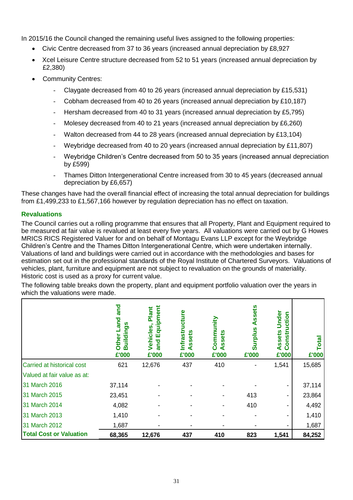In 2015/16 the Council changed the remaining useful lives assigned to the following properties:

- Civic Centre decreased from 37 to 36 years (increased annual depreciation by £8,927
- Xcel Leisure Centre structure decreased from 52 to 51 years (increased annual depreciation by £2,380)
- Community Centres:
	- Claygate decreased from 40 to 26 years (increased annual depreciation by £15,531)
	- Cobham decreased from 40 to 26 years (increased annual depreciation by £10,187)
	- Hersham decreased from 40 to 31 years (increased annual depreciation by £5,795)
	- Molesey decreased from 40 to 21 years (increased annual depreciation by £6,260)
	- Walton decreased from 44 to 28 years (increased annual depreciation by £13,104)
	- Weybridge decreased from 40 to 20 years (increased annual depreciation by £11,807)
	- Weybridge Children's Centre decreased from 50 to 35 years (increased annual depreciation by £599)
	- Thames Ditton Intergenerational Centre increased from 30 to 45 years (decreased annual depreciation by £6,657)

These changes have had the overall financial effect of increasing the total annual depreciation for buildings from £1,499,233 to £1,567,166 however by regulation depreciation has no effect on taxation.

#### **Revaluations**

The Council carries out a rolling programme that ensures that all Property, Plant and Equipment required to be measured at fair value is revalued at least every five years. All valuations were carried out by G Howes MRICS RICS Registered Valuer for and on behalf of Montagu Evans LLP except for the Weybridge Children's Centre and the Thames Ditton Intergenerational Centre, which were undertaken internally. Valuations of land and buildings were carried out in accordance with the methodologies and bases for estimation set out in the professional standards of the Royal Institute of Chartered Surveyors. Valuations of vehicles, plant, furniture and equipment are not subject to revaluation on the grounds of materiality. Historic cost is used as a proxy for current value.

The following table breaks down the property, plant and equipment portfolio valuation over the years in which the valuations were made.

|                                | and<br>and<br>n<br>Ō,<br>٩<br>Other<br>m<br>£'000 | ទី<br>Plant<br>$\overline{\mathbf{o}}$<br>$\blacksquare$<br>ŝ<br>Vehicles<br>$\overline{\mathbf{g}}$<br>pa<br>$\overline{\mathbf{a}}$<br>£'000 | ucture<br>Infrastr<br>ssets<br>£'000 | nity<br>Commu<br>ssets<br>๔<br>£'000 | sets<br><b>Surplus</b><br>£'000 | Under<br>uction<br>ssets<br>onstr<br>∢<br>ပ<br>£'000 | otal<br>£'000 |
|--------------------------------|---------------------------------------------------|------------------------------------------------------------------------------------------------------------------------------------------------|--------------------------------------|--------------------------------------|---------------------------------|------------------------------------------------------|---------------|
| Carried at historical cost     | 621                                               | 12,676                                                                                                                                         | 437                                  | 410                                  |                                 | 1,541                                                | 15,685        |
| Valued at fair value as at:    |                                                   |                                                                                                                                                |                                      |                                      |                                 |                                                      |               |
| 31 March 2016                  | 37,114                                            |                                                                                                                                                |                                      |                                      |                                 | $\overline{\phantom{0}}$                             | 37,114        |
| 31 March 2015                  | 23,451                                            |                                                                                                                                                |                                      |                                      | 413                             | $\blacksquare$                                       | 23,864        |
| 31 March 2014                  | 4,082                                             |                                                                                                                                                |                                      |                                      | 410                             | $\overline{\phantom{0}}$                             | 4,492         |
| 31 March 2013                  | 1,410                                             |                                                                                                                                                |                                      |                                      |                                 |                                                      | 1,410         |
| 31 March 2012                  | 1,687                                             |                                                                                                                                                |                                      |                                      |                                 |                                                      | 1,687         |
| <b>Total Cost or Valuation</b> | 68,365                                            | 12,676                                                                                                                                         | 437                                  | 410                                  | 823                             | 1,541                                                | 84,252        |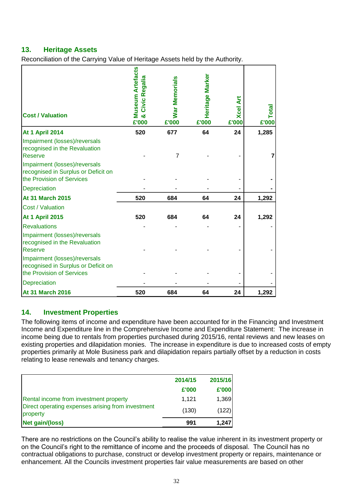## **13. Heritage Assets**

Reconciliation of the Carrying Value of Heritage Assets held by the Authority.

| <b>Cost / Valuation</b>                                                                                                                           | <b>Museum Artefacts</b><br><b>egalia</b><br>$\tilde{\mathbf{r}}$<br>Civic<br>න්<br>£'000 | War Memorials<br>£'000 | Heritage Marker<br>£'000 | <b>Xcel Art</b><br>£'000 | Total<br>£'000 |
|---------------------------------------------------------------------------------------------------------------------------------------------------|------------------------------------------------------------------------------------------|------------------------|--------------------------|--------------------------|----------------|
| <b>At 1 April 2014</b>                                                                                                                            | 520                                                                                      | 677                    | 64                       | 24                       | 1,285          |
| Impairment (losses)/reversals<br>recognised in the Revaluation<br>Reserve<br>Impairment (losses)/reversals<br>recognised in Surplus or Deficit on |                                                                                          | 7                      |                          |                          |                |
| the Provision of Services                                                                                                                         |                                                                                          |                        |                          |                          |                |
| Depreciation                                                                                                                                      |                                                                                          |                        |                          |                          |                |
| <b>At 31 March 2015</b>                                                                                                                           | 520                                                                                      | 684                    | 64                       | 24                       | 1,292          |
| Cost / Valuation                                                                                                                                  |                                                                                          |                        |                          |                          |                |
| <b>At 1 April 2015</b>                                                                                                                            | 520                                                                                      | 684                    | 64                       | 24                       | 1,292          |
| <b>Revaluations</b>                                                                                                                               |                                                                                          |                        |                          |                          |                |
| Impairment (losses)/reversals<br>recognised in the Revaluation<br><b>Reserve</b>                                                                  |                                                                                          |                        |                          |                          |                |
| Impairment (losses)/reversals<br>recognised in Surplus or Deficit on<br>the Provision of Services                                                 |                                                                                          |                        |                          |                          |                |
| Depreciation                                                                                                                                      |                                                                                          |                        |                          |                          |                |
| <b>At 31 March 2016</b>                                                                                                                           | 520                                                                                      | 684                    | 64                       | 24                       | 1,292          |

## **14. Investment Properties**

The following items of income and expenditure have been accounted for in the Financing and Investment Income and Expenditure line in the Comprehensive Income and Expenditure Statement: The increase in income being due to rentals from properties purchased during 2015/16, rental reviews and new leases on existing properties and dilapidation monies. The increase in expenditure is due to increased costs of empty properties primarily at Mole Business park and dilapidation repairs partially offset by a reduction in costs relating to lease renewals and tenancy charges.

|                                                               | 2014/15 | 2015/16 |
|---------------------------------------------------------------|---------|---------|
|                                                               | £'000   | £'000   |
| Rental income from investment property                        | 1.121   | 1,369   |
| Direct operating expenses arising from investment<br>property | (130)   | (122)   |
| Net gain/(loss)                                               | 991     | 1,247   |

There are no restrictions on the Council's ability to realise the value inherent in its investment property or on the Council's right to the remittance of income and the proceeds of disposal. The Council has no contractual obligations to purchase, construct or develop investment property or repairs, maintenance or enhancement. All the Councils investment properties fair value measurements are based on other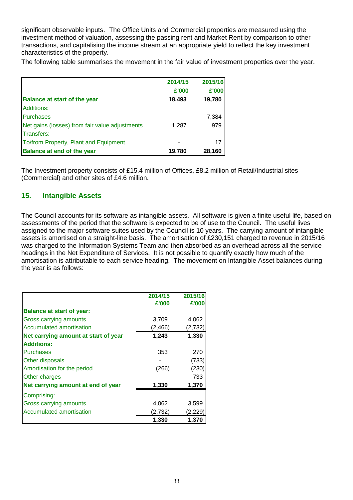significant observable inputs. The Office Units and Commercial properties are measured using the investment method of valuation, assessing the passing rent and Market Rent by comparison to other transactions, and capitalising the income stream at an appropriate yield to reflect the key investment characteristics of the property.

The following table summarises the movement in the fair value of investment properties over the year.

| <b>Balance at start of the year</b>            | 2014/15<br>£'000<br>18,493 | 2015/16<br>£'000<br>19,780 |
|------------------------------------------------|----------------------------|----------------------------|
| <b>Additions:</b>                              |                            |                            |
| <b>Purchases</b>                               |                            | 7,384                      |
| Net gains (losses) from fair value adjustments | 1,287                      | 979                        |
| <b>Transfers:</b>                              |                            |                            |
| To/from Property, Plant and Equipment          |                            | 17                         |
| <b>Balance at end of the year</b>              | 19,780                     | 28,160                     |

The Investment property consists of £15.4 million of Offices, £8.2 million of Retail/Industrial sites (Commercial) and other sites of £4.6 million.

#### **15. Intangible Assets**

The Council accounts for its software as intangible assets. All software is given a finite useful life, based on assessments of the period that the software is expected to be of use to the Council. The useful lives assigned to the major software suites used by the Council is 10 years. The carrying amount of intangible assets is amortised on a straight-line basis. The amortisation of £230,151 charged to revenue in 2015/16 was charged to the Information Systems Team and then absorbed as an overhead across all the service headings in the Net Expenditure of Services. It is not possible to quantify exactly how much of the amortisation is attributable to each service heading. The movement on Intangible Asset balances during the year is as follows:

|                                      | 2014/15<br>£'000 | 2015/16<br>£'000 |
|--------------------------------------|------------------|------------------|
| <b>Balance at start of year:</b>     |                  |                  |
| Gross carrying amounts               | 3,709            | 4,062            |
| Accumulated amortisation             | (2, 466)         | (2, 732)         |
| Net carrying amount at start of year | 1,243            | 1,330            |
| <b>Additions:</b>                    |                  |                  |
| Purchases                            | 353              | 270              |
| Other disposals                      |                  | (733)            |
| Amortisation for the period          | (266)            | (230)            |
| Other charges                        |                  | 733              |
| Net carrying amount at end of year   | 1,330            | 1,370            |
| Comprising:                          |                  |                  |
| Gross carrying amounts               | 4,062            | 3,599            |
| Accumulated amortisation             | (2,732)          | (2,229)          |
|                                      | 1,330            | 1,370            |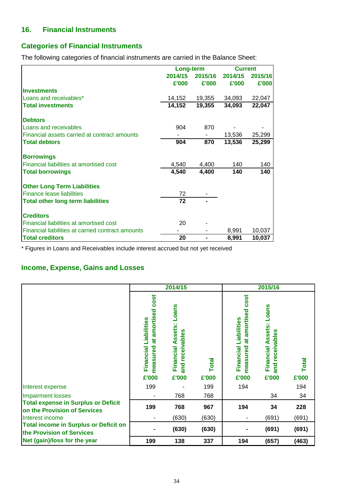#### **16. Financial Instruments**

## **Categories of Financial Instruments**

The following categories of financial instruments are carried in the Balance Sheet:

|                                                   | Long-term |         | <b>Current</b> |         |
|---------------------------------------------------|-----------|---------|----------------|---------|
|                                                   | 2014/15   | 2015/16 | 2014/15        | 2015/16 |
|                                                   | £'000     | £'000   | £'000          | £'000   |
| <b>Investments</b>                                |           |         |                |         |
| Loans and receivables*                            | 14,152    | 19,355  | 34,093         | 22,047  |
| <b>Total investments</b>                          | 14,152    | 19,355  | 34,093         | 22,047  |
| <b>Debtors</b>                                    |           |         |                |         |
| Loans and receivables                             | 904       | 870     |                |         |
| Financial assets carried at contract amounts      |           |         | 13,536         | 25,299  |
| <b>Total debtors</b>                              | 904       | 870     | 13,536         | 25,299  |
| <b>Borrowings</b>                                 |           |         |                |         |
| Financial liabilities at amortised cost           | 4,540     | 4,400   | 140            | 140     |
| <b>Total borrowings</b>                           | 4,540     | 4,400   | 140            | 140     |
| <b>Other Long Term Liabilities</b>                |           |         |                |         |
| <b>Finance lease liabilities</b>                  | 72        |         |                |         |
| <b>Total other long term liabilities</b>          | 72        |         |                |         |
| <b>Creditors</b>                                  |           |         |                |         |
| Financial liabilities at amortised cost           | 20        |         |                |         |
| Financial liabilities at carried contract amounts |           |         | 8,991          | 10,037  |
| <b>Total creditors</b>                            | 20        |         | 8,991          | 10,037  |

\* Figures in Loans and Receivables include interest accrued but not yet received

# **Income, Expense, Gains and Losses**

|                                                                            |                                                                         | 2014/15                                                              |                |                                                                                        | 2015/16                                                          |                       |
|----------------------------------------------------------------------------|-------------------------------------------------------------------------|----------------------------------------------------------------------|----------------|----------------------------------------------------------------------------------------|------------------------------------------------------------------|-----------------------|
|                                                                            | cost<br>amortised<br>Liabilities<br>ಕ<br>measured<br>Financial<br>£'000 | <b>Loans</b><br>ssets:<br>and receivables<br>⋖<br>Financial<br>£'000 | Total<br>£'000 | <b>COSt</b><br>amortised<br>Liabilities<br>$\vec{a}$<br>measured<br>Financial<br>£'000 | <b>Loans</b><br>Assets:<br>and receivables<br>Financial<br>£'000 | <b>Total</b><br>£'000 |
| Interest expense                                                           | 199                                                                     |                                                                      | 199            | 194                                                                                    |                                                                  | 194                   |
| <b>Impairment losses</b>                                                   |                                                                         | 768                                                                  | 768            |                                                                                        | 34                                                               | 34                    |
| <b>Total expense in Surplus or Deficit</b><br>on the Provision of Services | 199                                                                     | 768                                                                  | 967            | 194                                                                                    | 34                                                               | 228                   |
| Interest income                                                            |                                                                         | (630)                                                                | (630)          |                                                                                        | (691)                                                            | (691)                 |
| <b>Total income in Surplus or Deficit on</b><br>the Provision of Services  |                                                                         | (630)                                                                | (630)          |                                                                                        | (691)                                                            | (691)                 |
| Net (gain)/loss for the year                                               | 199                                                                     | 138                                                                  | 337            | 194                                                                                    | (657)                                                            | (463)                 |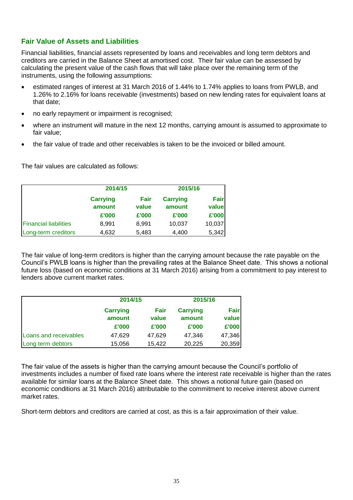## **Fair Value of Assets and Liabilities**

Financial liabilities, financial assets represented by loans and receivables and long term debtors and creditors are carried in the Balance Sheet at amortised cost. Their fair value can be assessed by calculating the present value of the cash flows that will take place over the remaining term of the instruments, using the following assumptions:

- estimated ranges of interest at 31 March 2016 of 1.44% to 1.74% applies to loans from PWLB, and 1.26% to 2.16% for loans receivable (investments) based on new lending rates for equivalent loans at that date;
- no early repayment or impairment is recognised;
- where an instrument will mature in the next 12 months, carrying amount is assumed to approximate to fair value;
- the fair value of trade and other receivables is taken to be the invoiced or billed amount.

The fair values are calculated as follows:

|                              | 2014/15                   |               | 2015/16                   |                      |
|------------------------------|---------------------------|---------------|---------------------------|----------------------|
|                              | <b>Carrying</b><br>amount | Fair<br>value | <b>Carrying</b><br>amount | <b>Fair</b><br>value |
|                              | £'000                     | £'000         | £'000                     | £'000                |
| <b>Financial liabilities</b> | 8,991                     | 8,991         | 10,037                    | 10,037               |
| Long-term creditors          | 4,632                     | 5,483         | 4,400                     | 5,342                |

The fair value of long-term creditors is higher than the carrying amount because the rate payable on the Council's PWLB loans is higher than the prevailing rates at the Balance Sheet date. This shows a notional future loss (based on economic conditions at 31 March 2016) arising from a commitment to pay interest to lenders above current market rates.

|                       | 2014/15                   |               | 2015/16                   |                      |
|-----------------------|---------------------------|---------------|---------------------------|----------------------|
|                       | <b>Carrying</b><br>amount | Fair<br>value | <b>Carrying</b><br>amount | <b>Fair</b><br>value |
|                       | £'000                     | £'000         | £'000                     | £'000                |
| Loans and receivables | 47,629                    | 47,629        | 47,346                    | 47,346               |
| Long term debtors     | 15,056                    | 15,422        | 20,225                    | 20,359               |

The fair value of the assets is higher than the carrying amount because the Council's portfolio of investments includes a number of fixed rate loans where the interest rate receivable is higher than the rates available for similar loans at the Balance Sheet date. This shows a notional future gain (based on economic conditions at 31 March 2016) attributable to the commitment to receive interest above current market rates.

Short-term debtors and creditors are carried at cost, as this is a fair approximation of their value.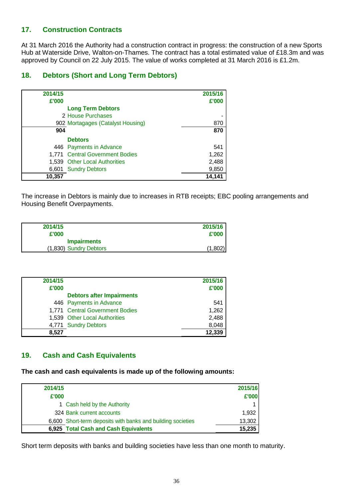#### **17. Construction Contracts**

At 31 March 2016 the Authority had a construction contract in progress: the construction of a new Sports Hub at Waterside Drive, Walton-on-Thames. The contract has a total estimated value of £18.3m and was approved by Council on 22 July 2015. The value of works completed at 31 March 2016 is £1.2m.

#### **18. Debtors (Short and Long Term Debtors)**

| 2014/15 |                                   | 2015/16 |
|---------|-----------------------------------|---------|
| £'000   |                                   | £'000   |
|         | <b>Long Term Debtors</b>          |         |
|         | 2 House Purchases                 |         |
|         | 902 Mortagages (Catalyst Housing) | 870     |
| 904     |                                   | 870     |
|         | <b>Debtors</b>                    |         |
|         | 446 Payments in Advance           | 541     |
|         | 1,771 Central Government Bodies   | 1,262   |
|         | 1,539 Other Local Authorities     | 2,488   |
|         | 6,601 Sundry Debtors              | 9,850   |
| 10,357  |                                   | 14,141  |

The increase in Debtors is mainly due to increases in RTB receipts; EBC pooling arrangements and Housing Benefit Overpayments.

| 2014/15                | 2015/16 |
|------------------------|---------|
| £'000                  | £'000   |
| <b>Impairments</b>     |         |
| (1,830) Sundry Debtors | (1,802) |

| 2014/15 |                                  | 2015/16 |
|---------|----------------------------------|---------|
| £'000   |                                  | £'000   |
|         | <b>Debtors after Impairments</b> |         |
|         | 446 Payments in Advance          | 541     |
|         | 1,771 Central Government Bodies  | 1,262   |
|         | 1,539 Other Local Authorities    | 2,488   |
|         | 4,771 Sundry Debtors             | 8,048   |
| 8,527   |                                  | 12,339  |

#### **19. Cash and Cash Equivalents**

**The cash and cash equivalents is made up of the following amounts:**

| 2014/15 |                                                             | 2015/16 |
|---------|-------------------------------------------------------------|---------|
| £'000   |                                                             | £'000   |
|         | 1 Cash held by the Authority                                |         |
|         | 324 Bank current accounts                                   | 1.932   |
|         | 6,600 Short-term deposits with banks and building societies | 13,302  |
|         | 6,925 Total Cash and Cash Equivalents                       | 15,235  |

Short term deposits with banks and building societies have less than one month to maturity.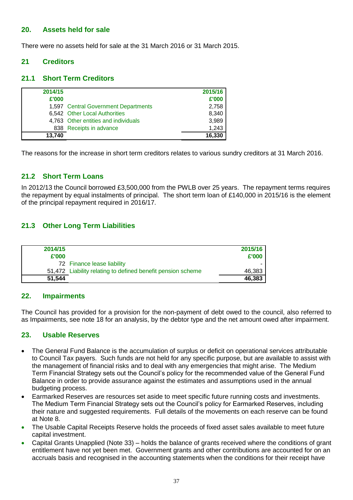#### **20. Assets held for sale**

There were no assets held for sale at the 31 March 2016 or 31 March 2015.

#### **21 Creditors**

#### **21.1 Short Term Creditors**

| 2014/15 |                                      | 2015/16 |
|---------|--------------------------------------|---------|
| £'000   |                                      | £'000   |
|         | 1,597 Central Government Departments | 2,758   |
|         | 6,542 Other Local Authorities        | 8,340   |
|         | 4,763 Other entities and individuals | 3,989   |
|         | 838 Receipts in advance              | 1,243   |
| 13.740  |                                      | 16,330  |

The reasons for the increase in short term creditors relates to various sundry creditors at 31 March 2016.

#### **21.2 Short Term Loans**

In 2012/13 the Council borrowed £3,500,000 from the PWLB over 25 years. The repayment terms requires the repayment by equal instalments of principal. The short term loan of £140,000 in 2015/16 is the element of the principal repayment required in 2016/17.

#### **21.3 Other Long Term Liabilities**

| 2014/15<br>£'000 |                                                             | 2015/16<br>£'000 |
|------------------|-------------------------------------------------------------|------------------|
|                  | 72 Finance lease liability                                  |                  |
|                  | 51,472 Liability relating to defined benefit pension scheme | 46,383           |
| 51.544           |                                                             | 46,383           |

#### **22. Impairments**

The Council has provided for a provision for the non-payment of debt owed to the council, also referred to as Impairments, see note 18 for an analysis, by the debtor type and the net amount owed after impairment.

#### **23. Usable Reserves**

- The General Fund Balance is the accumulation of surplus or deficit on operational services attributable to Council Tax payers. Such funds are not held for any specific purpose, but are available to assist with the management of financial risks and to deal with any emergencies that might arise. The Medium Term Financial Strategy sets out the Council's policy for the recommended value of the General Fund Balance in order to provide assurance against the estimates and assumptions used in the annual budgeting process.
- Earmarked Reserves are resources set aside to meet specific future running costs and investments. The Medium Term Financial Strategy sets out the Council's policy for Earmarked Reserves, including their nature and suggested requirements. Full details of the movements on each reserve can be found at Note 8.
- The Usable Capital Receipts Reserve holds the proceeds of fixed asset sales available to meet future capital investment.
- Capital Grants Unapplied (Note 33) holds the balance of grants received where the conditions of grant entitlement have not yet been met. Government grants and other contributions are accounted for on an accruals basis and recognised in the accounting statements when the conditions for their receipt have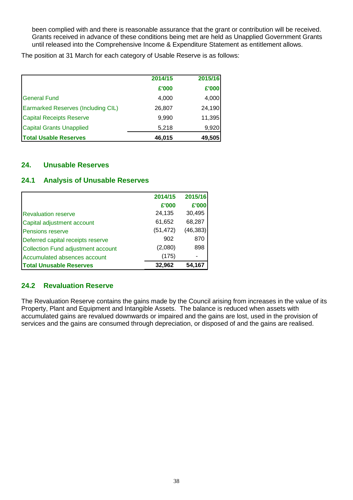been complied with and there is reasonable assurance that the grant or contribution will be received. Grants received in advance of these conditions being met are held as Unapplied Government Grants until released into the Comprehensive Income & Expenditure Statement as entitlement allows.

The position at 31 March for each category of Usable Reserve is as follows:

|                                           | 2014/15 | 2015/16 |
|-------------------------------------------|---------|---------|
|                                           | £'000   | £'000   |
| <b>General Fund</b>                       | 4,000   | 4,000   |
| <b>Earmarked Reserves (Including CIL)</b> | 26,807  | 24,190  |
| <b>Capital Receipts Reserve</b>           | 9,990   | 11,395  |
| <b>Capital Grants Unapplied</b>           | 5,218   | 9,920   |
| <b>Total Usable Reserves</b>              | 46,015  | 49,505  |

#### **24. Unusable Reserves**

#### **24.1 Analysis of Unusable Reserves**

|                                           | 2014/15   | 2015/16   |
|-------------------------------------------|-----------|-----------|
|                                           | £'000     | £'000     |
| <b>Revaluation reserve</b>                | 24,135    | 30,495    |
| Capital adjustment account                | 61,652    | 68,287    |
| Pensions reserve                          | (51, 472) | (46, 383) |
| Deferred capital receipts reserve         | 902       | 870       |
| <b>Collection Fund adjustment account</b> | (2,080)   | 898       |
| Accumulated absences account              | (175)     |           |
| <b>Total Unusable Reserves</b>            | 32,962    | 54.167    |

## **24.2 Revaluation Reserve**

The Revaluation Reserve contains the gains made by the Council arising from increases in the value of its Property, Plant and Equipment and Intangible Assets. The balance is reduced when assets with accumulated gains are revalued downwards or impaired and the gains are lost, used in the provision of services and the gains are consumed through depreciation, or disposed of and the gains are realised.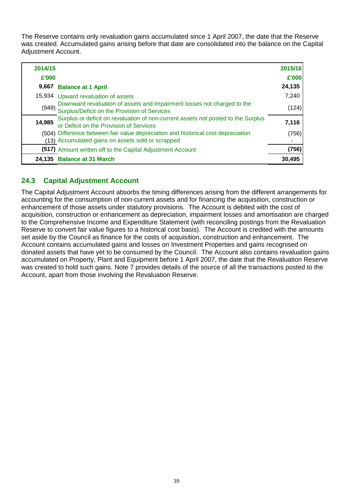The Reserve contains only revaluation gains accumulated since 1 April 2007, the date that the Reserve was created. Accumulated gains arising before that date are consolidated into the balance on the Capital Adjustment Account.

| 2014/15 |                                                                                                                              | 2015/16 |
|---------|------------------------------------------------------------------------------------------------------------------------------|---------|
| £'000   |                                                                                                                              | £'000   |
| 9,667   | <b>Balance at 1 April</b>                                                                                                    | 24,135  |
|         | 15,934 Upward revaluation of assets                                                                                          | 7,240   |
| (949)   | Downward revaluation of assets and impairment losses not charged to the<br>Surplus/Deficit on the Provision of Services      | (124)   |
| 14,985  | Surplus or deficit on revaluation of non-current assets not posted to the Surplus<br>or Deficit on the Provision of Services | 7,116   |
|         | (504) Difference between fair value depreciation and historical cost depreciation                                            | (756)   |
|         | (13) Accumulated gains on assets sold or scrapped                                                                            |         |
|         | (517) Amount written off to the Capital Adjustment Account                                                                   | (756)   |
|         | 24,135 Balance at 31 March                                                                                                   | 30,495  |

# **24.3 Capital Adjustment Account**

The Capital Adjustment Account absorbs the timing differences arising from the different arrangements for accounting for the consumption of non-current assets and for financing the acquisition, construction or enhancement of those assets under statutory provisions. The Account is debited with the cost of acquisition, construction or enhancement as depreciation, impairment losses and amortisation are charged to the Comprehensive Income and Expenditure Statement (with reconciling postings from the Revaluation Reserve to convert fair value figures to a historical cost basis). The Account is credited with the amounts set aside by the Council as finance for the costs of acquisition, construction and enhancement. The Account contains accumulated gains and losses on Investment Properties and gains recognised on donated assets that have yet to be consumed by the Council. The Account also contains revaluation gains accumulated on Property, Plant and Equipment before 1 April 2007, the date that the Revaluation Reserve was created to hold such gains. Note 7 provides details of the source of all the transactions posted to the Account, apart from those involving the Revaluation Reserve.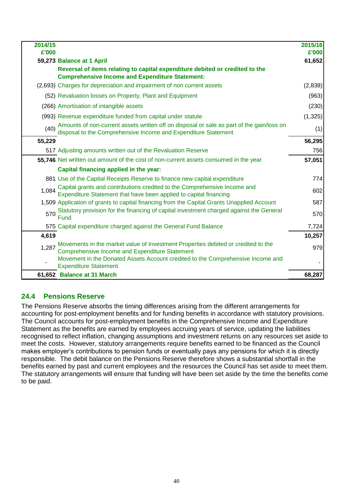| 2014/15<br>£'000 |                                                                                                                                                             | 2015/16<br>£'000 |
|------------------|-------------------------------------------------------------------------------------------------------------------------------------------------------------|------------------|
|                  | 59,273 Balance at 1 April                                                                                                                                   | 61,652           |
|                  | Reversal of items relating to capital expenditure debited or credited to the<br><b>Comprehensive Income and Expenditure Statement:</b>                      |                  |
|                  | (2,693) Charges for depreciation and impairment of non current assets                                                                                       | (2,838)          |
|                  | (52) Revaluation losses on Property, Plant and Equipment                                                                                                    | (963)            |
|                  | (266) Amortisation of intangible assets                                                                                                                     | (230)            |
|                  | (993) Revenue expenditure funded from capital under statute                                                                                                 | (1, 325)         |
| (40)             | Amounts of non-current assets written off on disposal or sale as part of the gain/loss on<br>disposal to the Comprehensive Income and Expenditure Statement | (1)              |
| 55,229           |                                                                                                                                                             | 56,295           |
|                  | 517 Adjusting amounts written out of the Revaluation Reserve                                                                                                | 756              |
|                  | 55,746 Net written out amount of the cost of non-current assets consumed in the year                                                                        | 57,051           |
|                  | Capital financing applied in the year:                                                                                                                      |                  |
|                  | 881 Use of the Capital Receipts Reserve to finance new capital expenditure                                                                                  | 774              |
| 1,084            | Capital grants and contributions credited to the Comprehensive Income and<br>Expenditure Statement that have been applied to capital financing              | 602              |
|                  | 1,509 Application of grants to capital financing from the Capital Grants Unapplied Account                                                                  | 587              |
| 570              | Statutory provision for the financing of capital investment charged against the General<br>Fund                                                             | 570              |
|                  | 575 Capital expenditure charged against the General Fund Balance                                                                                            | 7,724            |
| 4,619            |                                                                                                                                                             | 10,257           |
| 1,287            | Movements in the market value of Investment Properties debited or credited to the<br><b>Comprehensive Income and Expenditure Statement</b>                  | 979              |
|                  | Movement in the Donated Assets Account credited to the Comprehensive Income and<br><b>Expenditure Statement</b>                                             |                  |
|                  | 61,652 Balance at 31 March                                                                                                                                  | 68,287           |

# **24.4 Pensions Reserve**

The Pensions Reserve absorbs the timing differences arising from the different arrangements for accounting for post-employment benefits and for funding benefits in accordance with statutory provisions. The Council accounts for post-employment benefits in the Comprehensive Income and Expenditure Statement as the benefits are earned by employees accruing years of service, updating the liabilities recognised to reflect inflation, changing assumptions and investment returns on any resources set aside to meet the costs. However, statutory arrangements require benefits earned to be financed as the Council makes employer's contributions to pension funds or eventually pays any pensions for which it is directly responsible. The debit balance on the Pensions Reserve therefore shows a substantial shortfall in the benefits earned by past and current employees and the resources the Council has set aside to meet them. The statutory arrangements will ensure that funding will have been set aside by the time the benefits come to be paid.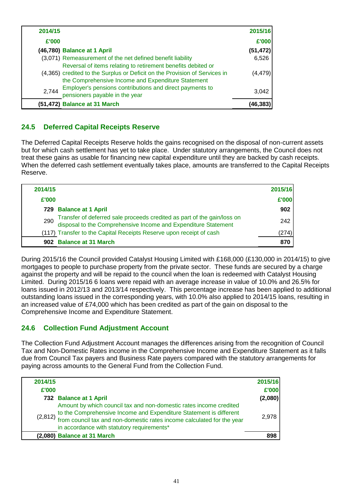| 2014/15 |                                                                                                                                                                                                  | 2015/16   |
|---------|--------------------------------------------------------------------------------------------------------------------------------------------------------------------------------------------------|-----------|
| £'000   |                                                                                                                                                                                                  | £'000     |
|         | (46,780) Balance at 1 April                                                                                                                                                                      | (51, 472) |
|         | (3,071) Remeasurement of the net defined benefit liability                                                                                                                                       | 6,526     |
|         | Reversal of items relating to retirement benefits debited or<br>(4,365) credited to the Surplus or Deficit on the Provision of Services in<br>the Comprehensive Income and Expenditure Statement | (4, 479)  |
| 2,744   | Employer's pensions contributions and direct payments to<br>pensioners payable in the year                                                                                                       | 3,042     |
|         | (51,472) Balance at 31 March                                                                                                                                                                     | (46.383)  |

# **24.5 Deferred Capital Receipts Reserve**

The Deferred Capital Receipts Reserve holds the gains recognised on the disposal of non-current assets but for which cash settlement has yet to take place. Under statutory arrangements, the Council does not treat these gains as usable for financing new capital expenditure until they are backed by cash receipts. When the deferred cash settlement eventually takes place, amounts are transferred to the Capital Receipts Reserve.

| 2014/15 |                                                                                                                                        | 2015/16 |
|---------|----------------------------------------------------------------------------------------------------------------------------------------|---------|
| £'000   |                                                                                                                                        | £'000   |
|         | 729 Balance at 1 April                                                                                                                 | 902     |
| 290     | Transfer of deferred sale proceeds credited as part of the gain/loss on disposal to the Comprehensive Income and Expenditure Statement | 242     |
|         | (117) Transfer to the Capital Receipts Reserve upon receipt of cash                                                                    | (274)   |
|         | 902 Balance at 31 March                                                                                                                | 870     |

During 2015/16 the Council provided Catalyst Housing Limited with £168,000 (£130,000 in 2014/15) to give mortgages to people to purchase property from the private sector. These funds are secured by a charge against the property and will be repaid to the council when the loan is redeemed with Catalyst Housing Limited. During 2015/16 6 loans were repaid with an average increase in value of 10.0% and 26.5% for loans issued in 2012/13 and 2013/14 respectively. This percentage increase has been applied to additional outstanding loans issued in the corresponding years, with 10.0% also applied to 2014/15 loans, resulting in an increased value of £74,000 which has been credited as part of the gain on disposal to the Comprehensive Income and Expenditure Statement.

## **24.6 Collection Fund Adjustment Account**

The Collection Fund Adjustment Account manages the differences arising from the recognition of Council Tax and Non-Domestic Rates income in the Comprehensive Income and Expenditure Statement as it falls due from Council Tax payers and Business Rate payers compared with the statutory arrangements for paying across amounts to the General Fund from the Collection Fund.

| 2014/15 |                                                                                                                                                                                                                                                                               | 2015/16 |
|---------|-------------------------------------------------------------------------------------------------------------------------------------------------------------------------------------------------------------------------------------------------------------------------------|---------|
| £'000   |                                                                                                                                                                                                                                                                               | £'000   |
|         | 732 Balance at 1 April                                                                                                                                                                                                                                                        | (2,080) |
|         | Amount by which council tax and non-domestic rates income credited<br>(2,812) to the Comprehensive Income and Expenditure Statement is different (2,812) from council tax and non-domestic rates income calculated for the year<br>in accordance with statutory requirements* | 2.978   |
|         | (2,080) Balance at 31 March                                                                                                                                                                                                                                                   | 898     |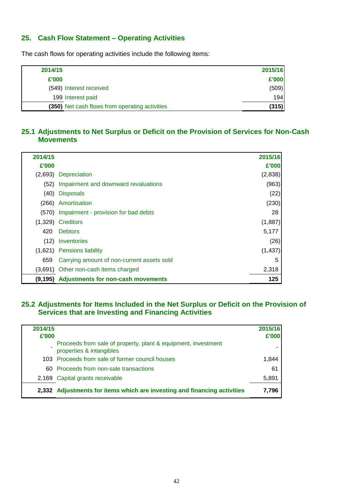## **25. Cash Flow Statement – Operating Activities**

The cash flows for operating activities include the following items:

| 2014/15 |                                                | 2015/16 |
|---------|------------------------------------------------|---------|
| £'000   |                                                | £'000   |
|         | (549) Interest received                        | (509)   |
|         | 199 Interest paid                              | 194     |
|         | (350) Net cash flows from operating activities | (315)   |

#### **25.1 Adjustments to Net Surplus or Deficit on the Provision of Services for Non-Cash Movements**

| 2014/15 |                                            | 2015/16  |
|---------|--------------------------------------------|----------|
| £'000   |                                            | £'000    |
|         | (2,693) Depreciation                       | (2,838)  |
| (52)    | Impairment and downward revaluations       | (963)    |
| (40)    | <b>Disposals</b>                           | (22)     |
| (266)   | Amortisation                               | (230)    |
|         | (570) Impairment - provision for bad debts | 28       |
| (1,329) | <b>Creditors</b>                           | (1,887)  |
| 420     | <b>Debtors</b>                             | 5,177    |
| (12)    | Inventories                                | (26)     |
| (1,621) | <b>Pensions liability</b>                  | (1, 437) |
| 659     | Carrying amount of non-current assets sold | 5        |
| (3.691) | Other non-cash items charged               | 2,318    |
| (9,195) | <b>Adjustments for non-cash movements</b>  | 125      |

## **25.2 Adjustments for Items Included in the Net Surplus or Deficit on the Provision of Services that are Investing and Financing Activities**

| 2014/15<br>£'000 |                                                                                           | 2015/16<br>£'000 |
|------------------|-------------------------------------------------------------------------------------------|------------------|
|                  | Proceeds from sale of property, plant & equipment, investment<br>properties & intangibles |                  |
|                  | 103 Proceeds from sale of former council houses                                           | 1.844            |
|                  | 60 Proceeds from non-sale transactions                                                    | 61               |
|                  | 2,169 Capital grants receivable                                                           | 5,891            |
|                  | 2,332 Adjustments for items which are investing and financing activities                  | 7,796            |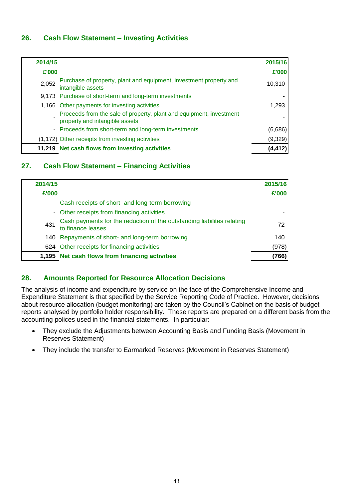## **26. Cash Flow Statement – Investing Activities**

| 2014/15 |                                                                                                       | 2015/16  |
|---------|-------------------------------------------------------------------------------------------------------|----------|
| £'000   |                                                                                                       | £'000    |
| 2,052   | Purchase of property, plant and equipment, investment property and<br>intangible assets               | 10,310   |
|         | 9,173 Purchase of short-term and long-term investments                                                |          |
|         | 1,166 Other payments for investing activities                                                         | 1,293    |
|         | Proceeds from the sale of property, plant and equipment, investment<br>property and intangible assets |          |
|         | - Proceeds from short-term and long-term investments                                                  | (6,686)  |
|         | (1,172) Other receipts from investing activities                                                      | (9,329)  |
|         | 11,219 Net cash flows from investing activities                                                       | (4, 412) |

## **27. Cash Flow Statement – Financing Activities**

| 2014/15 |                                                                                             | 2015/16 |
|---------|---------------------------------------------------------------------------------------------|---------|
| £'000   |                                                                                             | £'000   |
|         | - Cash receipts of short- and long-term borrowing                                           |         |
|         | - Other receipts from financing activities                                                  |         |
| 431     | Cash payments for the reduction of the outstanding liabilites relating<br>to finance leases | 72      |
|         | 140 Repayments of short- and long-term borrowing                                            | 140     |
|         | 624 Other receipts for financing activities                                                 | (978)   |
|         | 1,195 Net cash flows from financing activities                                              | 766)    |

## **28. Amounts Reported for Resource Allocation Decisions**

The analysis of income and expenditure by service on the face of the Comprehensive Income and Expenditure Statement is that specified by the Service Reporting Code of Practice. However, decisions about resource allocation (budget monitoring) are taken by the Council's Cabinet on the basis of budget reports analysed by portfolio holder responsibility. These reports are prepared on a different basis from the accounting polices used in the financial statements. In particular:

- They exclude the Adjustments between Accounting Basis and Funding Basis (Movement in Reserves Statement)
- They include the transfer to Earmarked Reserves (Movement in Reserves Statement)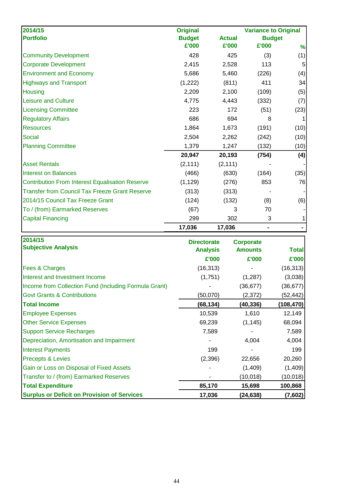| 2014/15                                                | <b>Original</b> |               | <b>Variance to Original</b> |      |
|--------------------------------------------------------|-----------------|---------------|-----------------------------|------|
| <b>Portfolio</b>                                       | <b>Budget</b>   | <b>Actual</b> | <b>Budget</b>               |      |
|                                                        | £'000           | £'000         | £'000                       | $\%$ |
| <b>Community Development</b>                           | 428             | 425           | (3)                         | (1)  |
| <b>Corporate Development</b>                           | 2,415           | 2,528         | 113                         | 5    |
| <b>Environment and Economy</b>                         | 5,686           | 5,460         | (226)                       | (4)  |
| <b>Highways and Transport</b>                          | (1,222)         | (811)         | 411                         | 34   |
| <b>Housing</b>                                         | 2,209           | 2,100         | (109)                       | (5)  |
| <b>Leisure and Culture</b>                             | 4,775           | 4,443         | (332)                       | (7)  |
| <b>Licensing Committee</b>                             | 223             | 172           | (51)                        | (23) |
| <b>Regulatory Affairs</b>                              | 686             | 694           | 8                           | 1    |
| <b>Resources</b>                                       | 1,864           | 1,673         | (191)                       | (10) |
| Social                                                 | 2,504           | 2,262         | (242)                       | (10) |
| <b>Planning Committee</b>                              | 1,379           | 1,247         | (132)                       | (10) |
|                                                        | 20,947          | 20,193        | (754)                       | (4)  |
| <b>Asset Rentals</b>                                   | (2, 111)        | (2, 111)      |                             |      |
| <b>Interest on Balances</b>                            | (466)           | (630)         | (164)                       | (35) |
| <b>Contribution From Interest Equalisation Reserve</b> | (1, 129)        | (276)         | 853                         | 76   |
| <b>Transfer from Council Tax Freeze Grant Reserve</b>  | (313)           | (313)         |                             |      |
| 2014/15 Council Tax Freeze Grant                       | (124)           | (132)         | (8)                         | (6)  |
| To / (from) Earmarked Reserves                         | (67)            | 3             | 70                          |      |
| <b>Capital Financing</b>                               | 299             | 302           | 3                           | 1    |
|                                                        | 17,036          | 17,036        |                             |      |

| 2014/15                                               | <b>Directorate</b> | <b>Corporate</b> |           |
|-------------------------------------------------------|--------------------|------------------|-----------|
| <b>Subjective Analysis</b>                            | <b>Analysis</b>    | <b>Amounts</b>   | Total     |
|                                                       | £'000              | £'000            | £'000     |
| Fees & Charges                                        | (16, 313)          |                  | (16, 313) |
| Interest and Investment Income                        | (1,751)            | (1, 287)         | (3,038)   |
| Income from Collection Fund (Including Formula Grant) |                    | (36, 677)        | (36, 677) |
| <b>Govt Grants &amp; Contributions</b>                | (50,070)           | (2,372)          | (52,442)  |
| <b>Total Income</b>                                   | (68,134)           | (40,336)         | (108,470) |
| <b>Employee Expenses</b>                              | 10,539             | 1,610            | 12,149    |
| <b>Other Service Expenses</b>                         | 69,239             | (1, 145)         | 68,094    |
| <b>Support Service Recharges</b>                      | 7,589              |                  | 7,589     |
| Depreciation, Amortisation and Impairment             |                    | 4,004            | 4,004     |
| <b>Interest Payments</b>                              | 199                |                  | 199       |
| <b>Precepts &amp; Levies</b>                          | (2,396)            | 22,656           | 20,260    |
| Gain or Loss on Disposal of Fixed Assets              |                    | (1,409)          | (1,409)   |
| Transfer to / (from) Earmarked Reserves               |                    | (10,018)         | (10,018)  |
| <b>Total Expenditure</b>                              | 85,170             | 15,698           | 100,868   |
| <b>Surplus or Deficit on Provision of Services</b>    | 17,036             | (24, 638)        | (7,602)   |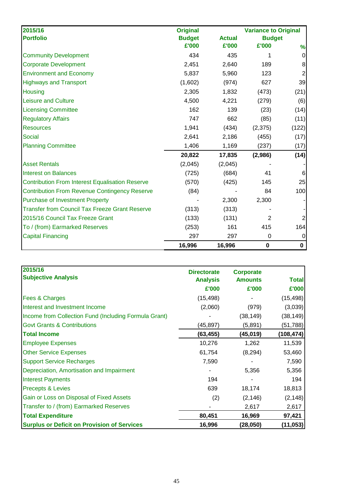| 2015/16                                                | <b>Original</b> |               | <b>Variance to Original</b> |                |
|--------------------------------------------------------|-----------------|---------------|-----------------------------|----------------|
| <b>Portfolio</b>                                       | <b>Budget</b>   | <b>Actual</b> | <b>Budget</b>               |                |
|                                                        | £'000           | £'000         | £'000                       | %              |
| <b>Community Development</b>                           | 434             | 435           | 1                           | $\pmb{0}$      |
| <b>Corporate Development</b>                           | 2,451           | 2,640         | 189                         | $\bf 8$        |
| <b>Environment and Economy</b>                         | 5,837           | 5,960         | 123                         | $\overline{c}$ |
| <b>Highways and Transport</b>                          | (1,602)         | (974)         | 627                         | 39             |
| Housing                                                | 2,305           | 1,832         | (473)                       | (21)           |
| <b>Leisure and Culture</b>                             | 4,500           | 4,221         | (279)                       | (6)            |
| <b>Licensing Committee</b>                             | 162             | 139           | (23)                        | (14)           |
| <b>Regulatory Affairs</b>                              | 747             | 662           | (85)                        | (11)           |
| <b>Resources</b>                                       | 1,941           | (434)         | (2, 375)                    | (122)          |
| <b>Social</b>                                          | 2,641           | 2,186         | (455)                       | (17)           |
| <b>Planning Committee</b>                              | 1,406           | 1,169         | (237)                       | (17)           |
|                                                        | 20,822          | 17,835        | (2,986)                     | (14)           |
| <b>Asset Rentals</b>                                   | (2,045)         | (2,045)       |                             |                |
| <b>Interest on Balances</b>                            | (725)           | (684)         | 41                          | 6              |
| <b>Contribution From Interest Equalisation Reserve</b> | (570)           | (425)         | 145                         | 25             |
| <b>Contribution From Revenue Contingency Reserve</b>   | (84)            |               | 84                          | 100            |
| <b>Purchase of Investment Property</b>                 |                 | 2,300         | 2,300                       |                |
| <b>Transfer from Council Tax Freeze Grant Reserve</b>  | (313)           | (313)         |                             |                |
| 2015/16 Council Tax Freeze Grant                       | (133)           | (131)         | $\overline{2}$              | $\overline{2}$ |
| To / (from) Earmarked Reserves                         | (253)           | 161           | 415                         | 164            |
| <b>Capital Financing</b>                               | 297             | 297           | 0                           | $\mathbf 0$    |
|                                                        | 16,996          | 16,996        | $\mathbf 0$                 | $\mathbf 0$    |

| 2015/16                                               | <b>Directorate</b> | <b>Corporate</b> |              |
|-------------------------------------------------------|--------------------|------------------|--------------|
| <b>Subjective Analysis</b>                            | <b>Analysis</b>    | <b>Amounts</b>   | <b>Total</b> |
|                                                       | £'000              | £'000            | £'000        |
| <b>Fees &amp; Charges</b>                             | (15, 498)          |                  | (15, 498)    |
| Interest and Investment Income                        | (2,060)            | (979)            | (3,039)      |
| Income from Collection Fund (Including Formula Grant) |                    | (38, 149)        | (38, 149)    |
| <b>Govt Grants &amp; Contributions</b>                | (45,897)           | (5,891)          | (51, 788)    |
| <b>Total Income</b>                                   | (63, 455)          | (45, 019)        | (108, 474)   |
| <b>Employee Expenses</b>                              | 10,276             | 1,262            | 11,539       |
| <b>Other Service Expenses</b>                         | 61,754             | (8, 294)         | 53,460       |
| <b>Support Service Recharges</b>                      | 7,590              |                  | 7,590        |
| Depreciation, Amortisation and Impairment             |                    | 5,356            | 5,356        |
| <b>Interest Payments</b>                              | 194                |                  | 194          |
| <b>Precepts &amp; Levies</b>                          | 639                | 18,174           | 18,813       |
| Gain or Loss on Disposal of Fixed Assets              | (2)                | (2, 146)         | (2, 148)     |
| Transfer to / (from) Earmarked Reserves               |                    | 2,617            | 2,617        |
| <b>Total Expenditure</b>                              | 80,451             | 16,969           | 97,421       |
| <b>Surplus or Deficit on Provision of Services</b>    | 16,996             | (28, 050)        | (11, 053)    |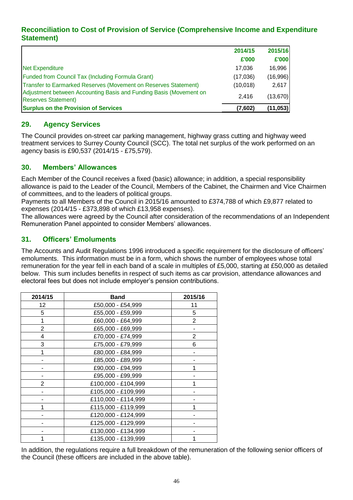## **Reconciliation to Cost of Provision of Service (Comprehensive Income and Expenditure Statement)**

|                                                                                                  | 2014/15  | 2015/16   |
|--------------------------------------------------------------------------------------------------|----------|-----------|
|                                                                                                  | £'000    | £'000     |
| <b>Net Expenditure</b>                                                                           | 17.036   | 16.996    |
| <b>Funded from Council Tax (Including Formula Grant)</b>                                         | (17,036) | (16,996)  |
| Transfer to Earmarked Reserves (Movement on Reserves Statement)                                  | (10,018) | 2.617     |
| Adjustment between Accounting Basis and Funding Basis (Movement on<br><b>Reserves Statement)</b> | 2.416    | (13,670)  |
| <b>Surplus on the Provision of Services</b>                                                      | (7,602)  | (11, 053) |

## **29. Agency Services**

The Council provides on-street car parking management, highway grass cutting and highway weed treatment services to Surrey County Council (SCC). The total net surplus of the work performed on an agency basis is £90,537 (2014/15 - £75,579).

#### **30. Members' Allowances**

Each Member of the Council receives a fixed (basic) allowance; in addition, a special responsibility allowance is paid to the Leader of the Council, Members of the Cabinet, the Chairmen and Vice Chairmen of committees, and to the leaders of political groups.

Payments to all Members of the Council in 2015/16 amounted to £374,788 of which £9,877 related to expenses (2014/15 - £373,898 of which £13,958 expenses).

The allowances were agreed by the Council after consideration of the recommendations of an Independent Remuneration Panel appointed to consider Members' allowances.

## **31. Officers' Emoluments**

The Accounts and Audit Regulations 1996 introduced a specific requirement for the disclosure of officers' emoluments. This information must be in a form, which shows the number of employees whose total remuneration for the year fell in each band of a scale in multiples of £5,000, starting at £50,000 as detailed below. This sum includes benefits in respect of such items as car provision, attendance allowances and electoral fees but does not include employer's pension contributions.

| 2014/15        | <b>Band</b>         | 2015/16        |
|----------------|---------------------|----------------|
| 12             | £50,000 - £54,999   | 11             |
| 5              | £55,000 - £59,999   | 5              |
| 1              | £60,000 - £64,999   | $\overline{2}$ |
| $\overline{2}$ | £65,000 - £69,999   |                |
| 4              | £70,000 - £74,999   | 2              |
| 3              | £75,000 - £79,999   | 6              |
| 1              | £80,000 - £84,999   |                |
|                | £85,000 - £89,999   |                |
|                | £90,000 - £94,999   |                |
|                | £95,000 - £99,999   |                |
| $\overline{2}$ | £100,000 - £104,999 |                |
|                | £105,000 - £109,999 |                |
|                | £110,000 - £114,999 |                |
| 4              | £115,000 - £119,999 |                |
|                | £120,000 - £124,999 |                |
|                | £125,000 - £129,999 |                |
|                | £130,000 - £134,999 |                |
|                | £135,000 - £139,999 |                |

In addition, the regulations require a full breakdown of the remuneration of the following senior officers of the Council (these officers are included in the above table).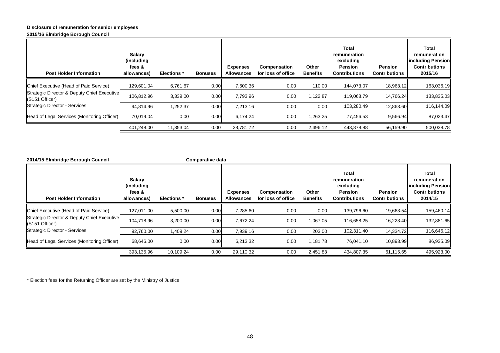#### **Disclosure of remuneration for senior employees**

#### **2015/16 Elmbridge Borough Council**

| <b>Post Holder Information</b>                                | Salary<br>(including<br>fees &<br>allowances) | <b>Elections</b> * | <b>Bonuses</b> | <b>Expenses</b><br><b>Allowances</b> | Compensation<br>for loss of office | Other<br><b>Benefits</b> | Total<br>remuneration<br>excluding<br><b>Pension</b><br>Contributions | <b>Pension</b><br><b>Contributions</b> | Total<br>remuneration<br><b>lincluding Pension</b><br><b>Contributions</b><br>2015/16 |
|---------------------------------------------------------------|-----------------------------------------------|--------------------|----------------|--------------------------------------|------------------------------------|--------------------------|-----------------------------------------------------------------------|----------------------------------------|---------------------------------------------------------------------------------------|
| Chief Executive (Head of Paid Service)                        | 129,601.04                                    | 6,761.67           | 0.00           | 7,600.36                             | 0.00                               | 110.00                   | 144,073.07                                                            | 18,963.12                              | 163,036.19                                                                            |
| Strategic Director & Deputy Chief Executive<br>(S151 Officer) | 106.812.96                                    | 3,339.00           | 0.00           | 7.793.96                             | 0.00                               | 1,122.87                 | 119,068.79                                                            | 14.766.24                              | 133,835.03                                                                            |
| <b>Strategic Director - Services</b>                          | 94.814.96                                     | 1.252.37           | 0.001          | 7.213.16                             | 0.00                               | 0.00                     | 103,280.49                                                            | 12,863.60                              | 116,144.09                                                                            |
| Head of Legal Services (Monitoring Officer)                   | 70,019.04                                     | 0.00               | 0.00           | 6.174.24                             | 0.00                               | 1,263.25                 | 77,456.53                                                             | 9,566.94                               | 87,023.47                                                                             |
|                                                               | 401,248.00                                    | 11,353.04          | 0.00           | 28,781.72                            | 0.00                               | 2,496.12                 | 443,878.88                                                            | 56,159.90                              | 500,038.78                                                                            |

| 2014/15 Elmbridge Borough Council                             |                                               |                    | Comparative data |                                      |                                    |                          |                                                                              |                                        |                                                                                      |
|---------------------------------------------------------------|-----------------------------------------------|--------------------|------------------|--------------------------------------|------------------------------------|--------------------------|------------------------------------------------------------------------------|----------------------------------------|--------------------------------------------------------------------------------------|
| <b>Post Holder Information</b>                                | Salary<br>(including<br>fees &<br>allowances) | <b>Elections</b> * | <b>Bonuses</b>   | <b>Expenses</b><br><b>Allowances</b> | Compensation<br>for loss of office | Other<br><b>Benefits</b> | <b>Total</b><br>remuneration<br>excluding<br>Pension<br><b>Contributions</b> | <b>Pension</b><br><b>Contributions</b> | Total<br>remuneration<br><b>Including Pension</b><br><b>Contributions</b><br>2014/15 |
| Chief Executive (Head of Paid Service)                        | 127.011.00                                    | 5,500.00           | 0.00             | 7,285.60                             | 0.00                               | 0.00                     | 139,796.60                                                                   | 19,663.54                              | 159,460.14                                                                           |
| Strategic Director & Deputy Chief Executive<br>(S151 Officer) | 104.718.96                                    | 3.200.00           | 0.00             | 7.672.24                             | 0.00                               | 1.067.05                 | 116.658.25                                                                   | 16.223.40                              | 132,881.65                                                                           |
| <b>Strategic Director - Services</b>                          | 92,760.00                                     | <b>409.24</b>      | 0.00             | 7,939.16                             | 0.00                               | 203.00                   | 102,311.40                                                                   | 14,334.72                              | 116,646.12                                                                           |
| Head of Legal Services (Monitoring Officer)                   | 68,646.00                                     | 0.00               | 0.00             | 6,213.32                             | 0.00                               | 1,181.78                 | 76.041.10                                                                    | 10,893.99                              | 86,935.09                                                                            |
|                                                               | 393,135.96                                    | 10,109.24          | 0.00             | 29,110.32                            | 0.00                               | 2,451.83                 | 434,807.35                                                                   | 61,115.65                              | 495,923.00                                                                           |

\* Election fees for the Returning Officer are set by the Ministry of Justice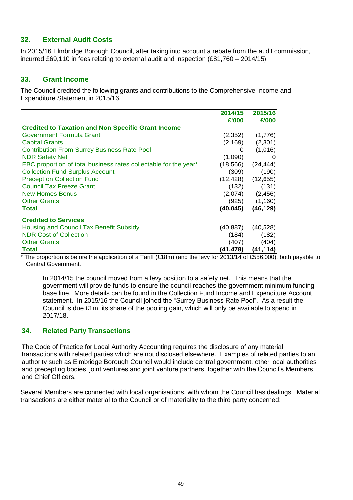## **32. External Audit Costs**

In 2015/16 Elmbridge Borough Council, after taking into account a rebate from the audit commission, incurred £69,110 in fees relating to external audit and inspection (£81,760 – 2014/15).

#### **33. Grant Income**

The Council credited the following grants and contributions to the Comprehensive Income and Expenditure Statement in 2015/16.

|                                                                  | 2014/15   | 2015/16   |
|------------------------------------------------------------------|-----------|-----------|
|                                                                  | £'000     | £'000     |
| <b>Credited to Taxation and Non Specific Grant Income</b>        |           |           |
| <b>Government Formula Grant</b>                                  | (2,352)   | (1,776)   |
| <b>Capital Grants</b>                                            | (2, 169)  | (2,301)   |
| <b>Contribution From Surrey Business Rate Pool</b>               |           | (1,016)   |
| <b>NDR Safety Net</b>                                            | (1,090)   |           |
| EBC proportion of total business rates collectable for the year* | (18, 566) | (24, 444) |
| <b>Collection Fund Surplus Account</b>                           | (309)     | (190)     |
| <b>Precept on Collection Fund</b>                                | (12, 428) | (12, 655) |
| <b>Council Tax Freeze Grant</b>                                  | (132)     | (131)     |
| <b>New Homes Bonus</b>                                           | (2,074)   | (2, 456)  |
| <b>Other Grants</b>                                              | (925)     | (1,160)   |
| <b>Total</b>                                                     | (40, 045) | (46, 129) |
| <b>Credited to Services</b>                                      |           |           |
| Housing and Council Tax Benefit Subsidy                          | (40, 887) | (40, 528) |
| <b>NDR Cost of Collection</b>                                    | (184)     | (182)     |
| <b>Other Grants</b>                                              | (407      | (404)     |
| <b>Total</b>                                                     | (41,478)  | (41, 114) |

The proportion is before the application of a Tariff (£18m) (and the levy for 2013/14 of £556,000), both payable to Central Government.

In 2014/15 the council moved from a levy position to a safety net. This means that the government will provide funds to ensure the council reaches the government minimum funding base line. More details can be found in the Collection Fund Income and Expenditure Account statement. In 2015/16 the Council joined the "Surrey Business Rate Pool". As a result the Council is due £1m, its share of the pooling gain, which will only be available to spend in 2017/18.

#### **34. Related Party Transactions**

The Code of Practice for Local Authority Accounting requires the disclosure of any material transactions with related parties which are not disclosed elsewhere. Examples of related parties to an authority such as Elmbridge Borough Council would include central government, other local authorities and precepting bodies, joint ventures and joint venture partners, together with the Council's Members and Chief Officers.

Several Members are connected with local organisations, with whom the Council has dealings. Material transactions are either material to the Council or of materiality to the third party concerned: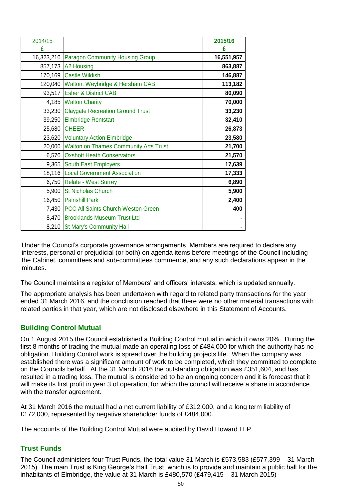| 2014/15    |                                              | 2015/16    |
|------------|----------------------------------------------|------------|
| £          |                                              | £          |
| 16,323,210 | <b>Paragon Community Housing Group</b>       | 16,551,957 |
|            | 857,173 A2 Housing                           | 863,887    |
|            | 170,169 Castle Wildish                       | 146,887    |
| 120,040    | Walton, Weybridge & Hersham CAB              | 113,182    |
|            | 93,517 Esher & District CAB                  | 80,090     |
| 4,185      | <b>Walton Charity</b>                        | 70,000     |
|            | 33,230 Claygate Recreation Ground Trust      | 33,230     |
| 39,250     | <b>Elmbridge Rentstart</b>                   | 32,410     |
| 25,680     | <b>CHEER</b>                                 | 26,873     |
|            | 23,620 Voluntary Action Elmbridge            | 23,580     |
| 20,000     | <b>Walton on Thames Community Arts Trust</b> | 21,700     |
| 6,570      | <b>Oxshott Heath Conservators</b>            | 21,570     |
| 9,365      | South East Employers                         | 17,639     |
|            | 18,116   Local Government Association        | 17,333     |
|            | 6,750 Relate - West Surrey                   | 6,890      |
|            | 5,900 St Nicholas Church                     | 5,900      |
|            | 16,450 Painshill Park                        | 2,400      |
|            | 7,430 PCC All Saints Church Weston Green     | 400        |
|            | 8,470 Brooklands Museum Trust Ltd            |            |
|            | 8,210 St Mary's Community Hall               |            |

Under the Council's corporate governance arrangements, Members are required to declare any interests, personal or prejudicial (or both) on agenda items before meetings of the Council including the Cabinet, committees and sub-committees commence, and any such declarations appear in the minutes.

The Council maintains a register of Members' and officers' interests, which is updated annually.

The appropriate analysis has been undertaken with regard to related party transactions for the year ended 31 March 2016, and the conclusion reached that there were no other material transactions with related parties in that year, which are not disclosed elsewhere in this Statement of Accounts.

## **Building Control Mutual**

On 1 August 2015 the Council established a Building Control mutual in which it owns 20%. During the first 8 months of trading the mutual made an operating loss of £484,000 for which the authority has no obligation. Building Control work is spread over the building projects life. When the company was established there was a significant amount of work to be completed, which they committed to complete on the Councils behalf. At the 31 March 2016 the outstanding obligation was £351,604, and has resulted in a trading loss. The mutual is considered to be an ongoing concern and it is forecast that it will make its first profit in year 3 of operation, for which the council will receive a share in accordance with the transfer agreement.

At 31 March 2016 the mutual had a net current liability of £312,000, and a long term liability of £172,000, represented by negative shareholder funds of £484,000.

The accounts of the Building Control Mutual were audited by David Howard LLP.

## **Trust Funds**

The Council administers four Trust Funds, the total value 31 March is £573,583 (£577,399 – 31 March 2015). The main Trust is King George's Hall Trust, which is to provide and maintain a public hall for the inhabitants of Elmbridge, the value at 31 March is £480,570 (£479,415 – 31 March 2015)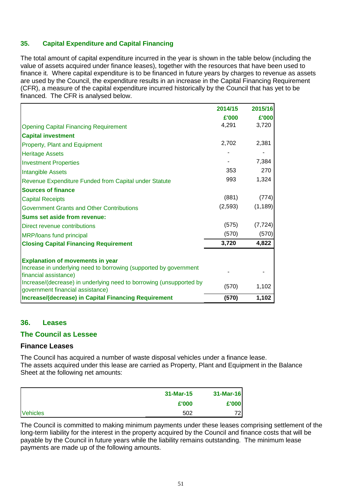#### **35. Capital Expenditure and Capital Financing**

The total amount of capital expenditure incurred in the year is shown in the table below (including the value of assets acquired under finance leases), together with the resources that have been used to finance it. Where capital expenditure is to be financed in future years by charges to revenue as assets are used by the Council, the expenditure results in an increase in the Capital Financing Requirement (CFR), a measure of the capital expenditure incurred historically by the Council that has yet to be financed. The CFR is analysed below.

|                                                                                                         | 2014/15 | 2015/16  |
|---------------------------------------------------------------------------------------------------------|---------|----------|
|                                                                                                         | £'000   | £'000    |
| <b>Opening Capital Financing Requirement</b>                                                            | 4,291   | 3,720    |
| <b>Capital investment</b>                                                                               |         |          |
| Property, Plant and Equipment                                                                           | 2,702   | 2,381    |
| <b>Heritage Assets</b>                                                                                  |         |          |
| <b>Investment Properties</b>                                                                            |         | 7,384    |
| <b>Intangible Assets</b>                                                                                | 353     | 270      |
| Revenue Expenditure Funded from Capital under Statute                                                   | 993     | 1,324    |
| <b>Sources of finance</b>                                                                               |         |          |
| <b>Capital Receipts</b>                                                                                 | (881)   | (774)    |
| <b>Government Grants and Other Contributions</b>                                                        | (2,593) | (1, 189) |
| Sums set aside from revenue:                                                                            |         |          |
| Direct revenue contributions                                                                            | (575)   | (7, 724) |
| MRP/loans fund principal                                                                                | (570)   | (570)    |
| <b>Closing Capital Financing Requirement</b>                                                            | 3,720   | 4,822    |
|                                                                                                         |         |          |
| <b>Explanation of movements in year</b>                                                                 |         |          |
| Increase in underlying need to borrowing (supported by government<br>financial assistance)              |         |          |
| Increase/(decrease) in underlying need to borrowing (unsupported by<br>government financial assistance) | (570)   | 1,102    |
| <b>Increase/(decrease) in Capital Financing Requirement</b>                                             | (570)   | 1,102    |

#### **36. Leases**

#### **The Council as Lessee**

#### **Finance Leases**

The Council has acquired a number of waste disposal vehicles under a finance lease. The assets acquired under this lease are carried as Property, Plant and Equipment in the Balance Sheet at the following net amounts:

|                 | 31-Mar-15 | 31-Mar-16 |
|-----------------|-----------|-----------|
|                 | £'000     | £'000     |
| <b>Vehicles</b> | 502       | 72I       |

The Council is committed to making minimum payments under these leases comprising settlement of the long-term liability for the interest in the property acquired by the Council and finance costs that will be payable by the Council in future years while the liability remains outstanding. The minimum lease payments are made up of the following amounts.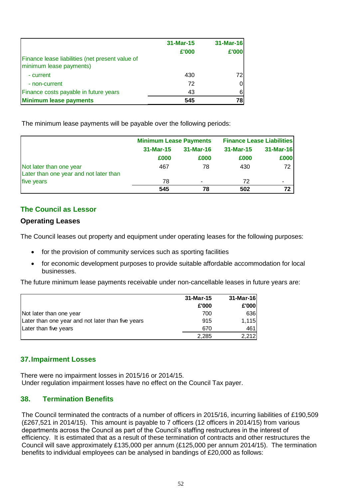| Finance lease liabilities (net present value of | 31-Mar-15<br>£'000 | 31-Mar-16<br>£'000 |
|-------------------------------------------------|--------------------|--------------------|
| minimum lease payments)<br>- current            | 430                | 72I                |
| - non-current                                   | 72                 | 01                 |
| Finance costs payable in future years           | 43                 | 6                  |
| <b>Minimum lease payments</b>                   | 545                | 78 I               |

The minimum lease payments will be payable over the following periods:

|                                                                   | <b>Minimum Lease Payments</b> |                          | <b>Finance Lease Liabilities</b> |           |  |
|-------------------------------------------------------------------|-------------------------------|--------------------------|----------------------------------|-----------|--|
|                                                                   | 31-Mar-15                     | 31-Mar-16                |                                  | 31-Mar-16 |  |
|                                                                   | £000                          | £000                     | £000                             | £000      |  |
| Not later than one year<br>Later than one year and not later than | 467                           | 78                       | 430                              | 72        |  |
| five years                                                        | 78                            | $\overline{\phantom{a}}$ | 72                               | ۰         |  |
|                                                                   | 545                           | 78                       | 502                              | 72        |  |

## **The Council as Lessor**

#### **Operating Leases**

The Council leases out property and equipment under operating leases for the following purposes:

- for the provision of community services such as sporting facilities
- for economic development purposes to provide suitable affordable accommodation for local businesses.

The future minimum lease payments receivable under non-cancellable leases in future years are:

|                                                   | 31-Mar-15 | $31-Mar-16$ |
|---------------------------------------------------|-----------|-------------|
|                                                   | £'000     | £'000       |
| Not later than one year                           | 700       | 636         |
| Later than one year and not later than five years | 915       | 1,115       |
| Later than five years                             | 670       | 461         |
|                                                   | 2.285     | 2.212       |

## **37.Impairment Losses**

There were no impairment losses in 2015/16 or 2014/15. Under regulation impairment losses have no effect on the Council Tax payer.

## **38. Termination Benefits**

The Council terminated the contracts of a number of officers in 2015/16, incurring liabilities of £190,509 (£267,521 in 2014/15). This amount is payable to 7 officers (12 officers in 2014/15) from various departments across the Council as part of the Council's staffing restructures in the interest of efficiency. It is estimated that as a result of these termination of contracts and other restructures the Council will save approximately £135,000 per annum (£125,000 per annum 2014/15). The termination benefits to individual employees can be analysed in bandings of £20,000 as follows: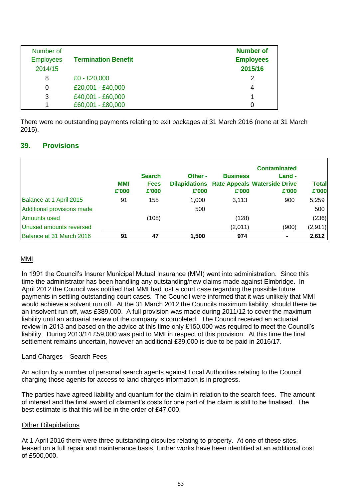| Number of<br><b>Employees</b><br>2014/15 | <b>Termination Benefit</b> | <b>Number of</b><br><b>Employees</b><br>2015/16 |
|------------------------------------------|----------------------------|-------------------------------------------------|
| 8                                        | $£0 - £20,000$             | 2                                               |
| 0                                        | £20,001 - £40,000          | 4                                               |
| 3                                        | £40,001 - £60,000          |                                                 |
|                                          | £60,001 - £80,000          | 0                                               |

There were no outstanding payments relating to exit packages at 31 March 2016 (none at 31 March 2015).

#### **39. Provisions**

|                            | MMI<br>£'000 | <b>Search</b><br><b>Fees</b><br>£'000 | Other -<br>£'000 | <b>Business</b><br>£'000 | <b>Contaminated</b><br>Land -<br><b>Dilapidations Rate Appeals Waterside Drive</b><br>£'000 | <b>Total</b><br>£'000 |
|----------------------------|--------------|---------------------------------------|------------------|--------------------------|---------------------------------------------------------------------------------------------|-----------------------|
| Balance at 1 April 2015    | 91           | 155                                   | 1,000            | 3,113                    | 900                                                                                         | 5,259                 |
| Additional provisions made |              |                                       | 500              |                          |                                                                                             | 500                   |
| Amounts used               |              | (108)                                 |                  | (128)                    |                                                                                             | (236)                 |
| Unused amounts reversed    |              |                                       |                  | (2,011)                  | (900)                                                                                       | (2,911)               |
| Balance at 31 March 2016   | 91           | 47                                    | 1,500            | 974                      |                                                                                             | 2,612                 |

#### MMI

In 1991 the Council's Insurer Municipal Mutual Insurance (MMI) went into administration. Since this time the administrator has been handling any outstanding/new claims made against Elmbridge. In April 2012 the Council was notified that MMI had lost a court case regarding the possible future payments in settling outstanding court cases. The Council were informed that it was unlikely that MMI would achieve a solvent run off. At the 31 March 2012 the Councils maximum liability, should there be an insolvent run off, was £389,000. A full provision was made during 2011/12 to cover the maximum liability until an actuarial review of the company is completed. The Council received an actuarial review in 2013 and based on the advice at this time only £150,000 was required to meet the Council's liability. During 2013/14 £59,000 was paid to MMI in respect of this provision. At this time the final settlement remains uncertain, however an additional £39,000 is due to be paid in 2016/17.

#### Land Charges – Search Fees

An action by a number of personal search agents against Local Authorities relating to the Council charging those agents for access to land charges information is in progress.

The parties have agreed liability and quantum for the claim in relation to the search fees. The amount of interest and the final award of claimant's costs for one part of the claim is still to be finalised. The best estimate is that this will be in the order of £47,000.

#### Other Dilapidations

At 1 April 2016 there were three outstanding disputes relating to property. At one of these sites, leased on a full repair and maintenance basis, further works have been identified at an additional cost of £500,000.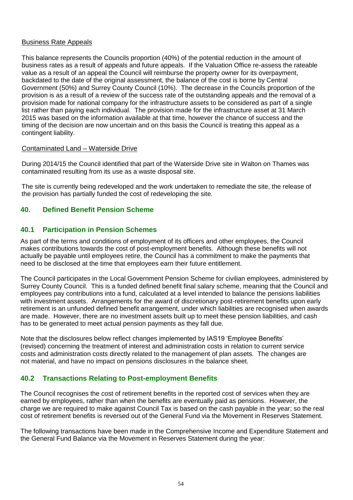#### Business Rate Appeals

This balance represents the Councils proportion (40%) of the potential reduction in the amount of business rates as a result of appeals and future appeals. If the Valuation Office re-assess the rateable value as a result of an appeal the Council will reimburse the property owner for its overpayment, backdated to the date of the original assessment, the balance of the cost is borne by Central Government (50%) and Surrey County Council (10%). The decrease in the Councils proportion of the provision is as a result of a review of the success rate of the outstanding appeals and the removal of a provision made for national company for the infrastructure assets to be considered as part of a single list rather than paying each individual. The provision made for the infrastructure asset at 31 March 2015 was based on the information available at that time, however the chance of success and the timing of the decision are now uncertain and on this basis the Council is treating this appeal as a contingent liability.

#### Contaminated Land – Waterside Drive

During 2014/15 the Council identified that part of the Waterside Drive site in Walton on Thames was contaminated resulting from its use as a waste disposal site.

The site is currently being redeveloped and the work undertaken to remediate the site, the release of the provision has partially funded the cost of redeveloping the site.

#### **40. Defined Benefit Pension Scheme**

#### **40.1 Participation in Pension Schemes**

As part of the terms and conditions of employment of its officers and other employees, the Council makes contributions towards the cost of post-employment benefits. Although these benefits will not actually be payable until employees retire, the Council has a commitment to make the payments that need to be disclosed at the time that employees earn their future entitlement.

The Council participates in the Local Government Pension Scheme for civilian employees, administered by Surrey County Council. This is a funded defined benefit final salary scheme, meaning that the Council and employees pay contributions into a fund, calculated at a level intended to balance the pensions liabilities with investment assets. Arrangements for the award of discretionary post-retirement benefits upon early retirement is an unfunded defined benefit arrangement, under which liabilities are recognised when awards are made. However, there are no investment assets built up to meet these pension liabilities, and cash has to be generated to meet actual pension payments as they fall due.

Note that the disclosures below reflect changes implemented by IAS19 'Employee Benefits' (revised) concerning the treatment of interest and administration costs in relation to current service costs and administration costs directly related to the management of plan assets. The changes are not material, and have no impact on pensions disclosures in the balance sheet.

## **40.2 Transactions Relating to Post-employment Benefits**

The Council recognises the cost of retirement benefits in the reported cost of services when they are earned by employees, rather than when the benefits are eventually paid as pensions. However, the charge we are required to make against Council Tax is based on the cash payable in the year; so the real cost of retirement benefits is reversed out of the General Fund via the Movement in Reserves Statement.

The following transactions have been made in the Comprehensive Income and Expenditure Statement and the General Fund Balance via the Movement in Reserves Statement during the year: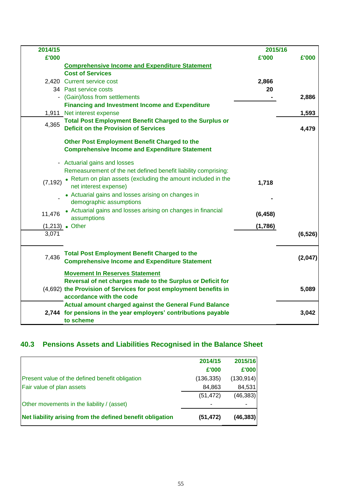| 2014/15  |                                                                               | 2015/16  |          |
|----------|-------------------------------------------------------------------------------|----------|----------|
| £'000    |                                                                               | £'000    | £'000    |
|          | <b>Comprehensive Income and Expenditure Statement</b>                         |          |          |
|          | <b>Cost of Services</b>                                                       |          |          |
|          | 2,420 Current service cost                                                    | 2,866    |          |
|          | 34 Past service costs                                                         | 20       |          |
|          | - (Gain)/loss from settlements                                                |          | 2,886    |
|          | <b>Financing and Investment Income and Expenditure</b>                        |          |          |
|          | 1,911 Net interest expense                                                    |          | 1,593    |
| 4,365    | <b>Total Post Employment Benefit Charged to the Surplus or</b>                |          |          |
|          | <b>Deficit on the Provision of Services</b>                                   |          | 4,479    |
|          | Other Post Employment Benefit Charged to the                                  |          |          |
|          | <b>Comprehensive Income and Expenditure Statement</b>                         |          |          |
|          |                                                                               |          |          |
|          | - Actuarial gains and losses                                                  |          |          |
|          | Remeasurement of the net defined benefit liability comprising:                |          |          |
| (7, 192) | • Return on plan assets (excluding the amount included in the                 | 1,718    |          |
|          | net interest expense)                                                         |          |          |
|          | • Actuarial gains and losses arising on changes in<br>demographic assumptions |          |          |
|          |                                                                               |          |          |
| 11,476   | • Actuarial gains and losses arising on changes in financial<br>assumptions   | (6, 458) |          |
|          | $(1,213)$ . Other                                                             | (1,786)  |          |
| 3,071    |                                                                               |          | (6, 526) |
|          |                                                                               |          |          |
|          | <b>Total Post Employment Benefit Charged to the</b>                           |          |          |
| 7,436    | <b>Comprehensive Income and Expenditure Statement</b>                         |          | (2,047)  |
|          |                                                                               |          |          |
|          | <b>Movement In Reserves Statement</b>                                         |          |          |
|          | Reversal of net charges made to the Surplus or Deficit for                    |          |          |
|          | (4,692) the Provision of Services for post employment benefits in             |          | 5,089    |
|          | accordance with the code                                                      |          |          |
|          | <b>Actual amount charged against the General Fund Balance</b>                 |          |          |
|          | 2,744 for pensions in the year employers' contributions payable<br>to scheme  |          | 3,042    |
|          |                                                                               |          |          |

# **40.3 Pensions Assets and Liabilities Recognised in the Balance Sheet**

|                                                           | 2014/15    | 2015/16    |
|-----------------------------------------------------------|------------|------------|
|                                                           | £'000      | £'000      |
| Present value of the defined benefit obligation           | (136, 335) | (130, 914) |
| Fair value of plan assets                                 | 84,863     | 84,531     |
|                                                           | (51, 472)  | (46, 383)  |
| Other movements in the liability / (asset)                |            |            |
| Net liability arising from the defined benefit obligation | (51, 472)  | (46, 383)  |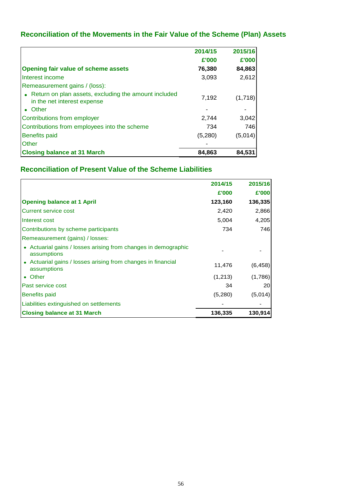# **Reconciliation of the Movements in the Fair Value of the Scheme (Plan) Assets**

|                                                                                       | 2014/15 | 2015/16 |
|---------------------------------------------------------------------------------------|---------|---------|
|                                                                                       | £'000   | £'000   |
| <b>Opening fair value of scheme assets</b>                                            | 76,380  | 84,863  |
| Interest income                                                                       | 3,093   | 2,612   |
| Remeasurement gains / (loss):                                                         |         |         |
| • Return on plan assets, excluding the amount included<br>in the net interest expense | 7,192   | (1,718) |
| • Other                                                                               |         |         |
| Contributions from employer                                                           | 2,744   | 3,042   |
| Contributions from employees into the scheme                                          | 734     | 746     |
| <b>Benefits paid</b>                                                                  | (5,280) | (5,014) |
| Other                                                                                 |         |         |
| <b>Closing balance at 31 March</b>                                                    | 84,863  | 84.531  |

# **Reconciliation of Present Value of the Scheme Liabilities**

|                                                                               | 2014/15 | 2015/16  |
|-------------------------------------------------------------------------------|---------|----------|
|                                                                               | £'000   | £'000    |
| <b>Opening balance at 1 April</b>                                             | 123,160 | 136,335  |
| Current service cost                                                          | 2,420   | 2,866    |
| Interest cost                                                                 | 5,004   | 4,205    |
| Contributions by scheme participants                                          | 734     | 746      |
| Remeasurement (gains) / losses:                                               |         |          |
| • Actuarial gains / losses arising from changes in demographic<br>assumptions |         |          |
| Actuarial gains / losses arising from changes in financial<br>assumptions     | 11,476  | (6, 458) |
| • Other                                                                       | (1,213) | (1,786)  |
| <b>Past service cost</b>                                                      | 34      | 20       |
| <b>Benefits paid</b>                                                          | (5,280) | (5,014)  |
| Liabilities extinguished on settlements                                       |         |          |
| <b>Closing balance at 31 March</b>                                            | 136,335 | 130,914  |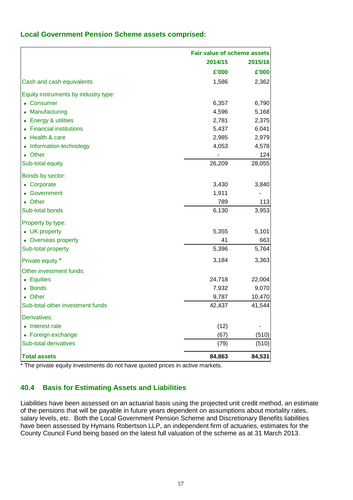| <b>Local Government Pension Scheme assets comprised:</b> |  |  |  |  |
|----------------------------------------------------------|--|--|--|--|
|----------------------------------------------------------|--|--|--|--|

|                                      |         | Fair value of scheme assets |  |  |
|--------------------------------------|---------|-----------------------------|--|--|
|                                      | 2014/15 | 2015/16                     |  |  |
|                                      | £'000   | £'000                       |  |  |
| Cash and cash equivalents            | 1,586   | 2,362                       |  |  |
| Equity instruments by industry type: |         |                             |  |  |
| • Consumer                           | 6,357   | 6,790                       |  |  |
| Manufacturing                        | 4,596   | 5,168                       |  |  |
| • Energy & utilities                 | 2,781   | 2,375                       |  |  |
| <b>Financial institutions</b>        | 5,437   | 6,041                       |  |  |
| Health & care                        | 2,985   | 2,979                       |  |  |
| Information technology               | 4,053   | 4,578                       |  |  |
| • Other                              |         | 124                         |  |  |
| Sub-total equity                     | 26,209  | 28,055                      |  |  |
| Bonds by sector:                     |         |                             |  |  |
| Corporate                            | 3,430   | 3,840                       |  |  |
| Government                           | 1,911   |                             |  |  |
| Other                                | 789     | 113                         |  |  |
| Sub-total bonds                      | 6,130   | 3,953                       |  |  |
| Property by type:                    |         |                             |  |  |
| • UK property                        | 5,355   | 5,101                       |  |  |
| • Overseas property                  | 41      | 663                         |  |  |
| Sub-total property                   | 5,396   | 5,764                       |  |  |
| Private equity *                     | 3,184   | 3,363                       |  |  |
| Other investment funds:              |         |                             |  |  |
| • Equities                           | 24,718  | 22,004                      |  |  |
| • Bonds                              | 7,932   | 9,070                       |  |  |
| • Other                              | 9,787   | 10,470                      |  |  |
| Sub-total other investment funds     | 42,437  | 41,544                      |  |  |
| Derivatives:                         |         |                             |  |  |
| Interest rate                        | (12)    |                             |  |  |
| • Foreign exchange                   | (67)    | (510)                       |  |  |
| Sub-total derivatives                | (79)    | (510)                       |  |  |
| <b>Total assets</b>                  | 84,863  | 84,531                      |  |  |

\* The private equity investments do not have quoted prices in active markets.

## **40.4 Basis for Estimating Assets and Liabilities**

Liabilities have been assessed on an actuarial basis using the projected unit credit method, an estimate of the pensions that will be payable in future years dependent on assumptions about mortality rates, salary levels, etc. Both the Local Government Pension Scheme and Discretionary Benefits liabilities have been assessed by Hymans Robertson LLP, an independent firm of actuaries, estimates for the County Council Fund being based on the latest full valuation of the scheme as at 31 March 2013.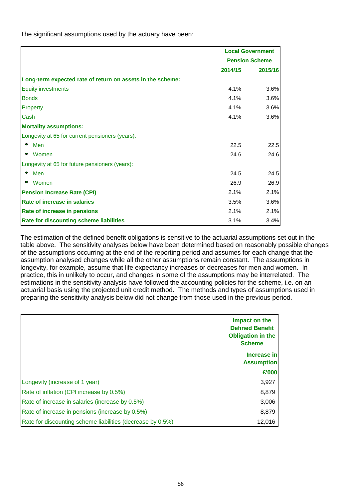The significant assumptions used by the actuary have been:

|                                                            | <b>Local Government</b> |         |
|------------------------------------------------------------|-------------------------|---------|
|                                                            | <b>Pension Scheme</b>   |         |
|                                                            | 2014/15                 | 2015/16 |
| Long-term expected rate of return on assets in the scheme: |                         |         |
| <b>Equity investments</b>                                  | 4.1%                    | 3.6%    |
| <b>Bonds</b>                                               | 4.1%                    | 3.6%    |
| Property                                                   | 4.1%                    | 3.6%    |
| Cash                                                       | 4.1%                    | 3.6%    |
| <b>Mortality assumptions:</b>                              |                         |         |
| Longevity at 65 for current pensioners (years):            |                         |         |
| Men<br>$\bullet$                                           | 22.5                    | 22.5    |
| Women                                                      | 24.6                    | 24.6    |
| Longevity at 65 for future pensioners (years):             |                         |         |
| Men                                                        | 24.5                    | 24.5    |
| Women                                                      | 26.9                    | 26.9    |
| <b>Pension Increase Rate (CPI)</b>                         | 2.1%                    | 2.1%    |
| Rate of increase in salaries                               | 3.5%                    | 3.6%    |
| Rate of increase in pensions                               | 2.1%                    | 2.1%    |
| Rate for discounting scheme liabilities                    | 3.1%                    | 3.4%    |

The estimation of the defined benefit obligations is sensitive to the actuarial assumptions set out in the table above. The sensitivity analyses below have been determined based on reasonably possible changes of the assumptions occurring at the end of the reporting period and assumes for each change that the assumption analysed changes while all the other assumptions remain constant. The assumptions in longevity, for example, assume that life expectancy increases or decreases for men and women. In practice, this in unlikely to occur, and changes in some of the assumptions may be interrelated. The estimations in the sensitivity analysis have followed the accounting policies for the scheme, i.e. on an actuarial basis using the projected unit credit method. The methods and types of assumptions used in preparing the sensitivity analysis below did not change from those used in the previous period.

|                                                            | Impact on the<br><b>Defined Benefit</b><br><b>Obligation in the</b><br><b>Scheme</b> |
|------------------------------------------------------------|--------------------------------------------------------------------------------------|
|                                                            | Increase in<br><b>Assumption</b>                                                     |
|                                                            | £'000                                                                                |
| Longevity (increase of 1 year)                             | 3,927                                                                                |
| Rate of inflation (CPI increase by 0.5%)                   | 8,879                                                                                |
| Rate of increase in salaries (increase by 0.5%)            | 3,006                                                                                |
| Rate of increase in pensions (increase by 0.5%)            | 8,879                                                                                |
| Rate for discounting scheme liabilities (decrease by 0.5%) | 12,016                                                                               |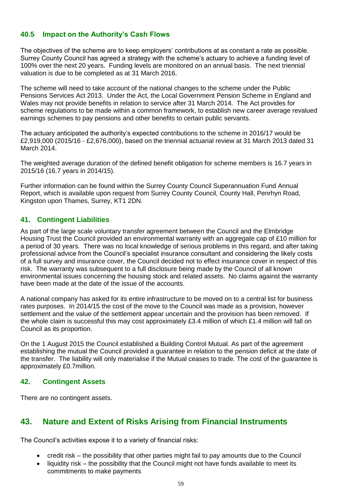#### **40.5 Impact on the Authority's Cash Flows**

The objectives of the scheme are to keep employers' contributions at as constant a rate as possible. Surrey County Council has agreed a strategy with the scheme's actuary to achieve a funding level of 100% over the next 20 years. Funding levels are monitored on an annual basis. The next triennial valuation is due to be completed as at 31 March 2016.

The scheme will need to take account of the national changes to the scheme under the Public Pensions Services Act 2013. Under the Act, the Local Government Pension Scheme in England and Wales may not provide benefits in relation to service after 31 March 2014. The Act provides for scheme regulations to be made within a common framework, to establish new career average revalued earnings schemes to pay pensions and other benefits to certain public servants.

The actuary anticipated the authority's expected contributions to the scheme in 2016/17 would be £2,919,000 (2015/16 - £2,676,000), based on the triennial actuarial review at 31 March 2013 dated 31 March 2014.

The weighted average duration of the defined benefit obligation for scheme members is 16.7 years in 2015/16 (16.7 years in 2014/15).

Further information can be found within the Surrey County Council Superannuation Fund Annual Report, which is available upon request from Surrey County Council, County Hall, Penrhyn Road, Kingston upon Thames, Surrey, KT1 2DN.

#### **41. Contingent Liabilities**

As part of the large scale voluntary transfer agreement between the Council and the Elmbridge Housing Trust the Council provided an environmental warranty with an aggregate cap of £10 million for a period of 30 years. There was no local knowledge of serious problems in this regard, and after taking professional advice from the Council's specialist insurance consultant and considering the likely costs of a full survey and insurance cover, the Council decided not to effect insurance cover in respect of this risk. The warranty was subsequent to a full disclosure being made by the Council of all known environmental issues concerning the housing stock and related assets. No claims against the warranty have been made at the date of the issue of the accounts.

A national company has asked for its entire infrastructure to be moved on to a central list for business rates purposes. In 2014/15 the cost of the move to the Council was made as a provision, however settlement and the value of the settlement appear uncertain and the provision has been removed. If the whole claim is successful this may cost approximately £3.4 million of which £1.4 million will fall on Council as its proportion.

On the 1 August 2015 the Council established a Building Control Mutual. As part of the agreement establishing the mutual the Council provided a guarantee in relation to the pension deficit at the date of the transfer. The liability will only materialise if the Mutual ceases to trade. The cost of the guarantee is approximately £0.7million.

#### **42. Contingent Assets**

There are no contingent assets.

# **43. Nature and Extent of Risks Arising from Financial Instruments**

The Council's activities expose it to a variety of financial risks:

- credit risk the possibility that other parties might fail to pay amounts due to the Council
- liquidity risk the possibility that the Council might not have funds available to meet its commitments to make payments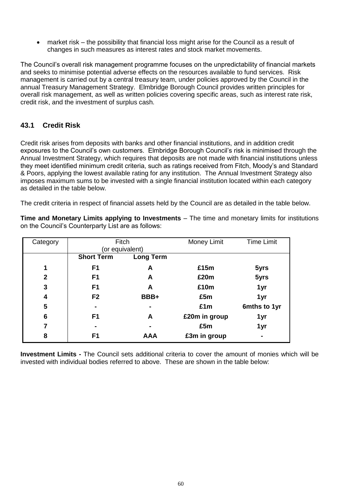market risk – the possibility that financial loss might arise for the Council as a result of changes in such measures as interest rates and stock market movements.

The Council's overall risk management programme focuses on the unpredictability of financial markets and seeks to minimise potential adverse effects on the resources available to fund services. Risk management is carried out by a central treasury team, under policies approved by the Council in the annual Treasury Management Strategy. Elmbridge Borough Council provides written principles for overall risk management, as well as written policies covering specific areas, such as interest rate risk, credit risk, and the investment of surplus cash.

## **43.1 Credit Risk**

Credit risk arises from deposits with banks and other financial institutions, and in addition credit exposures to the Council's own customers. Elmbridge Borough Council's risk is minimised through the Annual Investment Strategy, which requires that deposits are not made with financial institutions unless they meet identified minimum credit criteria, such as ratings received from Fitch, Moody's and Standard & Poors, applying the lowest available rating for any institution. The Annual Investment Strategy also imposes maximum sums to be invested with a single financial institution located within each category as detailed in the table below.

The credit criteria in respect of financial assets held by the Council are as detailed in the table below.

**Time and Monetary Limits applying to Investments** – The time and monetary limits for institutions on the Council's Counterparty List are as follows:

| Category |                   | Fitch            | Money Limit   | <b>Time Limit</b> |
|----------|-------------------|------------------|---------------|-------------------|
|          |                   | (or equivalent)  |               |                   |
|          | <b>Short Term</b> | <b>Long Term</b> |               |                   |
| 1        | F <sub>1</sub>    | A                | £15m          | 5yrs              |
| 2        | F <sub>1</sub>    | A                | £20m          | 5yrs              |
| 3        | F <sub>1</sub>    | А                | £10m          | 1yr               |
| 4        | F <sub>2</sub>    | BBB+             | £5m           | 1yr               |
| 5        |                   |                  | £1m           | 6mths to 1yr      |
| 6        | F <sub>1</sub>    | A                | £20m in group | 1yr               |
| 7        | $\blacksquare$    |                  | £5m           | 1yr               |
| 8        | F <sub>1</sub>    | <b>AAA</b>       | £3m in group  | $\blacksquare$    |

**Investment Limits -** The Council sets additional criteria to cover the amount of monies which will be invested with individual bodies referred to above. These are shown in the table below: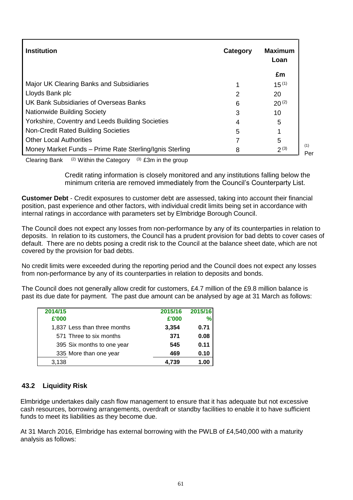| <b>Institution</b>                                      | Category | <b>Maximum</b><br>Loan |  |
|---------------------------------------------------------|----------|------------------------|--|
|                                                         |          | £m                     |  |
| Major UK Clearing Banks and Subsidiaries                |          | $15^{(1)}$             |  |
| Lloyds Bank plc                                         | 2        | 20                     |  |
| UK Bank Subsidiaries of Overseas Banks                  | 6        | $20^{(2)}$             |  |
| <b>Nationwide Building Society</b>                      | 3        | 10                     |  |
| Yorkshire, Coventry and Leeds Building Societies        | 4        | 5                      |  |
| Non-Credit Rated Building Societies                     | 5        |                        |  |
| <b>Other Local Authorities</b>                          |          | 5                      |  |
| Money Market Funds - Prime Rate Sterling/Ignis Sterling | 8        | $2^{(3)}$              |  |

Clearing Bank  $(2)$  Within the Category  $(3)$  £3m in the group

Credit rating information is closely monitored and any institutions falling below the minimum criteria are removed immediately from the Council's Counterparty List.

**Customer Debt** - Credit exposures to customer debt are assessed, taking into account their financial position, past experience and other factors, with individual credit limits being set in accordance with internal ratings in accordance with parameters set by Elmbridge Borough Council.

The Council does not expect any losses from non-performance by any of its counterparties in relation to deposits. In relation to its customers, the Council has a prudent provision for bad debts to cover cases of default. There are no debts posing a credit risk to the Council at the balance sheet date, which are not covered by the provision for bad debts.

No credit limits were exceeded during the reporting period and the Council does not expect any losses from non-performance by any of its counterparties in relation to deposits and bonds.

The Council does not generally allow credit for customers, £4.7 million of the £9.8 million balance is past its due date for payment. The past due amount can be analysed by age at 31 March as follows:

| 2014/15<br>£'000             | 2015/16<br>£'000 | 2015/16 |
|------------------------------|------------------|---------|
| 1,837 Less than three months | 3,354            | 0.71    |
| 571 Three to six months      | 371              | 0.08    |
| 395 Six months to one year   | 545              | 0.11    |
| 335 More than one year       | 469              | 0.10    |
| 3,138                        | 4.739            |         |

#### **43.2 Liquidity Risk**

Elmbridge undertakes daily cash flow management to ensure that it has adequate but not excessive cash resources, borrowing arrangements, overdraft or standby facilities to enable it to have sufficient funds to meet its liabilities as they become due.

At 31 March 2016, Elmbridge has external borrowing with the PWLB of £4,540,000 with a maturity analysis as follows: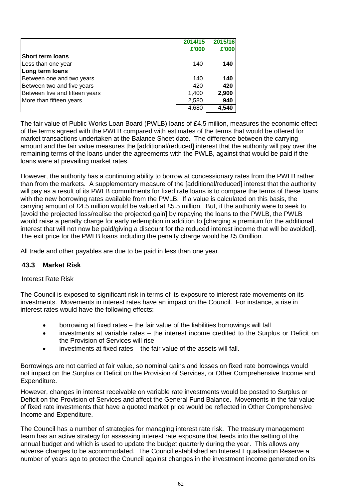|                                | 2014/15 | 2015/16 |
|--------------------------------|---------|---------|
|                                | £'000   | £'000   |
| <b>Short term loans</b>        |         |         |
| Less than one year             | 140     | 140     |
| Long term loans                |         |         |
| Between one and two years      | 140     | 140     |
| Between two and five years     | 420     | 420     |
| Between five and fifteen years | 1,400   | 2,900   |
| More than fifteen years        | 2,580   | 940     |
|                                | 4,680   | 4,540   |

The fair value of Public Works Loan Board (PWLB) loans of £4.5 million, measures the economic effect of the terms agreed with the PWLB compared with estimates of the terms that would be offered for market transactions undertaken at the Balance Sheet date. The difference between the carrying amount and the fair value measures the [additional/reduced] interest that the authority will pay over the remaining terms of the loans under the agreements with the PWLB, against that would be paid if the loans were at prevailing market rates.

However, the authority has a continuing ability to borrow at concessionary rates from the PWLB rather than from the markets. A supplementary measure of the [additional/reduced] interest that the authority will pay as a result of its PWLB commitments for fixed rate loans is to compare the terms of these loans with the new borrowing rates available from the PWLB. If a value is calculated on this basis, the carrying amount of £4.5 million would be valued at £5.5 million. But, if the authority were to seek to [avoid the projected loss/realise the projected gain] by repaying the loans to the PWLB, the PWLB would raise a penalty charge for early redemption in addition to [charging a premium for the additional interest that will not now be paid/giving a discount for the reduced interest income that will be avoided]. The exit price for the PWLB loans including the penalty charge would be £5.0million.

All trade and other payables are due to be paid in less than one year.

## **43.3 Market Risk**

#### Interest Rate Risk

The Council is exposed to significant risk in terms of its exposure to interest rate movements on its investments. Movements in interest rates have an impact on the Council. For instance, a rise in interest rates would have the following effects:

- borrowing at fixed rates the fair value of the liabilities borrowings will fall
- investments at variable rates the interest income credited to the Surplus or Deficit on the Provision of Services will rise
- investments at fixed rates the fair value of the assets will fall.

Borrowings are not carried at fair value, so nominal gains and losses on fixed rate borrowings would not impact on the Surplus or Deficit on the Provision of Services, or Other Comprehensive Income and Expenditure.

However, changes in interest receivable on variable rate investments would be posted to Surplus or Deficit on the Provision of Services and affect the General Fund Balance. Movements in the fair value of fixed rate investments that have a quoted market price would be reflected in Other Comprehensive Income and Expenditure.

The Council has a number of strategies for managing interest rate risk. The treasury management team has an active strategy for assessing interest rate exposure that feeds into the setting of the annual budget and which is used to update the budget quarterly during the year. This allows any adverse changes to be accommodated. The Council established an Interest Equalisation Reserve a number of years ago to protect the Council against changes in the investment income generated on its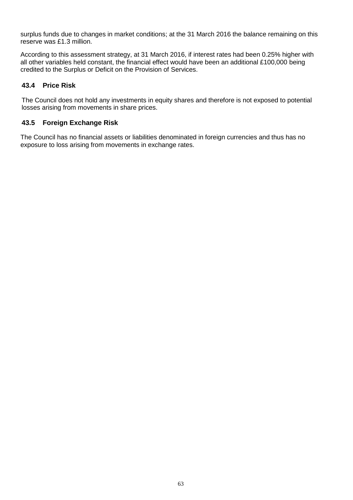surplus funds due to changes in market conditions; at the 31 March 2016 the balance remaining on this reserve was £1.3 million.

According to this assessment strategy, at 31 March 2016, if interest rates had been 0.25% higher with all other variables held constant, the financial effect would have been an additional £100,000 being credited to the Surplus or Deficit on the Provision of Services.

#### **43.4 Price Risk**

The Council does not hold any investments in equity shares and therefore is not exposed to potential losses arising from movements in share prices.

#### **43.5 Foreign Exchange Risk**

The Council has no financial assets or liabilities denominated in foreign currencies and thus has no exposure to loss arising from movements in exchange rates.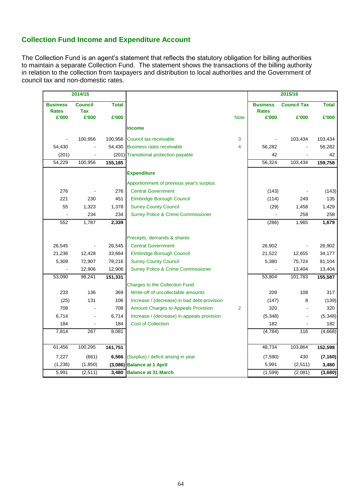# **Collection Fund Income and Expenditure Account**

The Collection Fund is an agent's statement that reflects the statutory obligation for billing authorities to maintain a separate Collection Fund. The statement shows the transactions of the billing authority in relation to the collection from taxpayers and distribution to local authorities and the Government of council tax and non-domestic rates.

| 2014/15               |                     |              |                                               |                | 2015/16               |                          |              |
|-----------------------|---------------------|--------------|-----------------------------------------------|----------------|-----------------------|--------------------------|--------------|
| <b>Business</b>       | <b>Council</b>      | <b>Total</b> |                                               |                | <b>Business</b>       | <b>Council Tax</b>       | <b>Total</b> |
| <b>Rates</b><br>£'000 | <b>Tax</b><br>£'000 | £'000        |                                               | <b>Note</b>    | <b>Rates</b><br>£'000 | £'000                    | £'000        |
|                       |                     |              |                                               |                |                       |                          |              |
|                       |                     |              | <b>Income</b>                                 |                |                       |                          |              |
|                       | 100,956             | 100,956      | Council tax receivable                        | 3              |                       | 103,434                  | 103,434      |
| 54,430                |                     |              | 54,430 Business rates receivable              | 4              | 56,282                |                          | 56,282       |
| (201)                 |                     |              | (201) Transitional protection payable         |                | 42                    |                          | 42           |
| 54,229                | 100,956             | 155,185      |                                               |                | 56,324                | 103,434                  | 159,758      |
|                       |                     |              | <b>Expenditure</b>                            |                |                       |                          |              |
|                       |                     |              | Apportionment of previous year's surplus      |                |                       |                          |              |
| 276                   |                     | 276          | <b>Central Government</b>                     |                | (143)                 |                          | (143)        |
| 221                   | 230                 | 451          | Elmbridge Borough Council                     |                | (114)                 | 249                      | 135          |
| 55                    | 1,323               | 1,378        | <b>Surrey County Council</b>                  |                | (29)                  | 1,458                    | 1,429        |
|                       | 234                 | 234          | <b>Surrey Police &amp; Crime Commissioner</b> |                | $\tilde{\phantom{a}}$ | 258                      | 258          |
| 552                   | 1,787               | 2,339        |                                               |                | (286)                 | 1,965                    | 1,679        |
|                       |                     |              | Precepts, demands & shares                    |                |                       |                          |              |
| 26,545                | $\blacksquare$      | 26,545       | <b>Central Government</b>                     |                | 26,902                | $\blacksquare$           | 26,902       |
| 21,236                | 12,428              | 33,664       | <b>Elmbridge Borough Council</b>              |                | 21,522                | 12,655                   | 34,177       |
| 5,309                 | 72,907              | 78,216       | <b>Surrey County Council</b>                  |                | 5,380                 | 75,724                   | 81,104       |
|                       | 12,906              | 12,906       | <b>Surrey Police &amp; Crime Commissioner</b> |                |                       | 13,404                   | 13,404       |
| 53,090                | 98,241              | 151,331      |                                               |                | 53,804                | 101,783                  | 155,587      |
|                       |                     |              | <b>Charges to the Collection Fund:</b>        |                |                       |                          |              |
| 233                   | 136                 | 369          | Write-off of uncollectable amounts            |                | 209                   | 108                      | 317          |
| (25)                  | 131                 | 106          | Increase / (decrease) in bad debt provision   |                | (147)                 | 8                        | (139)        |
| 708                   |                     | 708          | Amount Charges to Appeals Provision           | $\overline{2}$ | 320                   |                          | 320          |
| 6,714                 |                     | 6,714        | Increase / (decrease) in appeals provision    |                | (5, 348)              | $\overline{\phantom{0}}$ | (5, 348)     |
| 184                   |                     | 184          | <b>Cost of Collection</b>                     |                | 182                   |                          | 182          |
| 7,814                 | 267                 | 8,081        |                                               |                | (4,784)               | 116                      | (4,668)      |
| 61,456                | 100,295             | 161,751      |                                               |                | 48,734                | 103,864                  | 152,598      |
| 7,227                 | (661)               | 6,566        | (Surplus) / deficit arising in year           |                | (7,590)               | 430                      | (7, 160)     |
| (1,236)               | (1,850)             |              | (3,086) Balance at 1 April                    |                | 5,991                 | (2,511)                  | 3,480        |
| 5,991                 | (2, 511)            |              | 3,480 Balance at 31 March                     |                | (1, 599)              | (2,081)                  | (3,680)      |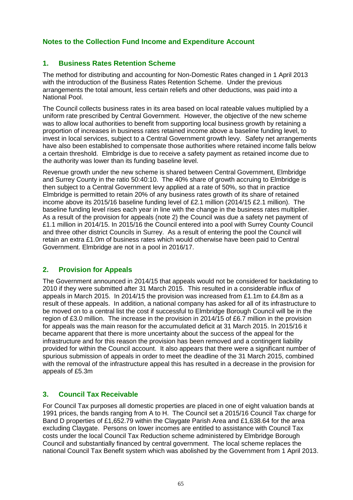# **Notes to the Collection Fund Income and Expenditure Account**

# **1. Business Rates Retention Scheme**

The method for distributing and accounting for Non-Domestic Rates changed in 1 April 2013 with the introduction of the Business Rates Retention Scheme. Under the previous arrangements the total amount, less certain reliefs and other deductions, was paid into a National Pool.

The Council collects business rates in its area based on local rateable values multiplied by a uniform rate prescribed by Central Government. However, the objective of the new scheme was to allow local authorities to benefit from supporting local business growth by retaining a proportion of increases in business rates retained income above a baseline funding level, to invest in local services, subject to a Central Government growth levy. Safety net arrangements have also been established to compensate those authorities where retained income falls below a certain threshold. Elmbridge is due to receive a safety payment as retained income due to the authority was lower than its funding baseline level.

Revenue growth under the new scheme is shared between Central Government, Elmbridge and Surrey County in the ratio 50:40:10. The 40% share of growth accruing to Elmbridge is then subject to a Central Government levy applied at a rate of 50%, so that in practice Elmbridge is permitted to retain 20% of any business rates growth of its share of retained income above its 2015/16 baseline funding level of £2.1 million (2014/15 £2.1 million). The baseline funding level rises each year in line with the change in the business rates multiplier. As a result of the provision for appeals (note 2) the Council was due a safety net payment of £1.1 million in 2014/15. In 2015/16 the Council entered into a pool with Surrey County Council and three other district Councils in Surrey. As a result of entering the pool the Council will retain an extra £1.0m of business rates which would otherwise have been paid to Central Government. Elmbridge are not in a pool in 2016/17.

# **2. Provision for Appeals**

The Government announced in 2014/15 that appeals would not be considered for backdating to 2010 if they were submitted after 31 March 2015. This resulted in a considerable influx of appeals in March 2015. In 2014/15 the provision was increased from £1.1m to £4.8m as a result of these appeals. In addition, a national company has asked for all of its infrastructure to be moved on to a central list the cost if successful to Elmbridge Borough Council will be in the region of £3.0 million. The increase in the provision in 2014/15 of £6.7 million in the provision for appeals was the main reason for the accumulated deficit at 31 March 2015. In 2015/16 it became apparent that there is more uncertainty about the success of the appeal for the infrastructure and for this reason the provision has been removed and a contingent liability provided for within the Council account. It also appears that there were a significant number of spurious submission of appeals in order to meet the deadline of the 31 March 2015, combined with the removal of the infrastructure appeal this has resulted in a decrease in the provision for appeals of £5.3m

# **3. Council Tax Receivable**

For Council Tax purposes all domestic properties are placed in one of eight valuation bands at 1991 prices, the bands ranging from A to H. The Council set a 2015/16 Council Tax charge for Band D properties of £1,652.79 within the Claygate Parish Area and £1,638.64 for the area excluding Claygate. Persons on lower incomes are entitled to assistance with Council Tax costs under the local Council Tax Reduction scheme administered by Elmbridge Borough Council and substantially financed by central government. The local scheme replaces the national Council Tax Benefit system which was abolished by the Government from 1 April 2013.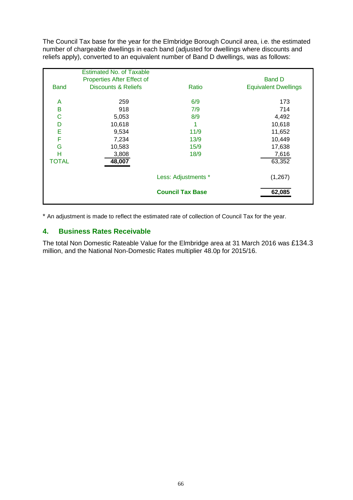The Council Tax base for the year for the Elmbridge Borough Council area, i.e. the estimated number of chargeable dwellings in each band (adjusted for dwellings where discounts and reliefs apply), converted to an equivalent number of Band D dwellings, was as follows:

|              | <b>Estimated No. of Taxable</b> |                         |                             |
|--------------|---------------------------------|-------------------------|-----------------------------|
|              | Properties After Effect of      |                         | <b>Band D</b>               |
| <b>Band</b>  | <b>Discounts &amp; Reliefs</b>  | Ratio                   | <b>Equivalent Dwellings</b> |
|              |                                 |                         |                             |
| A            | 259                             | 6/9                     | 173                         |
| B            | 918                             | 7/9                     | 714                         |
| C            | 5,053                           | 8/9                     | 4,492                       |
| D            | 10,618                          | 1                       | 10,618                      |
| E            | 9,534                           | 11/9                    | 11,652                      |
| F            | 7,234                           | 13/9                    | 10,449                      |
| G            | 10,583                          | 15/9                    | 17,638                      |
| н            | 3,808                           | 18/9                    | 7,616                       |
| <b>TOTAL</b> | 48,007                          |                         | 63,352                      |
|              |                                 | Less: Adjustments *     | (1,267)                     |
|              |                                 | <b>Council Tax Base</b> | 62,085                      |

\* An adjustment is made to reflect the estimated rate of collection of Council Tax for the year.

# **4. Business Rates Receivable**

The total Non Domestic Rateable Value for the Elmbridge area at 31 March 2016 was £134.3 million, and the National Non-Domestic Rates multiplier 48.0p for 2015/16.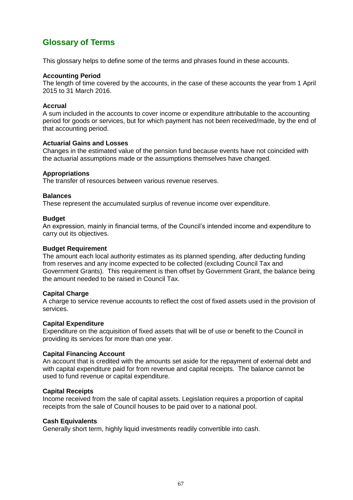# **Glossary of Terms**

This glossary helps to define some of the terms and phrases found in these accounts.

#### **Accounting Period**

The length of time covered by the accounts, in the case of these accounts the year from 1 April 2015 to 31 March 2016.

#### **Accrual**

A sum included in the accounts to cover income or expenditure attributable to the accounting period for goods or services, but for which payment has not been received/made, by the end of that accounting period.

#### **Actuarial Gains and Losses**

Changes in the estimated value of the pension fund because events have not coincided with the actuarial assumptions made or the assumptions themselves have changed.

#### **Appropriations**

The transfer of resources between various revenue reserves.

#### **Balances**

These represent the accumulated surplus of revenue income over expenditure.

#### **Budget**

An expression, mainly in financial terms, of the Council's intended income and expenditure to carry out its objectives.

#### **Budget Requirement**

The amount each local authority estimates as its planned spending, after deducting funding from reserves and any income expected to be collected (excluding Council Tax and Government Grants). This requirement is then offset by Government Grant, the balance being the amount needed to be raised in Council Tax.

#### **Capital Charge**

A charge to service revenue accounts to reflect the cost of fixed assets used in the provision of services.

#### **Capital Expenditure**

Expenditure on the acquisition of fixed assets that will be of use or benefit to the Council in providing its services for more than one year.

#### **Capital Financing Account**

An account that is credited with the amounts set aside for the repayment of external debt and with capital expenditure paid for from revenue and capital receipts. The balance cannot be used to fund revenue or capital expenditure.

#### **Capital Receipts**

Income received from the sale of capital assets. Legislation requires a proportion of capital receipts from the sale of Council houses to be paid over to a national pool.

#### **Cash Equivalents**

Generally short term, highly liquid investments readily convertible into cash.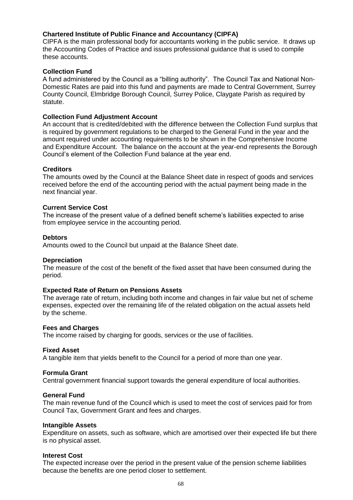#### **Chartered Institute of Public Finance and Accountancy (CIPFA)**

CIPFA is the main professional body for accountants working in the public service. It draws up the Accounting Codes of Practice and issues professional guidance that is used to compile these accounts.

#### **Collection Fund**

A fund administered by the Council as a "billing authority". The Council Tax and National Non-Domestic Rates are paid into this fund and payments are made to Central Government, Surrey County Council, Elmbridge Borough Council, Surrey Police, Claygate Parish as required by statute.

#### **Collection Fund Adjustment Account**

An account that is credited/debited with the difference between the Collection Fund surplus that is required by government regulations to be charged to the General Fund in the year and the amount required under accounting requirements to be shown in the Comprehensive Income and Expenditure Account. The balance on the account at the year-end represents the Borough Council's element of the Collection Fund balance at the year end.

#### **Creditors**

The amounts owed by the Council at the Balance Sheet date in respect of goods and services received before the end of the accounting period with the actual payment being made in the next financial year.

#### **Current Service Cost**

The increase of the present value of a defined benefit scheme's liabilities expected to arise from employee service in the accounting period.

#### **Debtors**

Amounts owed to the Council but unpaid at the Balance Sheet date.

#### **Depreciation**

The measure of the cost of the benefit of the fixed asset that have been consumed during the period.

#### **Expected Rate of Return on Pensions Assets**

The average rate of return, including both income and changes in fair value but net of scheme expenses, expected over the remaining life of the related obligation on the actual assets held by the scheme.

#### **Fees and Charges**

The income raised by charging for goods, services or the use of facilities.

#### **Fixed Asset**

A tangible item that yields benefit to the Council for a period of more than one year.

#### **Formula Grant**

Central government financial support towards the general expenditure of local authorities.

#### **General Fund**

The main revenue fund of the Council which is used to meet the cost of services paid for from Council Tax, Government Grant and fees and charges.

#### **Intangible Assets**

Expenditure on assets, such as software, which are amortised over their expected life but there is no physical asset.

#### **Interest Cost**

The expected increase over the period in the present value of the pension scheme liabilities because the benefits are one period closer to settlement.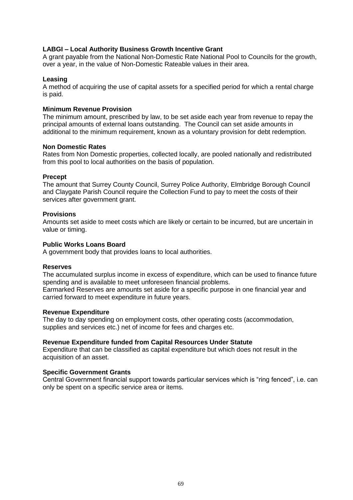## **LABGI – Local Authority Business Growth Incentive Grant**

A grant payable from the National Non-Domestic Rate National Pool to Councils for the growth, over a year, in the value of Non-Domestic Rateable values in their area.

#### **Leasing**

A method of acquiring the use of capital assets for a specified period for which a rental charge is paid.

#### **Minimum Revenue Provision**

The minimum amount, prescribed by law, to be set aside each year from revenue to repay the principal amounts of external loans outstanding. The Council can set aside amounts in additional to the minimum requirement, known as a voluntary provision for debt redemption.

#### **Non Domestic Rates**

Rates from Non Domestic properties, collected locally, are pooled nationally and redistributed from this pool to local authorities on the basis of population.

#### **Precept**

The amount that Surrey County Council, Surrey Police Authority, Elmbridge Borough Council and Claygate Parish Council require the Collection Fund to pay to meet the costs of their services after government grant.

#### **Provisions**

Amounts set aside to meet costs which are likely or certain to be incurred, but are uncertain in value or timing.

#### **Public Works Loans Board**

A government body that provides loans to local authorities.

#### **Reserves**

The accumulated surplus income in excess of expenditure, which can be used to finance future spending and is available to meet unforeseen financial problems.

Earmarked Reserves are amounts set aside for a specific purpose in one financial year and carried forward to meet expenditure in future years.

#### **Revenue Expenditure**

The day to day spending on employment costs, other operating costs (accommodation, supplies and services etc.) net of income for fees and charges etc.

#### **Revenue Expenditure funded from Capital Resources Under Statute**

Expenditure that can be classified as capital expenditure but which does not result in the acquisition of an asset.

#### **Specific Government Grants**

Central Government financial support towards particular services which is "ring fenced", i.e. can only be spent on a specific service area or items.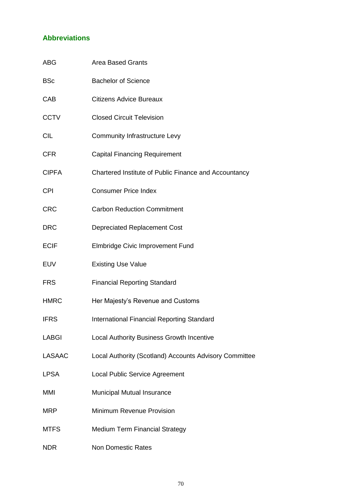# **Abbreviations**

| <b>ABG</b>    | <b>Area Based Grants</b>                               |
|---------------|--------------------------------------------------------|
| <b>BSc</b>    | <b>Bachelor of Science</b>                             |
| CAB           | <b>Citizens Advice Bureaux</b>                         |
| <b>CCTV</b>   | <b>Closed Circuit Television</b>                       |
| <b>CIL</b>    | <b>Community Infrastructure Levy</b>                   |
| <b>CFR</b>    | <b>Capital Financing Requirement</b>                   |
| <b>CIPFA</b>  | Chartered Institute of Public Finance and Accountancy  |
| <b>CPI</b>    | <b>Consumer Price Index</b>                            |
| <b>CRC</b>    | <b>Carbon Reduction Commitment</b>                     |
| <b>DRC</b>    | Depreciated Replacement Cost                           |
| <b>ECIF</b>   | <b>Elmbridge Civic Improvement Fund</b>                |
| <b>EUV</b>    | <b>Existing Use Value</b>                              |
| <b>FRS</b>    | <b>Financial Reporting Standard</b>                    |
| <b>HMRC</b>   | Her Majesty's Revenue and Customs                      |
| <b>IFRS</b>   | <b>International Financial Reporting Standard</b>      |
| <b>LABGI</b>  | <b>Local Authority Business Growth Incentive</b>       |
| <b>LASAAC</b> | Local Authority (Scotland) Accounts Advisory Committee |
| <b>LPSA</b>   | Local Public Service Agreement                         |
| MMI           | Municipal Mutual Insurance                             |
| <b>MRP</b>    | Minimum Revenue Provision                              |
| <b>MTFS</b>   | <b>Medium Term Financial Strategy</b>                  |
| <b>NDR</b>    | <b>Non Domestic Rates</b>                              |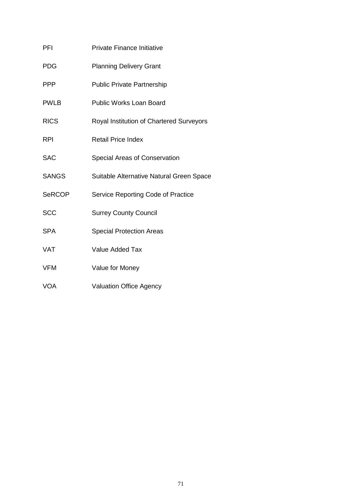| <b>PFI</b>    | <b>Private Finance Initiative</b>        |
|---------------|------------------------------------------|
| <b>PDG</b>    | <b>Planning Delivery Grant</b>           |
| <b>PPP</b>    | <b>Public Private Partnership</b>        |
| <b>PWLB</b>   | <b>Public Works Loan Board</b>           |
| <b>RICS</b>   | Royal Institution of Chartered Surveyors |
| <b>RPI</b>    | <b>Retail Price Index</b>                |
| <b>SAC</b>    | Special Areas of Conservation            |
| <b>SANGS</b>  | Suitable Alternative Natural Green Space |
| <b>SeRCOP</b> | Service Reporting Code of Practice       |
| <b>SCC</b>    | <b>Surrey County Council</b>             |
| <b>SPA</b>    | <b>Special Protection Areas</b>          |
| <b>VAT</b>    | <b>Value Added Tax</b>                   |
| <b>VFM</b>    | Value for Money                          |
|               |                                          |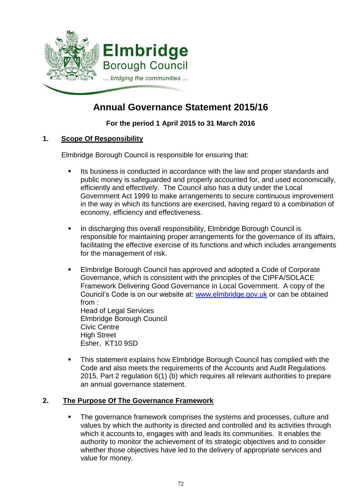

# **Annual Governance Statement 2015/16**

# **For the period 1 April 2015 to 31 March 2016**

# **1. Scope Of Responsibility**

Elmbridge Borough Council is responsible for ensuring that:

- Its business is conducted in accordance with the law and proper standards and public money is safeguarded and properly accounted for, and used economically, efficiently and effectively. The Council also has a duty under the Local Government Act 1999 to make arrangements to secure continuous improvement in the way in which its functions are exercised, having regard to a combination of economy, efficiency and effectiveness.
- In discharging this overall responsibility, Elmbridge Borough Council is responsible for maintaining proper arrangements for the governance of its affairs, facilitating the effective exercise of its functions and which includes arrangements for the management of risk.
- **Elmbridge Borough Council has approved and adopted a Code of Corporate** Governance, which is consistent with the principles of the CIPFA/SOLACE Framework Delivering Good Governance in Local Government. A copy of the Council's Code is on our website at: [www.elmbridge.gov.uk](http://www.elmbridge.gov.uk/) or can be obtained from : Head of Legal Services Elmbridge Borough Council Civic Centre High Street

Esher, KT10 9SD

 This statement explains how Elmbridge Borough Council has complied with the Code and also meets the requirements of the Accounts and Audit Regulations 2015, Part 2 regulation 6(1) (b) which requires all relevant authorities to prepare an annual governance statement.

# **2. The Purpose Of The Governance Framework**

• The governance framework comprises the systems and processes, culture and values by which the authority is directed and controlled and its activities through which it accounts to, engages with and leads its communities. It enables the authority to monitor the achievement of its strategic objectives and to consider whether those objectives have led to the delivery of appropriate services and value for money.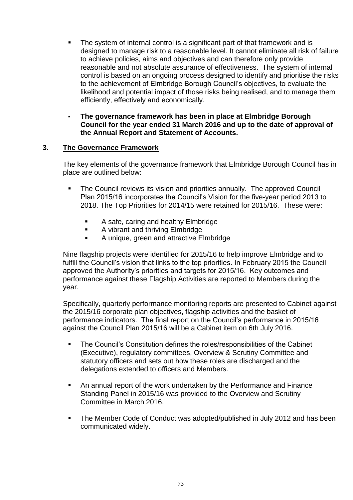- The system of internal control is a significant part of that framework and is designed to manage risk to a reasonable level. It cannot eliminate all risk of failure to achieve policies, aims and objectives and can therefore only provide reasonable and not absolute assurance of effectiveness. The system of internal control is based on an ongoing process designed to identify and prioritise the risks to the achievement of Elmbridge Borough Council's objectives, to evaluate the likelihood and potential impact of those risks being realised, and to manage them efficiently, effectively and economically.
- **The governance framework has been in place at Elmbridge Borough Council for the year ended 31 March 2016 and up to the date of approval of the Annual Report and Statement of Accounts.**

# **3. The Governance Framework**

The key elements of the governance framework that Elmbridge Borough Council has in place are outlined below:

- The Council reviews its vision and priorities annually. The approved Council Plan 2015/16 incorporates the Council's Vision for the five-year period 2013 to 2018. The Top Priorities for 2014/15 were retained for 2015/16. These were:
	- A safe, caring and healthy Elmbridge
	- **A** vibrant and thriving Elmbridge
	- **A** unique, green and attractive Elmbridge

Nine flagship projects were identified for 2015/16 to help improve Elmbridge and to fulfill the Council's vision that links to the top priorities. In February 2015 the Council approved the Authority's priorities and targets for 2015/16. Key outcomes and performance against these Flagship Activities are reported to Members during the year.

Specifically, quarterly performance monitoring reports are presented to Cabinet against the 2015/16 corporate plan objectives, flagship activities and the basket of performance indicators. The final report on the Council's performance in 2015/16 against the Council Plan 2015/16 will be a Cabinet item on 6th July 2016.

- **The Council's Constitution defines the roles/responsibilities of the Cabinet** (Executive), regulatory committees, Overview & Scrutiny Committee and statutory officers and sets out how these roles are discharged and the delegations extended to officers and Members.
- An annual report of the work undertaken by the Performance and Finance Standing Panel in 2015/16 was provided to the Overview and Scrutiny Committee in March 2016.
- The Member Code of Conduct was adopted/published in July 2012 and has been communicated widely.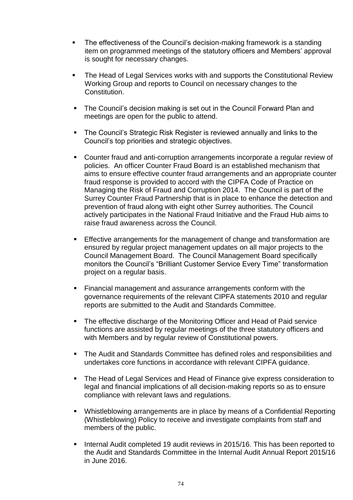- The effectiveness of the Council's decision-making framework is a standing item on programmed meetings of the statutory officers and Members' approval is sought for necessary changes.
- The Head of Legal Services works with and supports the Constitutional Review Working Group and reports to Council on necessary changes to the Constitution.
- The Council's decision making is set out in the Council Forward Plan and meetings are open for the public to attend.
- **The Council's Strategic Risk Register is reviewed annually and links to the** Council's top priorities and strategic objectives.
- Counter fraud and anti-corruption arrangements incorporate a regular review of policies. An officer Counter Fraud Board is an established mechanism that aims to ensure effective counter fraud arrangements and an appropriate counter fraud response is provided to accord with the CIPFA Code of Practice on Managing the Risk of Fraud and Corruption 2014. The Council is part of the Surrey Counter Fraud Partnership that is in place to enhance the detection and prevention of fraud along with eight other Surrey authorities. The Council actively participates in the National Fraud Initiative and the Fraud Hub aims to raise fraud awareness across the Council.
- Effective arrangements for the management of change and transformation are ensured by regular project management updates on all major projects to the Council Management Board. The Council Management Board specifically monitors the Council's "Brilliant Customer Service Every Time" transformation project on a regular basis.
- Financial management and assurance arrangements conform with the governance requirements of the relevant CIPFA statements 2010 and regular reports are submitted to the Audit and Standards Committee.
- The effective discharge of the Monitoring Officer and Head of Paid service functions are assisted by regular meetings of the three statutory officers and with Members and by regular review of Constitutional powers.
- **The Audit and Standards Committee has defined roles and responsibilities and** undertakes core functions in accordance with relevant CIPFA guidance.
- The Head of Legal Services and Head of Finance give express consideration to legal and financial implications of all decision-making reports so as to ensure compliance with relevant laws and regulations.
- Whistleblowing arrangements are in place by means of a Confidential Reporting (Whistleblowing) Policy to receive and investigate complaints from staff and members of the public.
- Internal Audit completed 19 audit reviews in 2015/16. This has been reported to the Audit and Standards Committee in the Internal Audit Annual Report 2015/16 in June 2016.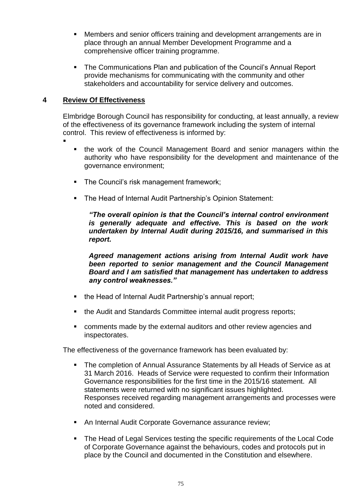- Members and senior officers training and development arrangements are in place through an annual Member Development Programme and a comprehensive officer training programme.
- The Communications Plan and publication of the Council's Annual Report provide mechanisms for communicating with the community and other stakeholders and accountability for service delivery and outcomes.

# **4 Review Of Effectiveness**

Elmbridge Borough Council has responsibility for conducting, at least annually, a review of the effectiveness of its governance framework including the system of internal control. This review of effectiveness is informed by:

- :
- the work of the Council Management Board and senior managers within the authority who have responsibility for the development and maintenance of the governance environment;
- The Council's risk management framework;
- The Head of Internal Audit Partnership's Opinion Statement:

*"The overall opinion is that the Council's internal control environment is generally adequate and effective. This is based on the work undertaken by Internal Audit during 2015/16, and summarised in this report.*

*Agreed management actions arising from Internal Audit work have been reported to senior management and the Council Management Board and I am satisfied that management has undertaken to address any control weaknesses."*

- the Head of Internal Audit Partnership's annual report;
- the Audit and Standards Committee internal audit progress reports;
- comments made by the external auditors and other review agencies and inspectorates.

The effectiveness of the governance framework has been evaluated by:

- The completion of Annual Assurance Statements by all Heads of Service as at 31 March 2016. Heads of Service were requested to confirm their Information Governance responsibilities for the first time in the 2015/16 statement. All statements were returned with no significant issues highlighted. Responses received regarding management arrangements and processes were noted and considered.
- An Internal Audit Corporate Governance assurance review;
- The Head of Legal Services testing the specific requirements of the Local Code of Corporate Governance against the behaviours, codes and protocols put in place by the Council and documented in the Constitution and elsewhere.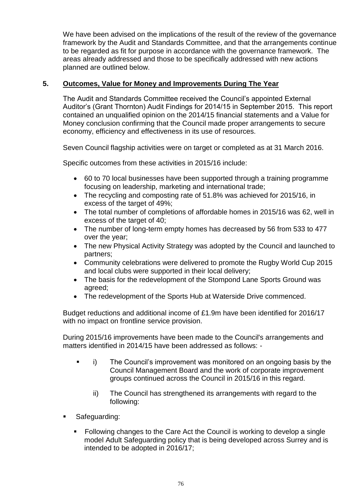We have been advised on the implications of the result of the review of the governance framework by the Audit and Standards Committee, and that the arrangements continue to be regarded as fit for purpose in accordance with the governance framework. The areas already addressed and those to be specifically addressed with new actions planned are outlined below.

# **5. Outcomes, Value for Money and Improvements During The Year**

The Audit and Standards Committee received the Council's appointed External Auditor's (Grant Thornton) Audit Findings for 2014/15 in September 2015. This report contained an unqualified opinion on the 2014/15 financial statements and a Value for Money conclusion confirming that the Council made proper arrangements to secure economy, efficiency and effectiveness in its use of resources.

Seven Council flagship activities were on target or completed as at 31 March 2016.

Specific outcomes from these activities in 2015/16 include:

- 60 to 70 local businesses have been supported through a training programme focusing on leadership, marketing and international trade;
- The recycling and composting rate of 51.8% was achieved for 2015/16, in excess of the target of 49%;
- The total number of completions of affordable homes in 2015/16 was 62, well in excess of the target of 40;
- The number of long-term empty homes has decreased by 56 from 533 to 477 over the year;
- The new Physical Activity Strategy was adopted by the Council and launched to partners;
- Community celebrations were delivered to promote the Rugby World Cup 2015 and local clubs were supported in their local delivery;
- The basis for the redevelopment of the Stompond Lane Sports Ground was agreed;
- The redevelopment of the Sports Hub at Waterside Drive commenced.

Budget reductions and additional income of £1.9m have been identified for 2016/17 with no impact on frontline service provision.

During 2015/16 improvements have been made to the Council's arrangements and matters identified in 2014/15 have been addressed as follows: -

- i) The Council's improvement was monitored on an ongoing basis by the Council Management Board and the work of corporate improvement groups continued across the Council in 2015/16 in this regard.
	- ii) The Council has strengthened its arrangements with regard to the following:
- Safeguarding:
	- Following changes to the Care Act the Council is working to develop a single model Adult Safeguarding policy that is being developed across Surrey and is intended to be adopted in 2016/17;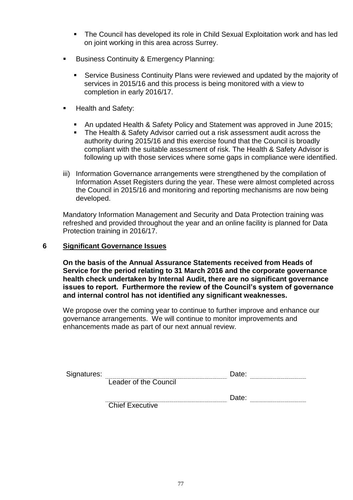- The Council has developed its role in Child Sexual Exploitation work and has led on joint working in this area across Surrey.
- **Business Continuity & Emergency Planning:** 
	- Service Business Continuity Plans were reviewed and updated by the majority of services in 2015/16 and this process is being monitored with a view to completion in early 2016/17.
- Health and Safety:
	- An updated Health & Safety Policy and Statement was approved in June 2015;
	- **The Health & Safety Advisor carried out a risk assessment audit across the** authority during 2015/16 and this exercise found that the Council is broadly compliant with the suitable assessment of risk. The Health & Safety Advisor is following up with those services where some gaps in compliance were identified.
- iii) Information Governance arrangements were strengthened by the compilation of Information Asset Registers during the year. These were almost completed across the Council in 2015/16 and monitoring and reporting mechanisms are now being developed.

Mandatory Information Management and Security and Data Protection training was refreshed and provided throughout the year and an online facility is planned for Data Protection training in 2016/17.

## **6 Significant Governance Issues**

**On the basis of the Annual Assurance Statements received from Heads of Service for the period relating to 31 March 2016 and the corporate governance health check undertaken by Internal Audit, there are no significant governance issues to report. Furthermore the review of the Council's system of governance and internal control has not identified any significant weaknesses.** 

We propose over the coming year to continue to further improve and enhance our governance arrangements. We will continue to monitor improvements and enhancements made as part of our next annual review.

| Signatures: |                        | Date: |  |  |
|-------------|------------------------|-------|--|--|
|             | Leader of the Council  |       |  |  |
|             |                        | Date: |  |  |
|             | <b>Chief Executive</b> |       |  |  |